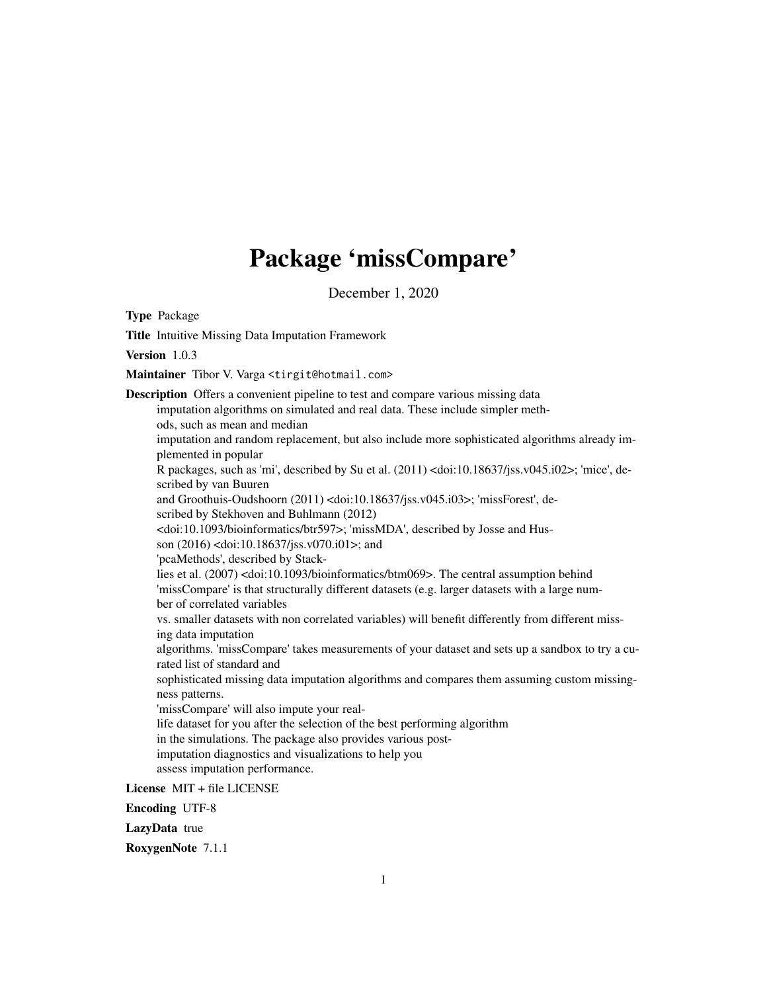## Package 'missCompare'

December 1, 2020

<span id="page-0-0"></span>Type Package

Title Intuitive Missing Data Imputation Framework Version 103 Maintainer Tibor V. Varga <tirgit@hotmail.com> Description Offers a convenient pipeline to test and compare various missing data imputation algorithms on simulated and real data. These include simpler methods, such as mean and median imputation and random replacement, but also include more sophisticated algorithms already implemented in popular R packages, such as 'mi', described by Su et al. (2011) <doi:10.18637/jss.v045.i02>; 'mice', described by van Buuren and Groothuis-Oudshoorn (2011) <doi:10.18637/jss.v045.i03>; 'missForest', described by Stekhoven and Buhlmann (2012) <doi:10.1093/bioinformatics/btr597>; 'missMDA', described by Josse and Husson (2016) <doi:10.18637/jss.v070.i01>; and 'pcaMethods', described by Stacklies et al. (2007) <doi:10.1093/bioinformatics/btm069>. The central assumption behind 'missCompare' is that structurally different datasets (e.g. larger datasets with a large number of correlated variables vs. smaller datasets with non correlated variables) will benefit differently from different missing data imputation algorithms. 'missCompare' takes measurements of your dataset and sets up a sandbox to try a curated list of standard and sophisticated missing data imputation algorithms and compares them assuming custom missingness patterns. 'missCompare' will also impute your reallife dataset for you after the selection of the best performing algorithm in the simulations. The package also provides various postimputation diagnostics and visualizations to help you assess imputation performance. License MIT + file LICENSE

Encoding UTF-8

LazyData true

RoxygenNote 7.1.1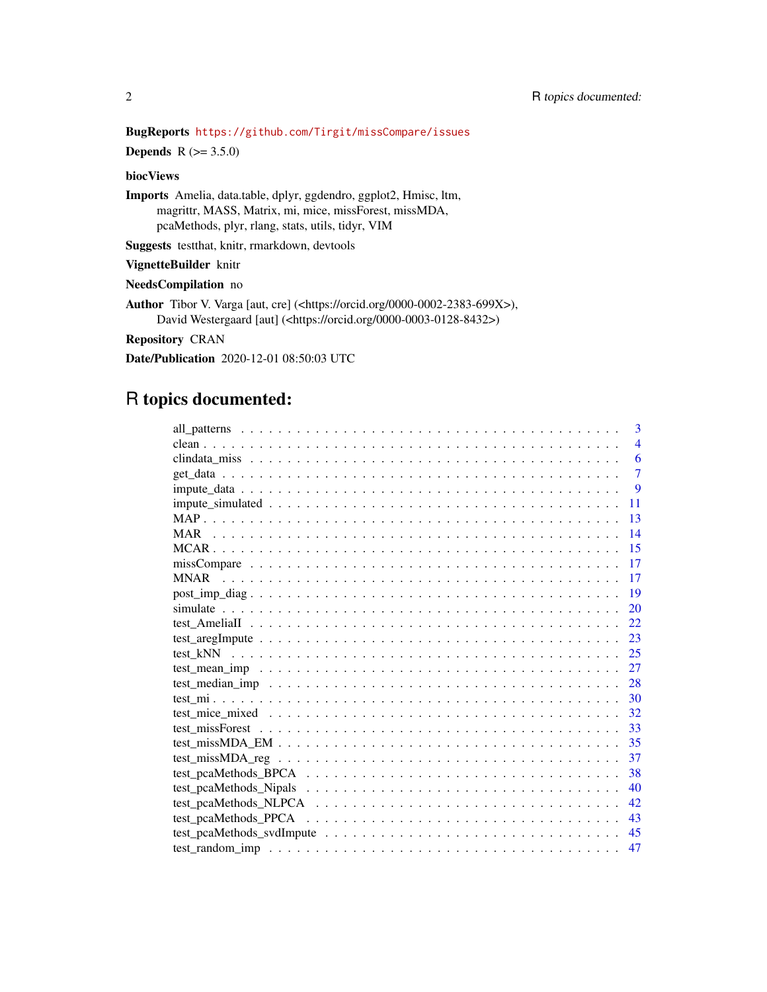## BugReports <https://github.com/Tirgit/missCompare/issues>

**Depends** R  $(>= 3.5.0)$ 

## biocViews

Imports Amelia, data.table, dplyr, ggdendro, ggplot2, Hmisc, ltm, magrittr, MASS, Matrix, mi, mice, missForest, missMDA, pcaMethods, plyr, rlang, stats, utils, tidyr, VIM

Suggests testthat, knitr, rmarkdown, devtools

#### VignetteBuilder knitr

#### NeedsCompilation no

Author Tibor V. Varga [aut, cre] (<https://orcid.org/0000-0002-2383-699X>), David Westergaard [aut] (<https://orcid.org/0000-0003-0128-8432>)

Repository CRAN

Date/Publication 2020-12-01 08:50:03 UTC

## R topics documented:

| 3              |
|----------------|
| $\overline{4}$ |
| 6              |
| $\overline{7}$ |
| 9              |
| 11             |
| 13             |
| 14             |
| 15             |
| 17             |
| 17             |
| 19             |
| 20             |
| 22             |
| 23             |
| 25             |
| 27             |
| 28             |
| 30             |
| 32             |
| 33             |
| 35             |
| 37             |
| 38             |
| 40             |
| 42             |
| 43             |
| 45             |
| 47             |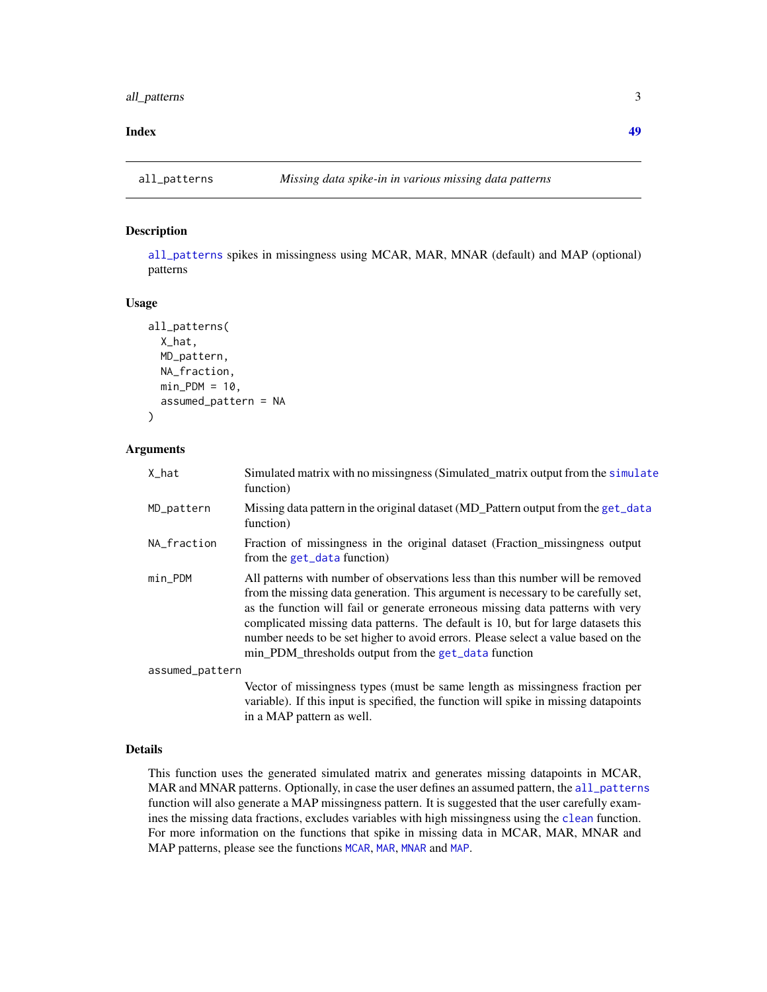#### <span id="page-2-0"></span>**Index a** set of the contract of the contract of the contract of the contract of the contract of the contract of the contract of the contract of the contract of the contract of the contract of the contract of the contrac

<span id="page-2-1"></span>

#### Description

[all\\_patterns](#page-2-1) spikes in missingness using MCAR, MAR, MNAR (default) and MAP (optional) patterns

#### Usage

```
all_patterns(
  X_hat,
  MD_pattern,
  NA_fraction,
  min_PDM = 10,
  assumed_pattern = NA
\lambda
```
#### Arguments

| X_hat           | Simulated matrix with no missingness (Simulated_matrix output from the simulate<br>function)                                                                                                                                                                                                                                                                                                                                                                                             |
|-----------------|------------------------------------------------------------------------------------------------------------------------------------------------------------------------------------------------------------------------------------------------------------------------------------------------------------------------------------------------------------------------------------------------------------------------------------------------------------------------------------------|
| MD_pattern      | Missing data pattern in the original dataset (MD_Pattern output from the get_data<br>function)                                                                                                                                                                                                                                                                                                                                                                                           |
| NA_fraction     | Fraction of missingness in the original dataset (Fraction_missingness output<br>from the get_data function)                                                                                                                                                                                                                                                                                                                                                                              |
| min_PDM         | All patterns with number of observations less than this number will be removed<br>from the missing data generation. This argument is necessary to be carefully set,<br>as the function will fail or generate erroneous missing data patterns with very<br>complicated missing data patterns. The default is 10, but for large datasets this<br>number needs to be set higher to avoid errors. Please select a value based on the<br>min_PDM_thresholds output from the get_data function |
| assumed_pattern |                                                                                                                                                                                                                                                                                                                                                                                                                                                                                          |
|                 | Vector of missingness types (must be same length as missingness fraction per<br>variable). If this input is specified, the function will spike in missing datapoints<br>in a MAP pattern as well.                                                                                                                                                                                                                                                                                        |

#### Details

This function uses the generated simulated matrix and generates missing datapoints in MCAR, MAR and MNAR patterns. Optionally, in case the user defines an assumed pattern, the [all\\_patterns](#page-2-1) function will also generate a MAP missingness pattern. It is suggested that the user carefully examines the missing data fractions, excludes variables with high missingness using the [clean](#page-3-1) function. For more information on the functions that spike in missing data in MCAR, MAR, MNAR and MAP patterns, please see the functions [MCAR](#page-14-1), [MAR](#page-13-1), [MNAR](#page-16-1) and [MAP](#page-12-1).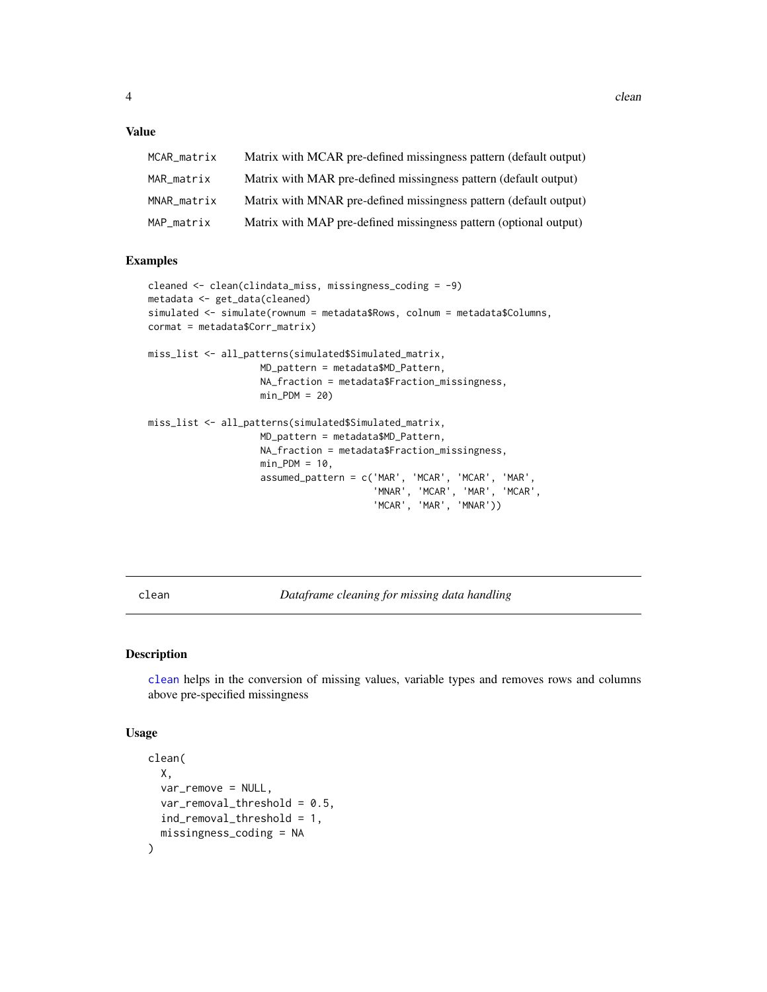## <span id="page-3-0"></span>Value

| MCAR_matrix | Matrix with MCAR pre-defined missingness pattern (default output) |
|-------------|-------------------------------------------------------------------|
| MAR matrix  | Matrix with MAR pre-defined missingness pattern (default output)  |
| MNAR matrix | Matrix with MNAR pre-defined missingness pattern (default output) |
| MAP matrix  | Matrix with MAP pre-defined missingness pattern (optional output) |

## Examples

```
cleaned <- clean(clindata_miss, missingness_coding = -9)
metadata <- get_data(cleaned)
simulated <- simulate(rownum = metadata$Rows, colnum = metadata$Columns,
cormat = metadata$Corr_matrix)
miss_list <- all_patterns(simulated$Simulated_matrix,
                    MD_pattern = metadata$MD_Pattern,
                    NA_fraction = metadata$Fraction_missingness,
                    min\_PDM = 20miss_list <- all_patterns(simulated$Simulated_matrix,
                    MD_pattern = metadata$MD_Pattern,
                    NA_fraction = metadata$Fraction_missingness,
                    min_PDM = 10,
                    assumed_pattern = c('MAR', 'MCAR', 'MCAR', 'MAR',
                                        'MNAR', 'MCAR', 'MAR', 'MCAR',
                                        'MCAR', 'MAR', 'MNAR'))
```
<span id="page-3-1"></span>clean *Dataframe cleaning for missing data handling*

## Description

[clean](#page-3-1) helps in the conversion of missing values, variable types and removes rows and columns above pre-specified missingness

#### Usage

```
clean(
  X,
  var_remove = NULL,
  var_removal_threshold = 0.5,
  ind_removal_threshold = 1,
  missingness_coding = NA
)
```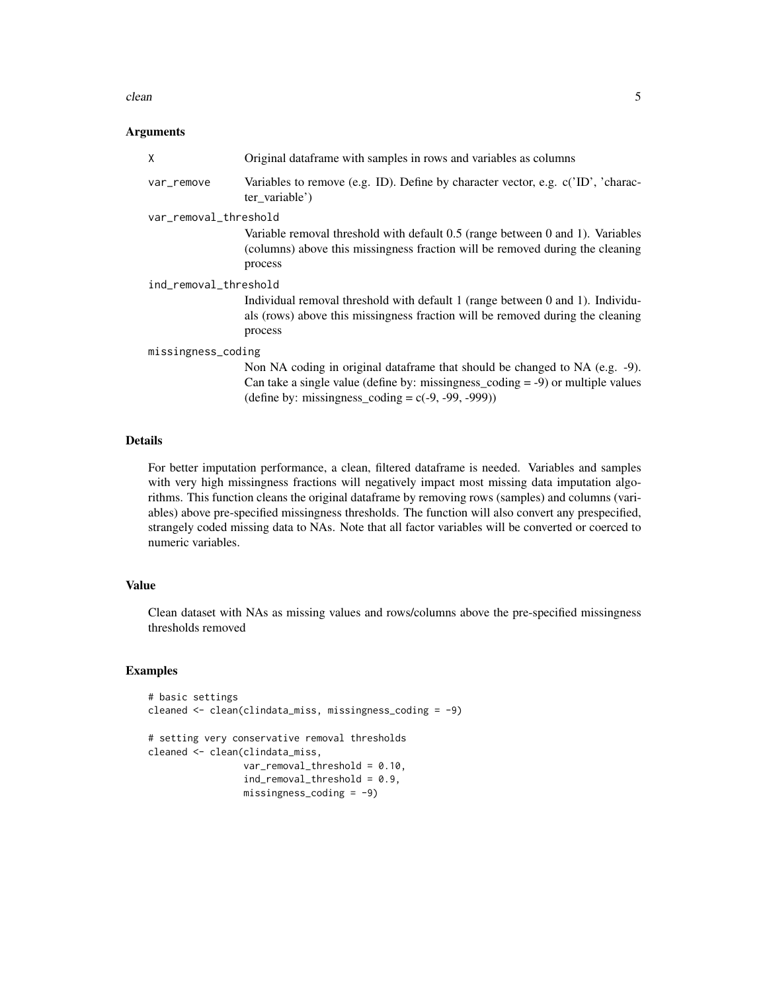#### clean 5

#### Arguments

| Original data frame with samples in rows and variables as columns                                                                                                                                                          |
|----------------------------------------------------------------------------------------------------------------------------------------------------------------------------------------------------------------------------|
| Variables to remove (e.g. ID). Define by character vector, e.g. c('ID', 'charac-<br>ter_variable')                                                                                                                         |
| var_removal_threshold                                                                                                                                                                                                      |
| Variable removal threshold with default 0.5 (range between 0 and 1). Variables<br>(columns) above this missingness fraction will be removed during the cleaning<br>process                                                 |
| ind_removal_threshold                                                                                                                                                                                                      |
| Individual removal threshold with default 1 (range between 0 and 1). Individu-<br>als (rows) above this missingness fraction will be removed during the cleaning<br>process                                                |
| missingness_coding                                                                                                                                                                                                         |
| Non NA coding in original dataframe that should be changed to NA (e.g. -9).<br>Can take a single value (define by: missingness_coding $= -9$ ) or multiple values<br>(define by: missingness_coding = $c(-9, -99, -999)$ ) |
|                                                                                                                                                                                                                            |

## Details

For better imputation performance, a clean, filtered dataframe is needed. Variables and samples with very high missingness fractions will negatively impact most missing data imputation algorithms. This function cleans the original dataframe by removing rows (samples) and columns (variables) above pre-specified missingness thresholds. The function will also convert any prespecified, strangely coded missing data to NAs. Note that all factor variables will be converted or coerced to numeric variables.

## Value

Clean dataset with NAs as missing values and rows/columns above the pre-specified missingness thresholds removed

## Examples

```
# basic settings
cleaned <- clean(clindata_miss, missingness_coding = -9)
# setting very conservative removal thresholds
cleaned <- clean(clindata_miss,
                 var_removal_threshold = 0.10,
                 ind_removal_threshold = 0.9,
                 missingness\_coding = -9)
```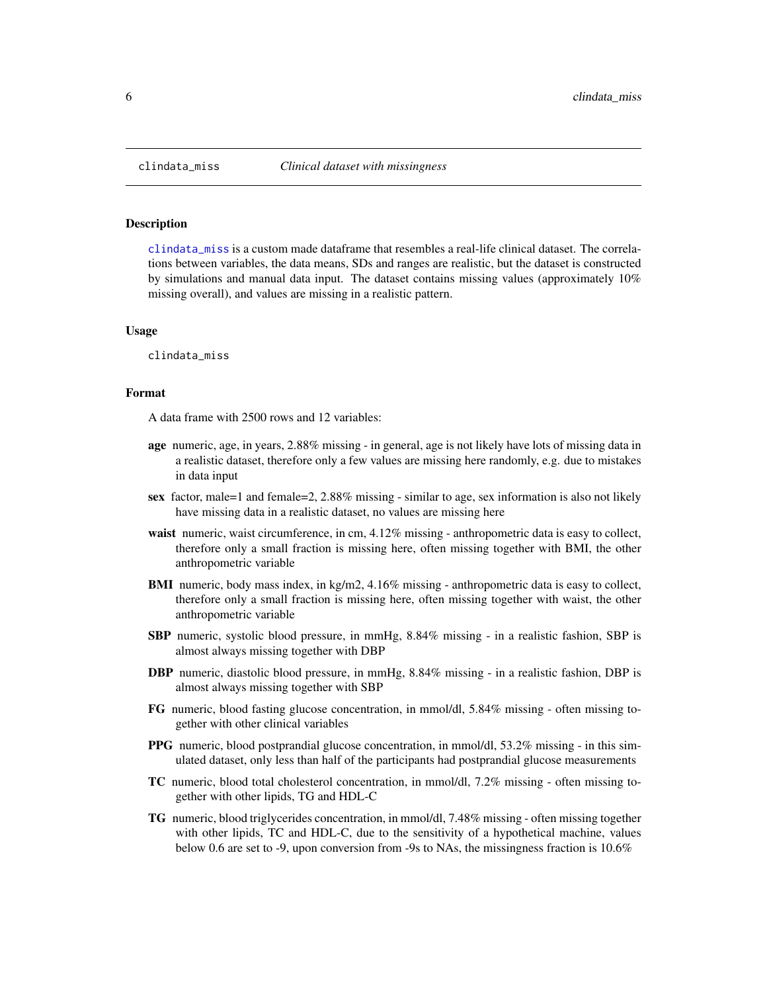<span id="page-5-1"></span><span id="page-5-0"></span>

#### Description

[clindata\\_miss](#page-5-1) is a custom made dataframe that resembles a real-life clinical dataset. The correlations between variables, the data means, SDs and ranges are realistic, but the dataset is constructed by simulations and manual data input. The dataset contains missing values (approximately 10% missing overall), and values are missing in a realistic pattern.

#### Usage

clindata\_miss

#### Format

A data frame with 2500 rows and 12 variables:

- age numeric, age, in years, 2.88% missing in general, age is not likely have lots of missing data in a realistic dataset, therefore only a few values are missing here randomly, e.g. due to mistakes in data input
- sex factor, male=1 and female=2, 2.88% missing similar to age, sex information is also not likely have missing data in a realistic dataset, no values are missing here
- waist numeric, waist circumference, in cm, 4.12% missing anthropometric data is easy to collect, therefore only a small fraction is missing here, often missing together with BMI, the other anthropometric variable
- BMI numeric, body mass index, in kg/m2, 4.16% missing anthropometric data is easy to collect, therefore only a small fraction is missing here, often missing together with waist, the other anthropometric variable
- SBP numeric, systolic blood pressure, in mmHg, 8.84% missing in a realistic fashion, SBP is almost always missing together with DBP
- DBP numeric, diastolic blood pressure, in mmHg, 8.84% missing in a realistic fashion, DBP is almost always missing together with SBP
- FG numeric, blood fasting glucose concentration, in mmol/dl, 5.84% missing often missing together with other clinical variables
- PPG numeric, blood postprandial glucose concentration, in mmol/dl, 53.2% missing in this simulated dataset, only less than half of the participants had postprandial glucose measurements
- TC numeric, blood total cholesterol concentration, in mmol/dl, 7.2% missing often missing together with other lipids, TG and HDL-C
- TG numeric, blood triglycerides concentration, in mmol/dl, 7.48% missing often missing together with other lipids, TC and HDL-C, due to the sensitivity of a hypothetical machine, values below 0.6 are set to -9, upon conversion from -9s to NAs, the missingness fraction is 10.6%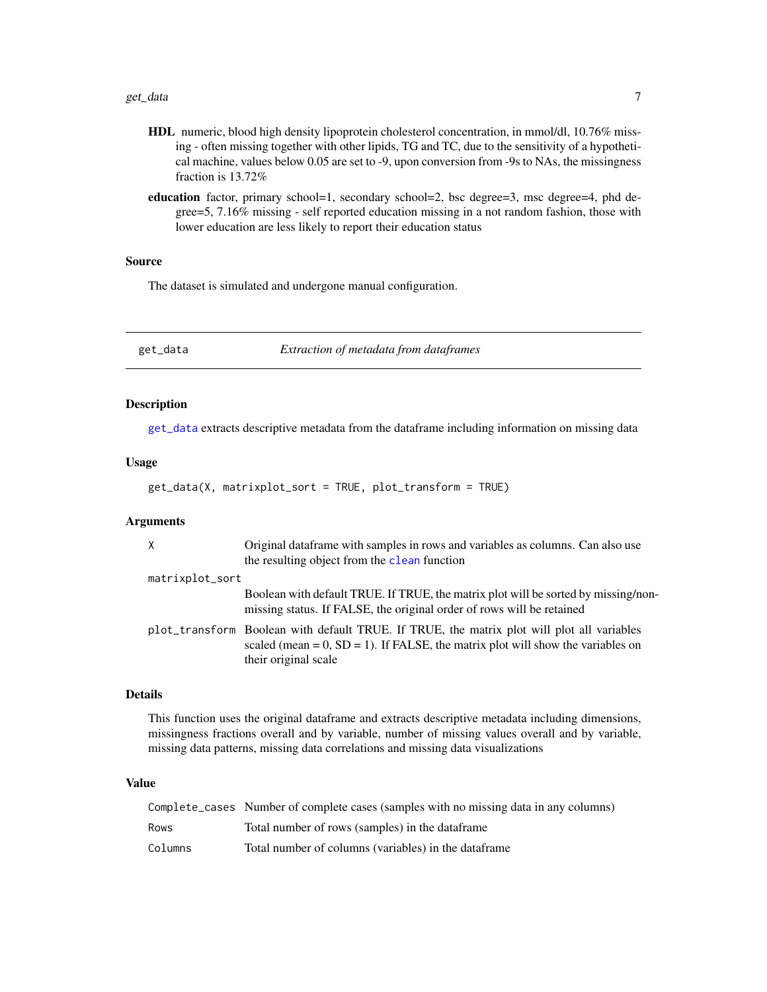- <span id="page-6-0"></span>HDL numeric, blood high density lipoprotein cholesterol concentration, in mmol/dl, 10.76% missing - often missing together with other lipids, TG and TC, due to the sensitivity of a hypothetical machine, values below 0.05 are set to -9, upon conversion from -9s to NAs, the missingness fraction is 13.72%
- education factor, primary school=1, secondary school=2, bsc degree=3, msc degree=4, phd degree=5, 7.16% missing - self reported education missing in a not random fashion, those with lower education are less likely to report their education status

## Source

The dataset is simulated and undergone manual configuration.

<span id="page-6-1"></span>get\_data *Extraction of metadata from dataframes*

#### Description

[get\\_data](#page-6-1) extracts descriptive metadata from the dataframe including information on missing data

#### Usage

```
get_data(X, matrixplot_sort = TRUE, plot_transform = TRUE)
```
#### Arguments

| $\times$        | Original data frame with samples in rows and variables as columns. Can also use<br>the resulting object from the clean function                                                                          |
|-----------------|----------------------------------------------------------------------------------------------------------------------------------------------------------------------------------------------------------|
| matrixplot_sort |                                                                                                                                                                                                          |
|                 | Boolean with default TRUE. If TRUE, the matrix plot will be sorted by missing/non-<br>missing status. If FALSE, the original order of rows will be retained                                              |
|                 | plot_transform Boolean with default TRUE. If TRUE, the matrix plot will plot all variables<br>scaled (mean = $0$ , SD = 1). If FALSE, the matrix plot will show the variables on<br>their original scale |

#### Details

This function uses the original dataframe and extracts descriptive metadata including dimensions, missingness fractions overall and by variable, number of missing values overall and by variable, missing data patterns, missing data correlations and missing data visualizations

|         | Complete_cases Number of complete cases (samples with no missing data in any columns) |
|---------|---------------------------------------------------------------------------------------|
| Rows    | Total number of rows (samples) in the dataframe                                       |
| Columns | Total number of columns (variables) in the dataframe                                  |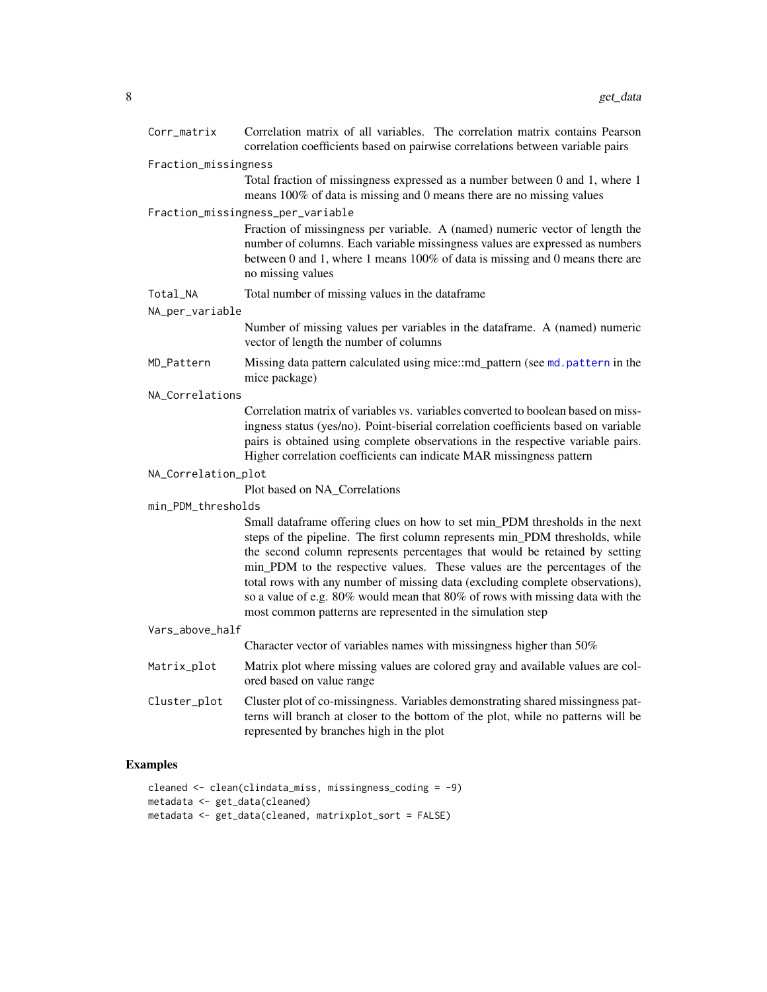<span id="page-7-0"></span>

| Corr_matrix          | Correlation matrix of all variables. The correlation matrix contains Pearson<br>correlation coefficients based on pairwise correlations between variable pairs                                                                                                                                                                                                                                                                                                                                                                                          |  |
|----------------------|---------------------------------------------------------------------------------------------------------------------------------------------------------------------------------------------------------------------------------------------------------------------------------------------------------------------------------------------------------------------------------------------------------------------------------------------------------------------------------------------------------------------------------------------------------|--|
| Fraction_missingness |                                                                                                                                                                                                                                                                                                                                                                                                                                                                                                                                                         |  |
|                      | Total fraction of missingness expressed as a number between 0 and 1, where 1<br>means 100% of data is missing and 0 means there are no missing values                                                                                                                                                                                                                                                                                                                                                                                                   |  |
|                      | Fraction_missingness_per_variable                                                                                                                                                                                                                                                                                                                                                                                                                                                                                                                       |  |
|                      | Fraction of missingness per variable. A (named) numeric vector of length the<br>number of columns. Each variable missingness values are expressed as numbers<br>between 0 and 1, where 1 means 100% of data is missing and 0 means there are<br>no missing values                                                                                                                                                                                                                                                                                       |  |
| Total_NA             | Total number of missing values in the dataframe                                                                                                                                                                                                                                                                                                                                                                                                                                                                                                         |  |
| NA_per_variable      |                                                                                                                                                                                                                                                                                                                                                                                                                                                                                                                                                         |  |
|                      | Number of missing values per variables in the dataframe. A (named) numeric<br>vector of length the number of columns                                                                                                                                                                                                                                                                                                                                                                                                                                    |  |
| MD_Pattern           | Missing data pattern calculated using mice::md_pattern (see md.pattern in the<br>mice package)                                                                                                                                                                                                                                                                                                                                                                                                                                                          |  |
| NA_Correlations      |                                                                                                                                                                                                                                                                                                                                                                                                                                                                                                                                                         |  |
|                      | Correlation matrix of variables vs. variables converted to boolean based on miss-<br>ingness status (yes/no). Point-biserial correlation coefficients based on variable<br>pairs is obtained using complete observations in the respective variable pairs.<br>Higher correlation coefficients can indicate MAR missingness pattern                                                                                                                                                                                                                      |  |
| NA_Correlation_plot  |                                                                                                                                                                                                                                                                                                                                                                                                                                                                                                                                                         |  |
|                      | Plot based on NA_Correlations                                                                                                                                                                                                                                                                                                                                                                                                                                                                                                                           |  |
| min_PDM_thresholds   |                                                                                                                                                                                                                                                                                                                                                                                                                                                                                                                                                         |  |
|                      | Small dataframe offering clues on how to set min_PDM thresholds in the next<br>steps of the pipeline. The first column represents min_PDM thresholds, while<br>the second column represents percentages that would be retained by setting<br>min_PDM to the respective values. These values are the percentages of the<br>total rows with any number of missing data (excluding complete observations),<br>so a value of e.g. 80% would mean that 80% of rows with missing data with the<br>most common patterns are represented in the simulation step |  |
| Vars_above_half      |                                                                                                                                                                                                                                                                                                                                                                                                                                                                                                                                                         |  |
|                      | Character vector of variables names with missingness higher than 50%                                                                                                                                                                                                                                                                                                                                                                                                                                                                                    |  |
| Matrix_plot          | Matrix plot where missing values are colored gray and available values are col-<br>ored based on value range                                                                                                                                                                                                                                                                                                                                                                                                                                            |  |
| Cluster_plot         | Cluster plot of co-missingness. Variables demonstrating shared missingness pat-<br>terns will branch at closer to the bottom of the plot, while no patterns will be<br>represented by branches high in the plot                                                                                                                                                                                                                                                                                                                                         |  |

```
cleaned <- clean(clindata_miss, missingness_coding = -9)
metadata <- get_data(cleaned)
metadata <- get_data(cleaned, matrixplot_sort = FALSE)
```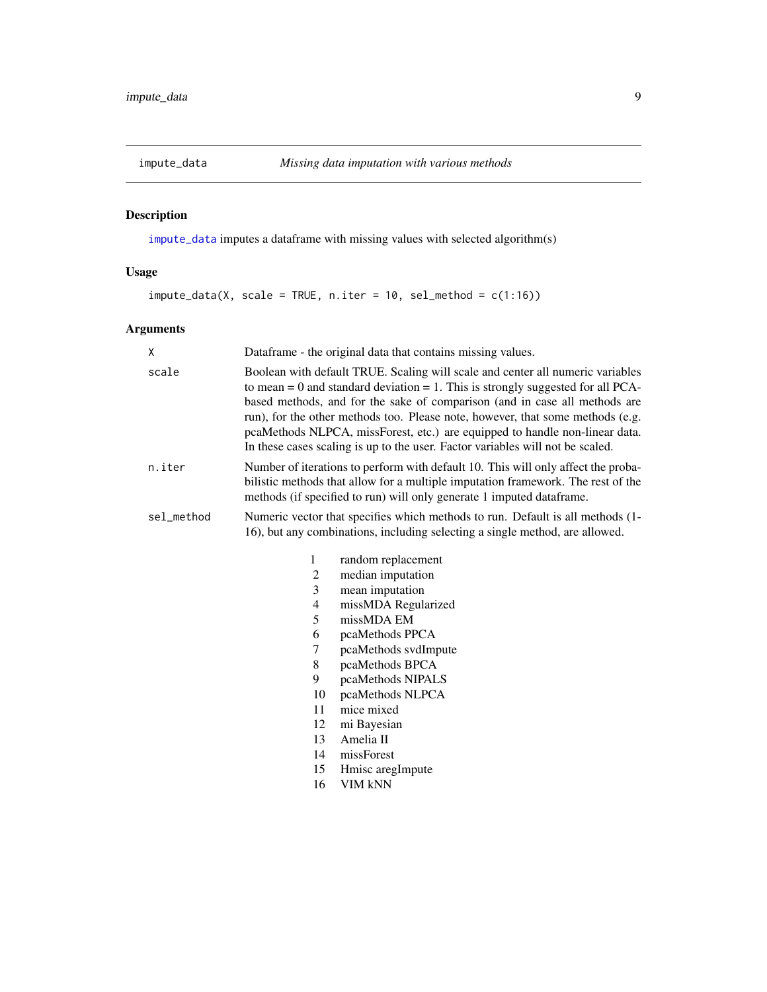<span id="page-8-1"></span><span id="page-8-0"></span>

## Description

[impute\\_data](#page-8-1) imputes a dataframe with missing values with selected algorithm(s)

## Usage

 $impute_data(X, scale = TRUE, n.iter = 10, sel_method = c(1:16))$ 

## Arguments

| X          |                                                                                                                                                                | Dataframe - the original data that contains missing values.                                                                                                                                                                                                                                                                                                                                                                                                                                             |
|------------|----------------------------------------------------------------------------------------------------------------------------------------------------------------|---------------------------------------------------------------------------------------------------------------------------------------------------------------------------------------------------------------------------------------------------------------------------------------------------------------------------------------------------------------------------------------------------------------------------------------------------------------------------------------------------------|
| scale      |                                                                                                                                                                | Boolean with default TRUE. Scaling will scale and center all numeric variables<br>to mean = $0$ and standard deviation = $1$ . This is strongly suggested for all PCA-<br>based methods, and for the sake of comparison (and in case all methods are<br>run), for the other methods too. Please note, however, that some methods (e.g.<br>pcaMethods NLPCA, missForest, etc.) are equipped to handle non-linear data.<br>In these cases scaling is up to the user. Factor variables will not be scaled. |
| n.iter     |                                                                                                                                                                | Number of iterations to perform with default 10. This will only affect the proba-<br>bilistic methods that allow for a multiple imputation framework. The rest of the<br>methods (if specified to run) will only generate 1 imputed data frame.                                                                                                                                                                                                                                                         |
| sel_method | Numeric vector that specifies which methods to run. Default is all methods (1-<br>16), but any combinations, including selecting a single method, are allowed. |                                                                                                                                                                                                                                                                                                                                                                                                                                                                                                         |
|            | 1                                                                                                                                                              | random replacement                                                                                                                                                                                                                                                                                                                                                                                                                                                                                      |
|            | 2                                                                                                                                                              | median imputation                                                                                                                                                                                                                                                                                                                                                                                                                                                                                       |
|            | 3                                                                                                                                                              | mean imputation                                                                                                                                                                                                                                                                                                                                                                                                                                                                                         |
|            | 4                                                                                                                                                              | missMDA Regularized                                                                                                                                                                                                                                                                                                                                                                                                                                                                                     |
|            | 5                                                                                                                                                              | missMDA EM                                                                                                                                                                                                                                                                                                                                                                                                                                                                                              |
|            | 6                                                                                                                                                              | pcaMethods PPCA                                                                                                                                                                                                                                                                                                                                                                                                                                                                                         |
|            | 7                                                                                                                                                              | pcaMethods svdImpute                                                                                                                                                                                                                                                                                                                                                                                                                                                                                    |
|            | 8                                                                                                                                                              | pcaMethods BPCA                                                                                                                                                                                                                                                                                                                                                                                                                                                                                         |
|            | 9                                                                                                                                                              | pcaMethods NIPALS                                                                                                                                                                                                                                                                                                                                                                                                                                                                                       |
|            | 10                                                                                                                                                             | pcaMethods NLPCA                                                                                                                                                                                                                                                                                                                                                                                                                                                                                        |
|            | 11                                                                                                                                                             | mice mixed                                                                                                                                                                                                                                                                                                                                                                                                                                                                                              |
|            | 12                                                                                                                                                             | mi Bayesian                                                                                                                                                                                                                                                                                                                                                                                                                                                                                             |
|            | 13                                                                                                                                                             | Amelia II                                                                                                                                                                                                                                                                                                                                                                                                                                                                                               |
|            | 14                                                                                                                                                             | missForest                                                                                                                                                                                                                                                                                                                                                                                                                                                                                              |
|            | 15                                                                                                                                                             | Hmisc aregImpute                                                                                                                                                                                                                                                                                                                                                                                                                                                                                        |
|            | 16                                                                                                                                                             | VIM kNN                                                                                                                                                                                                                                                                                                                                                                                                                                                                                                 |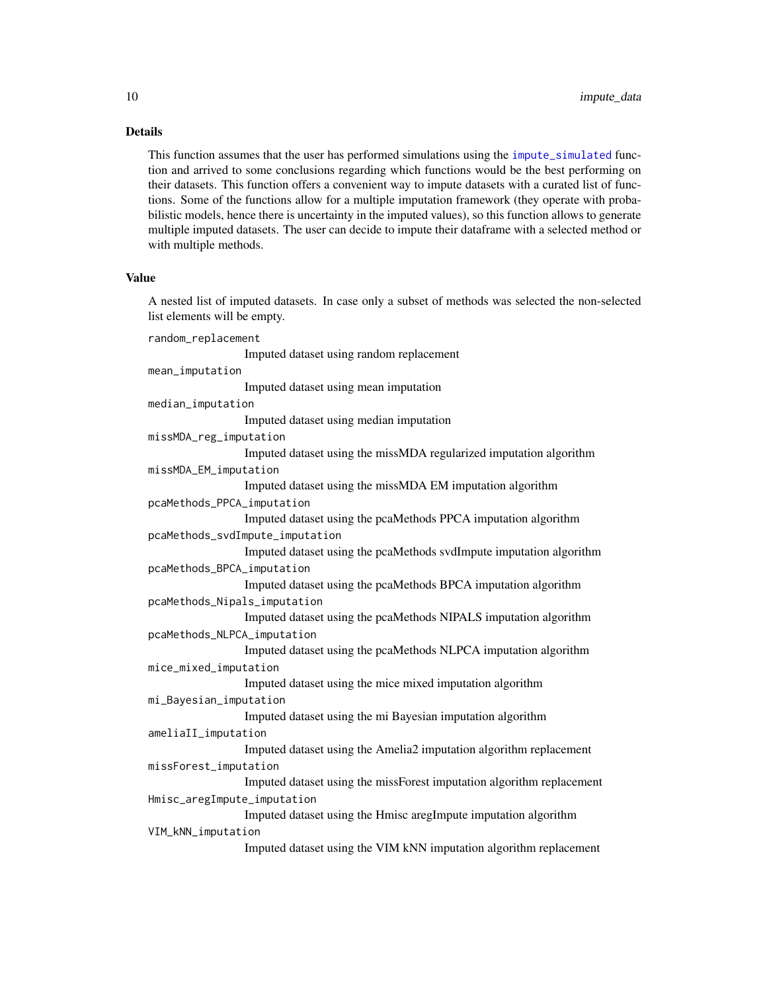## Details

This function assumes that the user has performed simulations using the [impute\\_simulated](#page-10-1) function and arrived to some conclusions regarding which functions would be the best performing on their datasets. This function offers a convenient way to impute datasets with a curated list of functions. Some of the functions allow for a multiple imputation framework (they operate with probabilistic models, hence there is uncertainty in the imputed values), so this function allows to generate multiple imputed datasets. The user can decide to impute their dataframe with a selected method or with multiple methods.

#### Value

A nested list of imputed datasets. In case only a subset of methods was selected the non-selected list elements will be empty.

random\_replacement Imputed dataset using random replacement mean\_imputation Imputed dataset using mean imputation median\_imputation Imputed dataset using median imputation missMDA\_reg\_imputation Imputed dataset using the missMDA regularized imputation algorithm missMDA\_EM\_imputation Imputed dataset using the missMDA EM imputation algorithm pcaMethods\_PPCA\_imputation Imputed dataset using the pcaMethods PPCA imputation algorithm pcaMethods\_svdImpute\_imputation Imputed dataset using the pcaMethods svdImpute imputation algorithm pcaMethods\_BPCA\_imputation Imputed dataset using the pcaMethods BPCA imputation algorithm pcaMethods\_Nipals\_imputation Imputed dataset using the pcaMethods NIPALS imputation algorithm pcaMethods\_NLPCA\_imputation Imputed dataset using the pcaMethods NLPCA imputation algorithm mice\_mixed\_imputation Imputed dataset using the mice mixed imputation algorithm mi\_Bayesian\_imputation Imputed dataset using the mi Bayesian imputation algorithm ameliaII\_imputation Imputed dataset using the Amelia2 imputation algorithm replacement missForest\_imputation Imputed dataset using the missForest imputation algorithm replacement Hmisc\_aregImpute\_imputation Imputed dataset using the Hmisc aregImpute imputation algorithm VIM\_kNN\_imputation Imputed dataset using the VIM kNN imputation algorithm replacement

<span id="page-9-0"></span>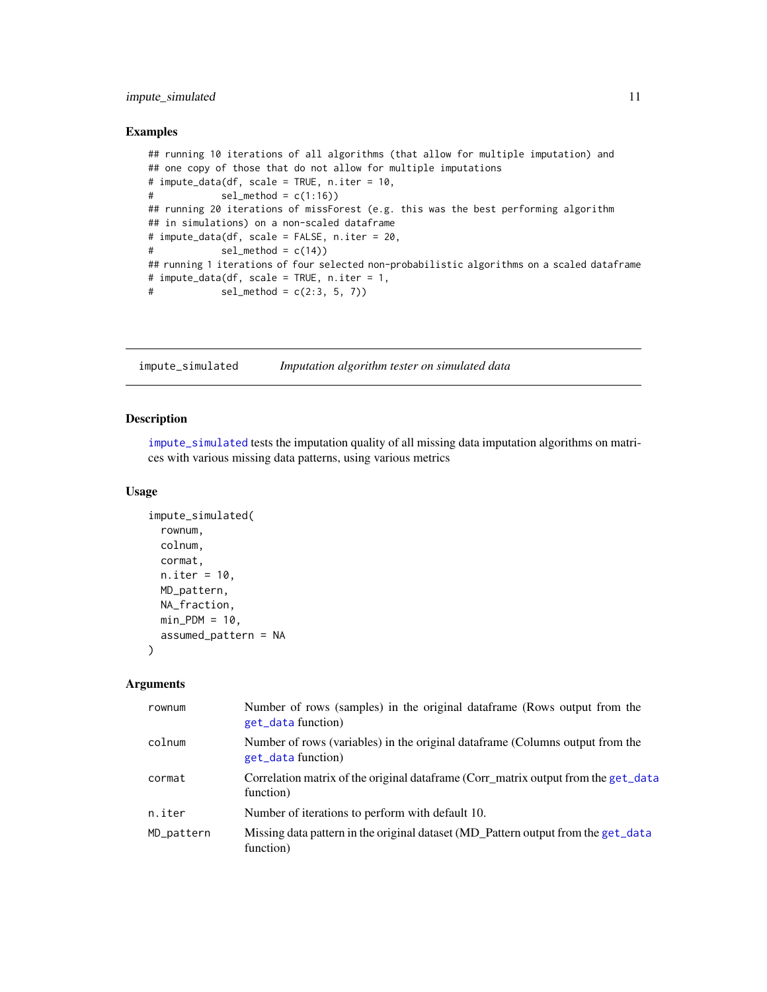## <span id="page-10-0"></span>impute\_simulated 11

#### Examples

```
## running 10 iterations of all algorithms (that allow for multiple imputation) and
## one copy of those that do not allow for multiple imputations
# impute_data(df, scale = TRUE, n.iter = 10,
# sel_method = c(1:16)## running 20 iterations of missForest (e.g. this was the best performing algorithm
## in simulations) on a non-scaled dataframe
# impute_data(df, scale = FALSE, n.iter = 20,
# sel_method = c(14)## running 1 iterations of four selected non-probabilistic algorithms on a scaled dataframe
# impute_data(df, scale = TRUE, n.iter = 1,
# sel_method = c(2:3, 5, 7)
```
<span id="page-10-1"></span>impute\_simulated *Imputation algorithm tester on simulated data*

#### Description

[impute\\_simulated](#page-10-1) tests the imputation quality of all missing data imputation algorithms on matrices with various missing data patterns, using various metrics

#### Usage

```
impute_simulated(
  rownum,
  colnum,
  cormat,
 n.iter = 10,
 MD_pattern,
 NA_fraction,
 min_PDM = 10,
  assumed_pattern = NA
)
```
#### Arguments

| rownum     | Number of rows (samples) in the original dataframe (Rows output from the<br>get_data function)       |
|------------|------------------------------------------------------------------------------------------------------|
| colnum     | Number of rows (variables) in the original data frame (Columns output from the<br>get_data function) |
| cormat     | Correlation matrix of the original dataframe (Corr_matrix output from the get_data<br>function)      |
| n.iter     | Number of iterations to perform with default 10.                                                     |
| MD_pattern | Missing data pattern in the original dataset (MD Pattern output from the get_data<br>function)       |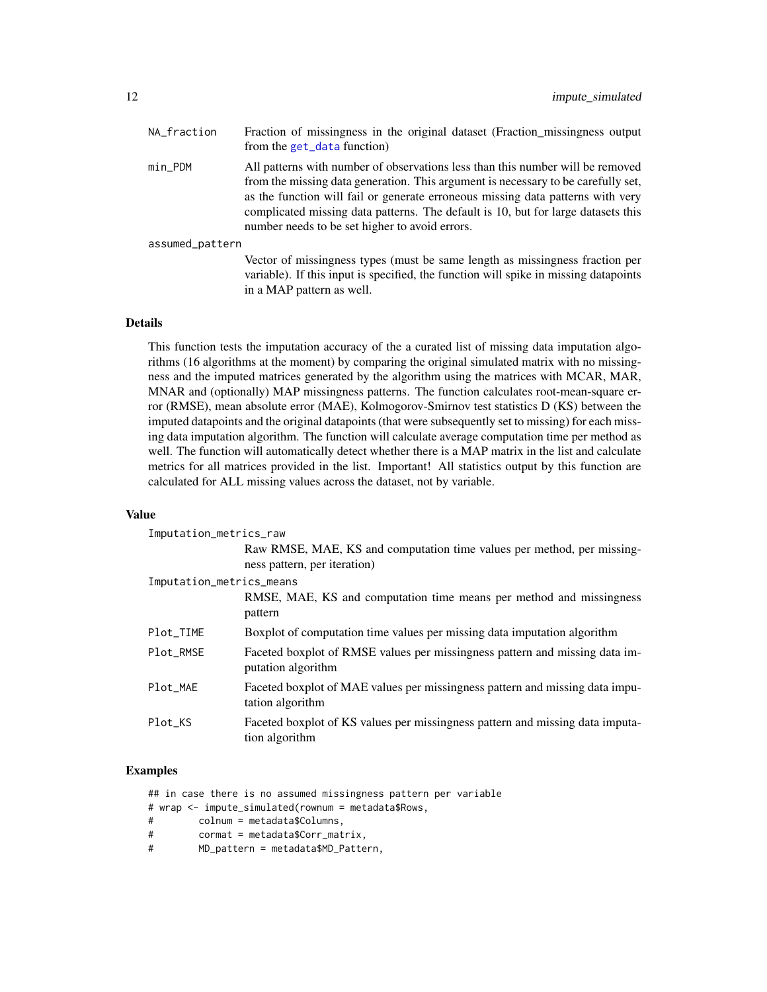| NA_fraction     | Fraction of missingness in the original dataset (Fraction_missingness output<br>from the get_data function)                                                                                                                                                                                                                                                                                   |
|-----------------|-----------------------------------------------------------------------------------------------------------------------------------------------------------------------------------------------------------------------------------------------------------------------------------------------------------------------------------------------------------------------------------------------|
| $min\_PDM$      | All patterns with number of observations less than this number will be removed<br>from the missing data generation. This argument is necessary to be carefully set,<br>as the function will fail or generate erroneous missing data patterns with very<br>complicated missing data patterns. The default is 10, but for large datasets this<br>number needs to be set higher to avoid errors. |
| assumed_pattern |                                                                                                                                                                                                                                                                                                                                                                                               |
|                 | Vector of missingness types (must be same length as missingness fraction per<br>variable). If this input is specified, the function will spike in missing datapoints<br>in a MAP pattern as well.                                                                                                                                                                                             |

## Details

This function tests the imputation accuracy of the a curated list of missing data imputation algorithms (16 algorithms at the moment) by comparing the original simulated matrix with no missingness and the imputed matrices generated by the algorithm using the matrices with MCAR, MAR, MNAR and (optionally) MAP missingness patterns. The function calculates root-mean-square error (RMSE), mean absolute error (MAE), Kolmogorov-Smirnov test statistics D (KS) between the imputed datapoints and the original datapoints (that were subsequently set to missing) for each missing data imputation algorithm. The function will calculate average computation time per method as well. The function will automatically detect whether there is a MAP matrix in the list and calculate metrics for all matrices provided in the list. Important! All statistics output by this function are calculated for ALL missing values across the dataset, not by variable.

#### Value

| Imputation_metrics_raw   |                                                                                                        |  |
|--------------------------|--------------------------------------------------------------------------------------------------------|--|
|                          | Raw RMSE, MAE, KS and computation time values per method, per missing-<br>ness pattern, per iteration) |  |
| Imputation_metrics_means |                                                                                                        |  |
|                          | RMSE, MAE, KS and computation time means per method and missingness<br>pattern                         |  |
| Plot_TIME                | Boxplot of computation time values per missing data imputation algorithm                               |  |
| Plot_RMSE                | Faceted boxplot of RMSE values per missingness pattern and missing data im-<br>putation algorithm      |  |
| Plot MAE                 | Faceted boxplot of MAE values per missingness pattern and missing data impu-<br>tation algorithm       |  |
| Plot KS                  | Faceted boxplot of KS values per missingness pattern and missing data imputa-<br>tion algorithm        |  |

## Examples

## in case there is no assumed missingness pattern per variable

# wrap <- impute\_simulated(rownum = metadata\$Rows,

- # colnum = metadata\$Columns,
- # cormat = metadata\$Corr\_matrix,
- # MD\_pattern = metadata\$MD\_Pattern,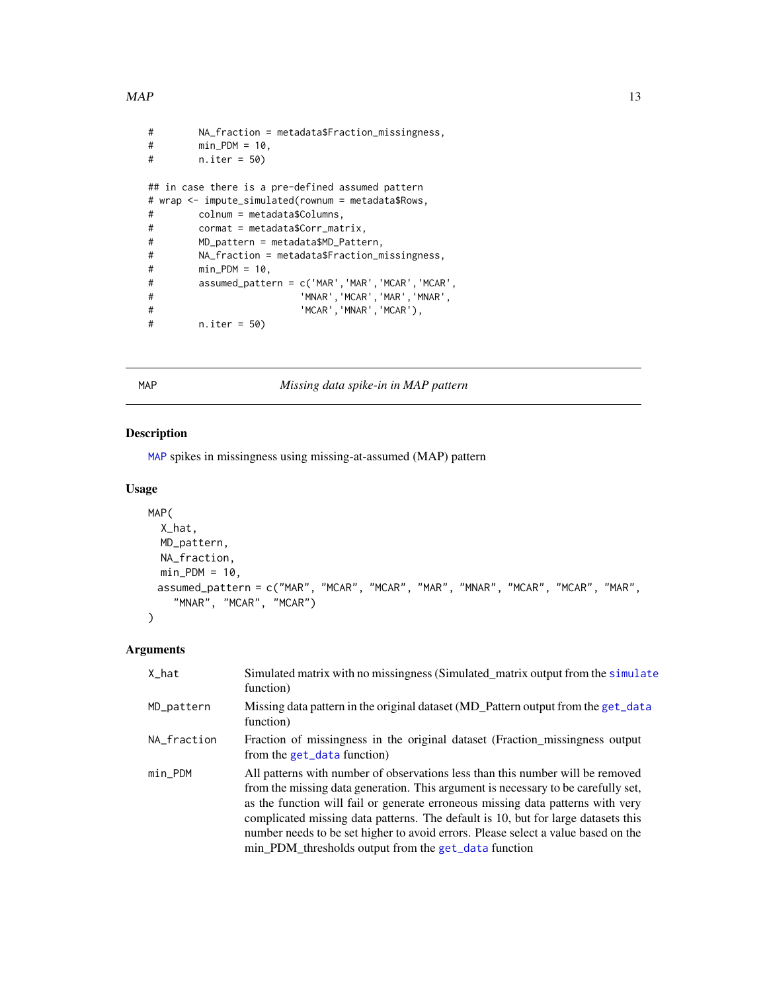#### <span id="page-12-0"></span> $MAP$  13

```
# NA_fraction = metadata$Fraction_missingness,
# min_PDM = 10,
# n.iter = 50)
## in case there is a pre-defined assumed pattern
# wrap <- impute_simulated(rownum = metadata$Rows,
# colnum = metadata$Columns,
# cormat = metadata$Corr_matrix,
# MD_pattern = metadata$MD_Pattern,
# NA_fraction = metadata$Fraction_missingness,
# min_PDM = 10,
# assumed_pattern = c('MAR','MAR','MCAR','MCAR',
# 'MNAR','MCAR','MAR','MNAR',
# 'MCAR','MNAR','MCAR'),
# n.iter = 50)
```
<span id="page-12-1"></span>

MAP *Missing data spike-in in MAP pattern*

## Description

[MAP](#page-12-1) spikes in missingness using missing-at-assumed (MAP) pattern

## Usage

```
MAP(
  X_hat,
 MD_pattern,
 NA_fraction,
 min_PDM = 10,
 assumed_pattern = c("MAR", "MCAR", "MCAR", "MAR", "MNAR", "MCAR", "MCAR", "MAR",
    "MNAR", "MCAR", "MCAR")
```
## Arguments

)

| X_hat       | Simulated matrix with no missingness (Simulated_matrix output from the simulate<br>function)                                                                                                                                                                                                                                                                                                                                                                                             |
|-------------|------------------------------------------------------------------------------------------------------------------------------------------------------------------------------------------------------------------------------------------------------------------------------------------------------------------------------------------------------------------------------------------------------------------------------------------------------------------------------------------|
| MD_pattern  | Missing data pattern in the original dataset (MD_Pattern output from the get_data<br>function)                                                                                                                                                                                                                                                                                                                                                                                           |
| NA_fraction | Fraction of missingness in the original dataset (Fraction missingness output<br>from the get_data function)                                                                                                                                                                                                                                                                                                                                                                              |
| min PDM     | All patterns with number of observations less than this number will be removed<br>from the missing data generation. This argument is necessary to be carefully set,<br>as the function will fail or generate erroneous missing data patterns with very<br>complicated missing data patterns. The default is 10, but for large datasets this<br>number needs to be set higher to avoid errors. Please select a value based on the<br>min PDM thresholds output from the get_data function |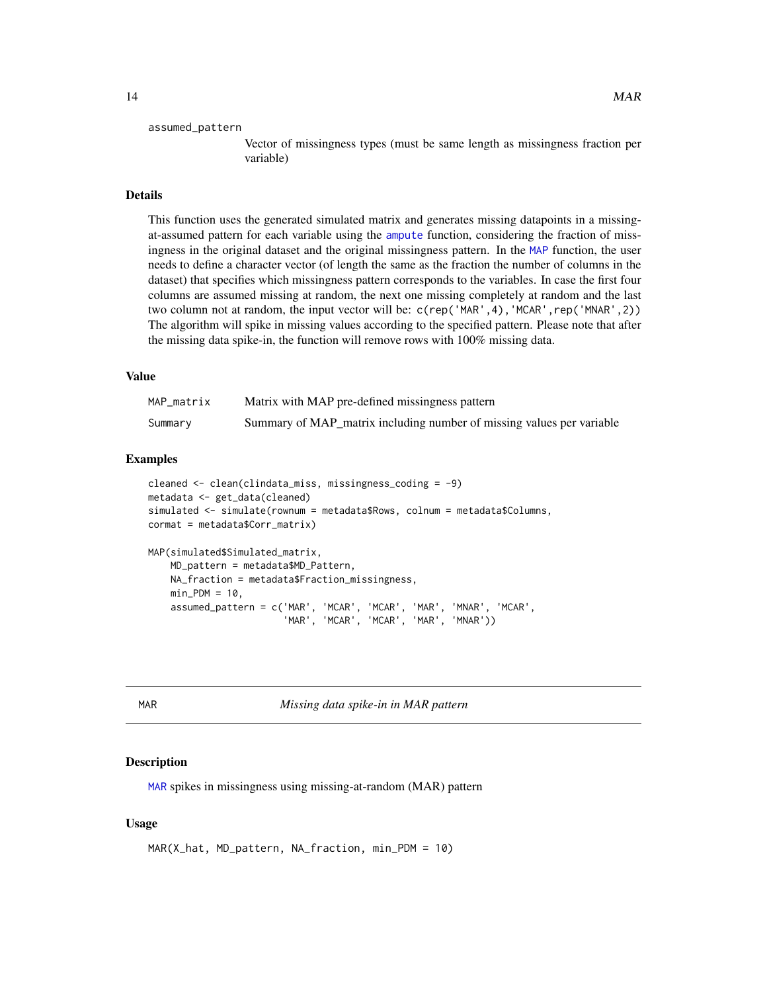#### <span id="page-13-0"></span>assumed\_pattern

Vector of missingness types (must be same length as missingness fraction per variable)

#### Details

This function uses the generated simulated matrix and generates missing datapoints in a missingat-assumed pattern for each variable using the [ampute](#page-0-0) function, considering the fraction of missingness in the original dataset and the original missingness pattern. In the [MAP](#page-12-1) function, the user needs to define a character vector (of length the same as the fraction the number of columns in the dataset) that specifies which missingness pattern corresponds to the variables. In case the first four columns are assumed missing at random, the next one missing completely at random and the last two column not at random, the input vector will be: c(rep('MAR',4),'MCAR',rep('MNAR',2)) The algorithm will spike in missing values according to the specified pattern. Please note that after the missing data spike-in, the function will remove rows with 100% missing data.

#### Value

| MAP matrix | Matrix with MAP pre-defined missingness pattern                       |
|------------|-----------------------------------------------------------------------|
| Summary    | Summary of MAP_matrix including number of missing values per variable |

#### Examples

```
cleaned <- clean(clindata_miss, missingness_coding = -9)
metadata <- get_data(cleaned)
simulated <- simulate(rownum = metadata$Rows, colnum = metadata$Columns,
cormat = metadata$Corr_matrix)
MAP(simulated$Simulated_matrix,
    MD_pattern = metadata$MD_Pattern,
   NA_fraction = metadata$Fraction_missingness,
   min_PDM = 10,
    assumed_pattern = c('MAR', 'MCAR', 'MCAR', 'MAR', 'MNAR', 'MCAR',
                        'MAR', 'MCAR', 'MCAR', 'MAR', 'MNAR'))
```
<span id="page-13-1"></span>MAR *Missing data spike-in in MAR pattern*

#### Description

[MAR](#page-13-1) spikes in missingness using missing-at-random (MAR) pattern

#### Usage

```
MAR(X_hat, MD_pattern, NA_fraction, min_PDM = 10)
```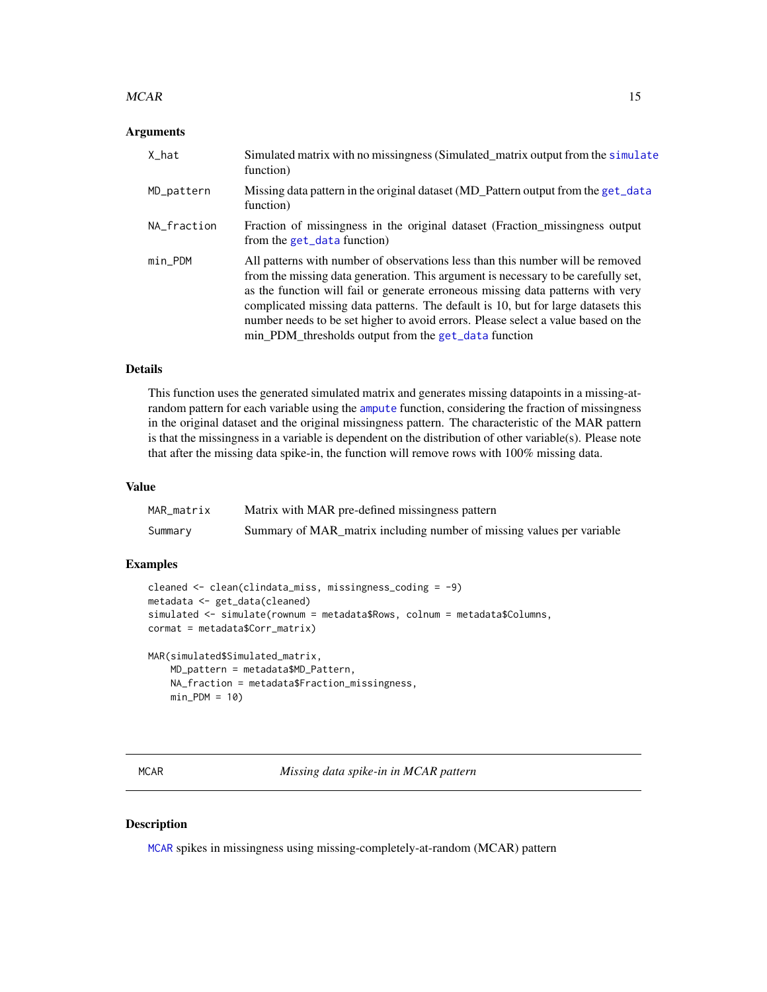#### <span id="page-14-0"></span> $MCAR$  15

#### Arguments

| X hat       | Simulated matrix with no missingness (Simulated_matrix output from the simulate<br>function)                                                                                                                                                                                                                                                                                                                                                                                             |
|-------------|------------------------------------------------------------------------------------------------------------------------------------------------------------------------------------------------------------------------------------------------------------------------------------------------------------------------------------------------------------------------------------------------------------------------------------------------------------------------------------------|
| MD_pattern  | Missing data pattern in the original dataset (MD_Pattern output from the get_data<br>function)                                                                                                                                                                                                                                                                                                                                                                                           |
| NA fraction | Fraction of missingness in the original dataset (Fraction missingness output<br>from the get_data function)                                                                                                                                                                                                                                                                                                                                                                              |
| min PDM     | All patterns with number of observations less than this number will be removed<br>from the missing data generation. This argument is necessary to be carefully set,<br>as the function will fail or generate erroneous missing data patterns with very<br>complicated missing data patterns. The default is 10, but for large datasets this<br>number needs to be set higher to avoid errors. Please select a value based on the<br>min_PDM_thresholds output from the get_data function |

#### Details

This function uses the generated simulated matrix and generates missing datapoints in a missing-atrandom pattern for each variable using the [ampute](#page-0-0) function, considering the fraction of missingness in the original dataset and the original missingness pattern. The characteristic of the MAR pattern is that the missingness in a variable is dependent on the distribution of other variable(s). Please note that after the missing data spike-in, the function will remove rows with 100% missing data.

#### Value

| MAR matrix | Matrix with MAR pre-defined missingness pattern                       |
|------------|-----------------------------------------------------------------------|
| Summary    | Summary of MAR_matrix including number of missing values per variable |

## Examples

```
cleaned <- clean(clindata_miss, missingness_coding = -9)
metadata <- get_data(cleaned)
simulated <- simulate(rownum = metadata$Rows, colnum = metadata$Columns,
cormat = metadata$Corr_matrix)
```

```
MAR(simulated$Simulated_matrix,
    MD_pattern = metadata$MD_Pattern,
    NA_fraction = metadata$Fraction_missingness,
    min_PDM = 10
```
<span id="page-14-1"></span>MCAR *Missing data spike-in in MCAR pattern*

## Description

[MCAR](#page-14-1) spikes in missingness using missing-completely-at-random (MCAR) pattern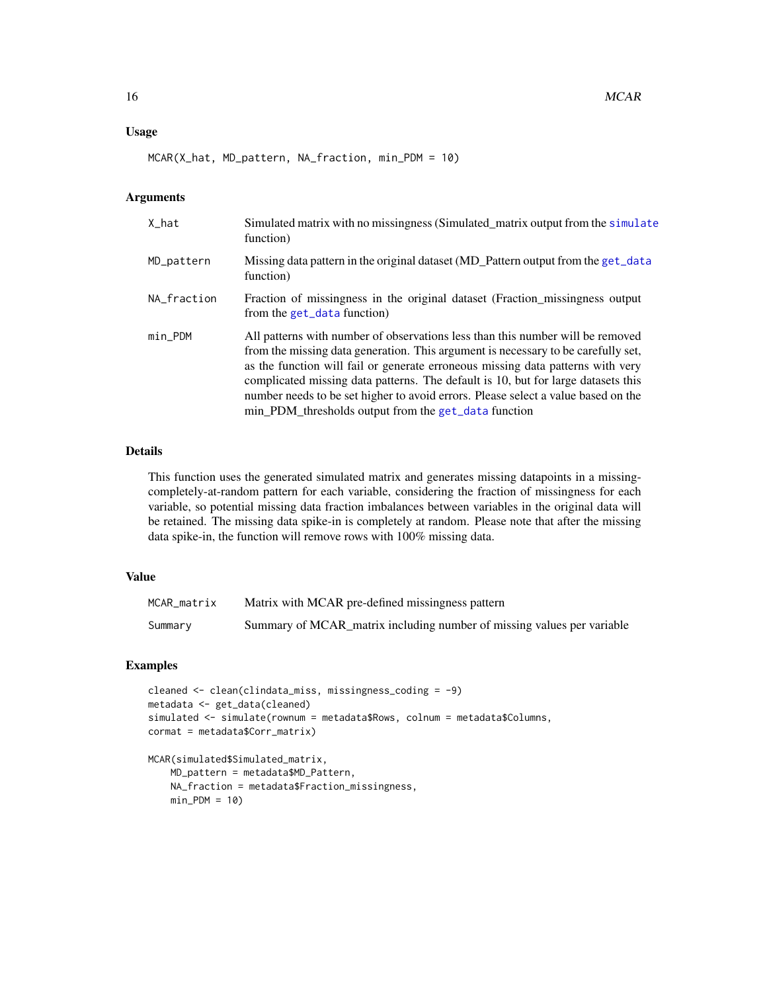## <span id="page-15-0"></span>Usage

MCAR(X\_hat, MD\_pattern, NA\_fraction, min\_PDM = 10)

#### Arguments

| X hat       | Simulated matrix with no missingness (Simulated_matrix output from the simulate<br>function)                                                                                                                                                                                                                                                                                                                                                                                             |
|-------------|------------------------------------------------------------------------------------------------------------------------------------------------------------------------------------------------------------------------------------------------------------------------------------------------------------------------------------------------------------------------------------------------------------------------------------------------------------------------------------------|
| MD_pattern  | Missing data pattern in the original dataset (MD_Pattern output from the get_data<br>function)                                                                                                                                                                                                                                                                                                                                                                                           |
| NA_fraction | Fraction of missingness in the original dataset (Fraction missingness output<br>from the get_data function)                                                                                                                                                                                                                                                                                                                                                                              |
| $min_PDM$   | All patterns with number of observations less than this number will be removed<br>from the missing data generation. This argument is necessary to be carefully set,<br>as the function will fail or generate erroneous missing data patterns with very<br>complicated missing data patterns. The default is 10, but for large datasets this<br>number needs to be set higher to avoid errors. Please select a value based on the<br>min PDM thresholds output from the get_data function |

## Details

This function uses the generated simulated matrix and generates missing datapoints in a missingcompletely-at-random pattern for each variable, considering the fraction of missingness for each variable, so potential missing data fraction imbalances between variables in the original data will be retained. The missing data spike-in is completely at random. Please note that after the missing data spike-in, the function will remove rows with 100% missing data.

## Value

| MCAR_matrix | Matrix with MCAR pre-defined missingness pattern                       |
|-------------|------------------------------------------------------------------------|
| Summary     | Summary of MCAR_matrix including number of missing values per variable |

## Examples

```
cleaned <- clean(clindata_miss, missingness_coding = -9)
metadata <- get_data(cleaned)
simulated <- simulate(rownum = metadata$Rows, colnum = metadata$Columns,
cormat = metadata$Corr_matrix)
```

```
MCAR(simulated$Simulated_matrix,
   MD_pattern = metadata$MD_Pattern,
   NA_fraction = metadata$Fraction_missingness,
   min_PDM = 10
```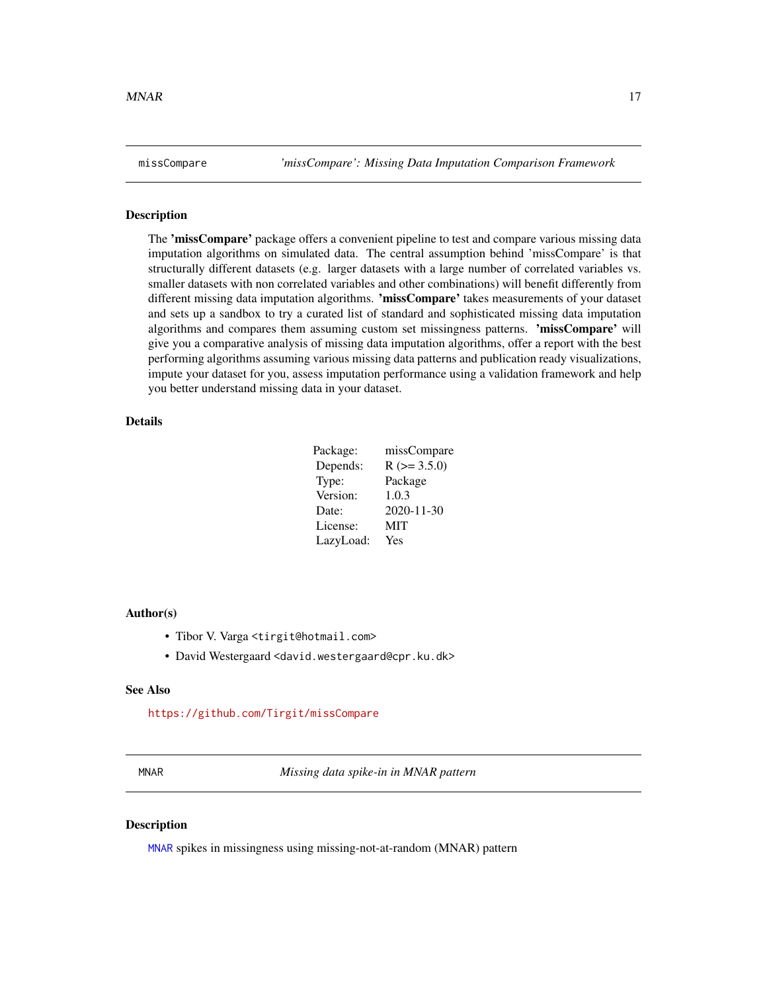<span id="page-16-0"></span>missCompare *'missCompare': Missing Data Imputation Comparison Framework*

#### Description

The 'missCompare' package offers a convenient pipeline to test and compare various missing data imputation algorithms on simulated data. The central assumption behind 'missCompare' is that structurally different datasets (e.g. larger datasets with a large number of correlated variables vs. smaller datasets with non correlated variables and other combinations) will benefit differently from different missing data imputation algorithms. 'missCompare' takes measurements of your dataset and sets up a sandbox to try a curated list of standard and sophisticated missing data imputation algorithms and compares them assuming custom set missingness patterns. 'missCompare' will give you a comparative analysis of missing data imputation algorithms, offer a report with the best performing algorithms assuming various missing data patterns and publication ready visualizations, impute your dataset for you, assess imputation performance using a validation framework and help you better understand missing data in your dataset.

## Details

| $R$ ( $>=$ 3.5.0)<br>Depends:<br>Type:<br>Package<br>Version:<br>1.0.3<br>2020-11-30<br>Date:<br>License:<br><b>MIT</b><br>LazyLoad:<br>Yes | Package: | missCompare |
|---------------------------------------------------------------------------------------------------------------------------------------------|----------|-------------|
|                                                                                                                                             |          |             |
|                                                                                                                                             |          |             |
|                                                                                                                                             |          |             |
|                                                                                                                                             |          |             |
|                                                                                                                                             |          |             |
|                                                                                                                                             |          |             |

#### Author(s)

- Tibor V. Varga <tirgit@hotmail.com>
- David Westergaard <david.westergaard@cpr.ku.dk>

#### See Also

<https://github.com/Tirgit/missCompare>

<span id="page-16-1"></span>MNAR *Missing data spike-in in MNAR pattern*

## **Description**

[MNAR](#page-16-1) spikes in missingness using missing-not-at-random (MNAR) pattern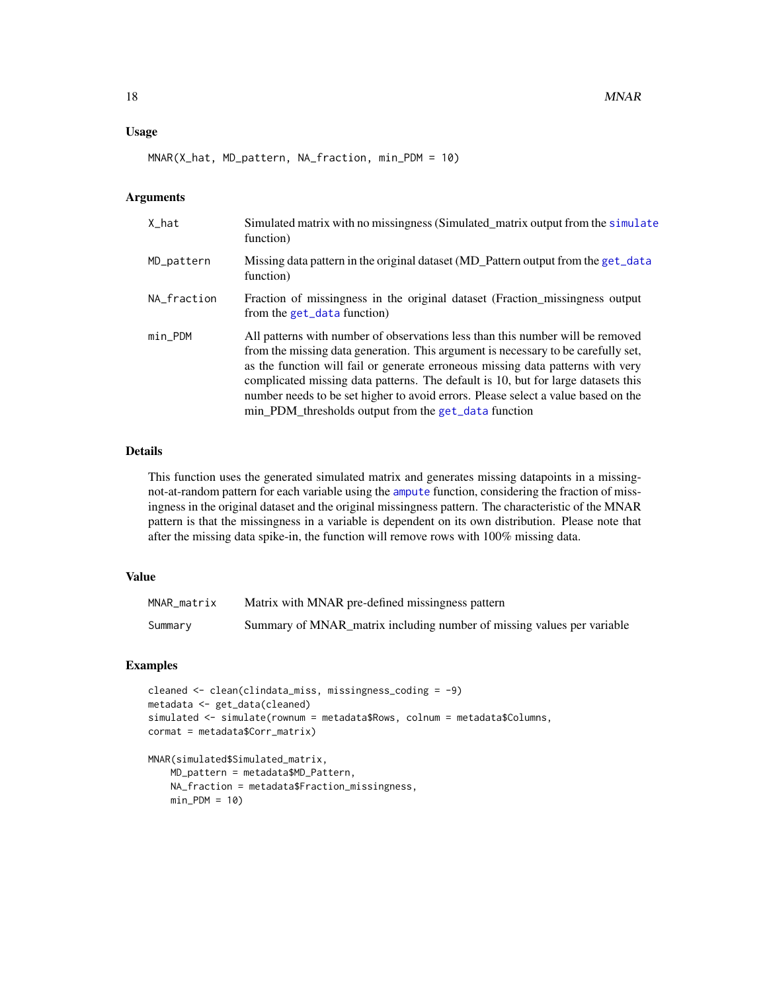## <span id="page-17-0"></span>Usage

MNAR(X\_hat, MD\_pattern, NA\_fraction, min\_PDM = 10)

#### Arguments

| X hat       | Simulated matrix with no missingness (Simulated_matrix output from the simulate<br>function)                                                                                                                                                                                                                                                                                                                                                                                             |
|-------------|------------------------------------------------------------------------------------------------------------------------------------------------------------------------------------------------------------------------------------------------------------------------------------------------------------------------------------------------------------------------------------------------------------------------------------------------------------------------------------------|
| MD_pattern  | Missing data pattern in the original dataset (MD_Pattern output from the get_data<br>function)                                                                                                                                                                                                                                                                                                                                                                                           |
| NA fraction | Fraction of missingness in the original dataset (Fraction missingness output<br>from the get_data function)                                                                                                                                                                                                                                                                                                                                                                              |
| $min_PDM$   | All patterns with number of observations less than this number will be removed<br>from the missing data generation. This argument is necessary to be carefully set,<br>as the function will fail or generate erroneous missing data patterns with very<br>complicated missing data patterns. The default is 10, but for large datasets this<br>number needs to be set higher to avoid errors. Please select a value based on the<br>min_PDM_thresholds output from the get_data function |

#### Details

This function uses the generated simulated matrix and generates missing datapoints in a missingnot-at-random pattern for each variable using the [ampute](#page-0-0) function, considering the fraction of missingness in the original dataset and the original missingness pattern. The characteristic of the MNAR pattern is that the missingness in a variable is dependent on its own distribution. Please note that after the missing data spike-in, the function will remove rows with 100% missing data.

## Value

| MNAR matrix | Matrix with MNAR pre-defined missingness pattern                       |
|-------------|------------------------------------------------------------------------|
| Summary     | Summary of MNAR matrix including number of missing values per variable |

## Examples

```
cleaned <- clean(clindata_miss, missingness_coding = -9)
metadata <- get_data(cleaned)
simulated <- simulate(rownum = metadata$Rows, colnum = metadata$Columns,
cormat = metadata$Corr_matrix)
```

```
MNAR(simulated$Simulated_matrix,
   MD_pattern = metadata$MD_Pattern,
   NA_fraction = metadata$Fraction_missingness,
   min_PDM = 10
```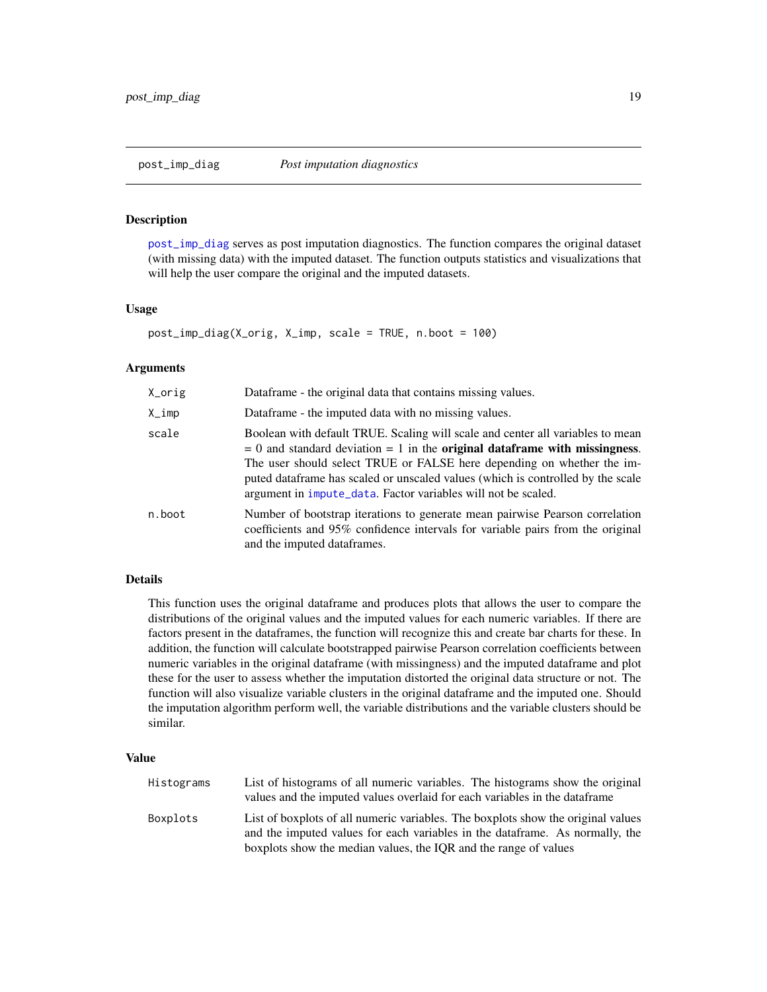## <span id="page-18-1"></span><span id="page-18-0"></span>**Description**

[post\\_imp\\_diag](#page-18-1) serves as post imputation diagnostics. The function compares the original dataset (with missing data) with the imputed dataset. The function outputs statistics and visualizations that will help the user compare the original and the imputed datasets.

#### Usage

```
post_imp_diag(X_orig, X_imp, scale = TRUE, n.boot = 100)
```
#### Arguments

| X_orig | Dataframe - the original data that contains missing values.                                                                                                                                                                                                                                                                                                                                                     |
|--------|-----------------------------------------------------------------------------------------------------------------------------------------------------------------------------------------------------------------------------------------------------------------------------------------------------------------------------------------------------------------------------------------------------------------|
| X_imp  | Dataframe - the imputed data with no missing values.                                                                                                                                                                                                                                                                                                                                                            |
| scale  | Boolean with default TRUE. Scaling will scale and center all variables to mean<br>$= 0$ and standard deviation $= 1$ in the <b>original dataframe with missingness</b> .<br>The user should select TRUE or FALSE here depending on whether the im-<br>puted data frame has scaled or unscaled values (which is controlled by the scale<br>argument in <i>impute_data</i> . Factor variables will not be scaled. |
| n.boot | Number of bootstrap iterations to generate mean pairwise Pearson correlation<br>coefficients and 95% confidence intervals for variable pairs from the original<br>and the imputed dataframes.                                                                                                                                                                                                                   |

## Details

This function uses the original dataframe and produces plots that allows the user to compare the distributions of the original values and the imputed values for each numeric variables. If there are factors present in the dataframes, the function will recognize this and create bar charts for these. In addition, the function will calculate bootstrapped pairwise Pearson correlation coefficients between numeric variables in the original dataframe (with missingness) and the imputed dataframe and plot these for the user to assess whether the imputation distorted the original data structure or not. The function will also visualize variable clusters in the original dataframe and the imputed one. Should the imputation algorithm perform well, the variable distributions and the variable clusters should be similar.

| Histograms | List of histograms of all numeric variables. The histograms show the original<br>values and the imputed values overlaid for each variables in the data frame                                                                          |
|------------|---------------------------------------------------------------------------------------------------------------------------------------------------------------------------------------------------------------------------------------|
| Boxplots   | List of boxplots of all numeric variables. The boxplots show the original values<br>and the imputed values for each variables in the data frame. As normally, the<br>boxplots show the median values, the IQR and the range of values |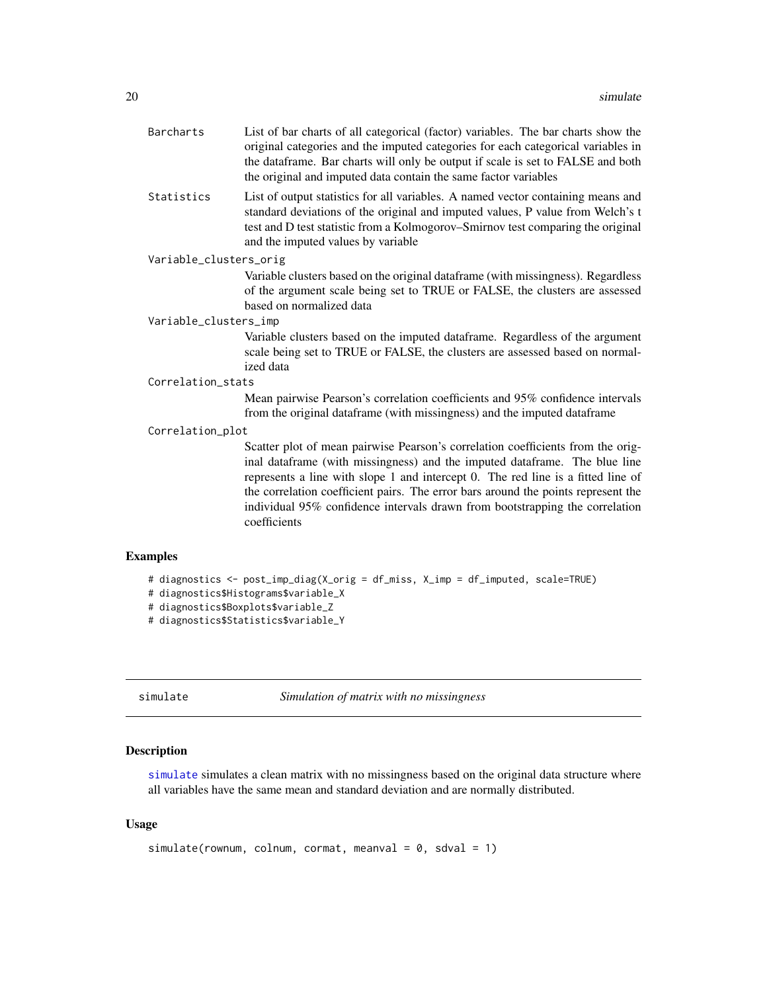<span id="page-19-0"></span>

| <b>Barcharts</b>       | List of bar charts of all categorical (factor) variables. The bar charts show the<br>original categories and the imputed categories for each categorical variables in<br>the dataframe. Bar charts will only be output if scale is set to FALSE and both<br>the original and imputed data contain the same factor variables                                                                                                            |
|------------------------|----------------------------------------------------------------------------------------------------------------------------------------------------------------------------------------------------------------------------------------------------------------------------------------------------------------------------------------------------------------------------------------------------------------------------------------|
| Statistics             | List of output statistics for all variables. A named vector containing means and<br>standard deviations of the original and imputed values, P value from Welch's t<br>test and D test statistic from a Kolmogorov-Smirnov test comparing the original<br>and the imputed values by variable                                                                                                                                            |
| Variable_clusters_orig |                                                                                                                                                                                                                                                                                                                                                                                                                                        |
|                        | Variable clusters based on the original dataframe (with missingness). Regardless<br>of the argument scale being set to TRUE or FALSE, the clusters are assessed<br>based on normalized data                                                                                                                                                                                                                                            |
| Variable_clusters_imp  |                                                                                                                                                                                                                                                                                                                                                                                                                                        |
|                        | Variable clusters based on the imputed dataframe. Regardless of the argument<br>scale being set to TRUE or FALSE, the clusters are assessed based on normal-<br>ized data                                                                                                                                                                                                                                                              |
| Correlation_stats      |                                                                                                                                                                                                                                                                                                                                                                                                                                        |
|                        | Mean pairwise Pearson's correlation coefficients and 95% confidence intervals<br>from the original dataframe (with missingness) and the imputed dataframe                                                                                                                                                                                                                                                                              |
| Correlation_plot       |                                                                                                                                                                                                                                                                                                                                                                                                                                        |
|                        | Scatter plot of mean pairwise Pearson's correlation coefficients from the orig-<br>inal dataframe (with missingness) and the imputed dataframe. The blue line<br>represents a line with slope 1 and intercept 0. The red line is a fitted line of<br>the correlation coefficient pairs. The error bars around the points represent the<br>individual 95% confidence intervals drawn from bootstrapping the correlation<br>coefficients |
| <b>Examples</b>        |                                                                                                                                                                                                                                                                                                                                                                                                                                        |
|                        | # diagnostics <- post_imp_diag(X_orig = df_miss, X_imp = df_imputed, scale=TRUE)                                                                                                                                                                                                                                                                                                                                                       |

## # diagnostics\$Histograms\$variable\_X

```
# diagnostics$Boxplots$variable_Z
```

```
# diagnostics$Statistics$variable_Y
```
<span id="page-19-1"></span>simulate *Simulation of matrix with no missingness*

## Description

[simulate](#page-19-1) simulates a clean matrix with no missingness based on the original data structure where all variables have the same mean and standard deviation and are normally distributed.

## Usage

```
simulate(rownum, colnum, cormat, meanval = 0, sdval = 1)
```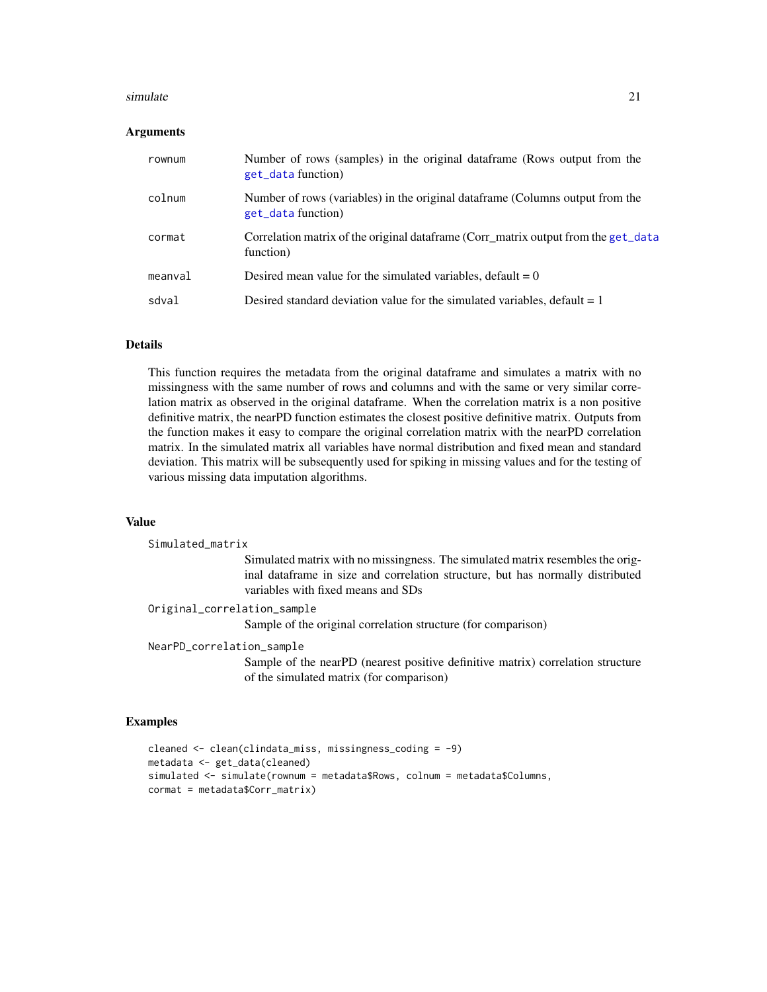#### <span id="page-20-0"></span>simulate 21

#### Arguments

| rownum  | Number of rows (samples) in the original data frame (Rows output from the<br>get_data function)      |
|---------|------------------------------------------------------------------------------------------------------|
| colnum  | Number of rows (variables) in the original data frame (Columns output from the<br>get_data function) |
| cormat  | Correlation matrix of the original dataframe (Corr_matrix output from the get_data<br>function)      |
| meanval | Desired mean value for the simulated variables, default $= 0$                                        |
| sdval   | Desired standard deviation value for the simulated variables, default $= 1$                          |

## Details

This function requires the metadata from the original dataframe and simulates a matrix with no missingness with the same number of rows and columns and with the same or very similar correlation matrix as observed in the original dataframe. When the correlation matrix is a non positive definitive matrix, the nearPD function estimates the closest positive definitive matrix. Outputs from the function makes it easy to compare the original correlation matrix with the nearPD correlation matrix. In the simulated matrix all variables have normal distribution and fixed mean and standard deviation. This matrix will be subsequently used for spiking in missing values and for the testing of various missing data imputation algorithms.

#### Value

```
Simulated_matrix
                  Simulated matrix with no missingness. The simulated matrix resembles the orig-
                  inal dataframe in size and correlation structure, but has normally distributed
                  variables with fixed means and SDs
Original_correlation_sample
                  Sample of the original correlation structure (for comparison)
NearPD_correlation_sample
```
Sample of the nearPD (nearest positive definitive matrix) correlation structure of the simulated matrix (for comparison)

## Examples

```
cleaned <- clean(clindata_miss, missingness_coding = -9)
metadata <- get_data(cleaned)
simulated <- simulate(rownum = metadata$Rows, colnum = metadata$Columns,
cormat = metadata$Corr_matrix)
```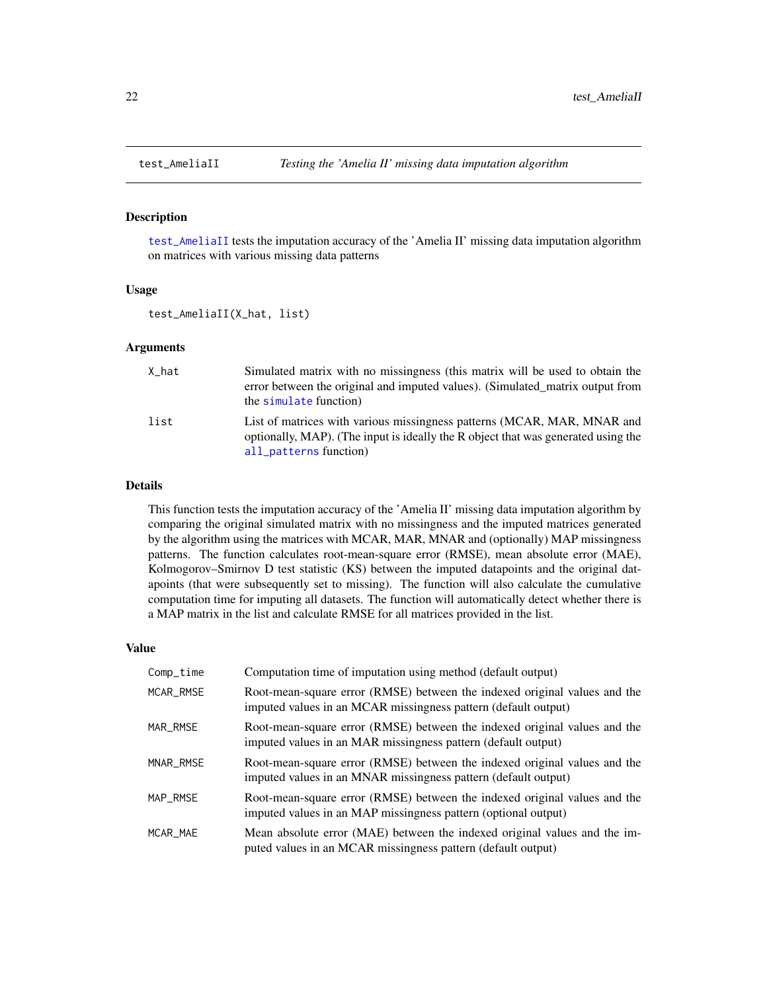<span id="page-21-1"></span><span id="page-21-0"></span>

#### Description

[test\\_AmeliaII](#page-21-1) tests the imputation accuracy of the 'Amelia II' missing data imputation algorithm on matrices with various missing data patterns

#### Usage

test\_AmeliaII(X\_hat, list)

#### Arguments

| X hat | Simulated matrix with no missingness (this matrix will be used to obtain the<br>error between the original and imputed values). (Simulated matrix output from<br>the simulate function) |
|-------|-----------------------------------------------------------------------------------------------------------------------------------------------------------------------------------------|
| list  | List of matrices with various missingness patterns (MCAR, MAR, MNAR and<br>optionally, MAP). (The input is ideally the R object that was generated using the<br>all_patterns function)  |

## Details

This function tests the imputation accuracy of the 'Amelia II' missing data imputation algorithm by comparing the original simulated matrix with no missingness and the imputed matrices generated by the algorithm using the matrices with MCAR, MAR, MNAR and (optionally) MAP missingness patterns. The function calculates root-mean-square error (RMSE), mean absolute error (MAE), Kolmogorov–Smirnov D test statistic (KS) between the imputed datapoints and the original datapoints (that were subsequently set to missing). The function will also calculate the cumulative computation time for imputing all datasets. The function will automatically detect whether there is a MAP matrix in the list and calculate RMSE for all matrices provided in the list.

| Comp_time | Computation time of imputation using method (default output)                                                                                |
|-----------|---------------------------------------------------------------------------------------------------------------------------------------------|
| MCAR_RMSE | Root-mean-square error (RMSE) between the indexed original values and the<br>imputed values in an MCAR missingness pattern (default output) |
| MAR_RMSE  | Root-mean-square error (RMSE) between the indexed original values and the<br>imputed values in an MAR missingness pattern (default output)  |
| MNAR_RMSE | Root-mean-square error (RMSE) between the indexed original values and the<br>imputed values in an MNAR missingness pattern (default output) |
| MAP RMSE  | Root-mean-square error (RMSE) between the indexed original values and the<br>imputed values in an MAP missingness pattern (optional output) |
| MCAR MAE  | Mean absolute error (MAE) between the indexed original values and the im-<br>puted values in an MCAR missingness pattern (default output)   |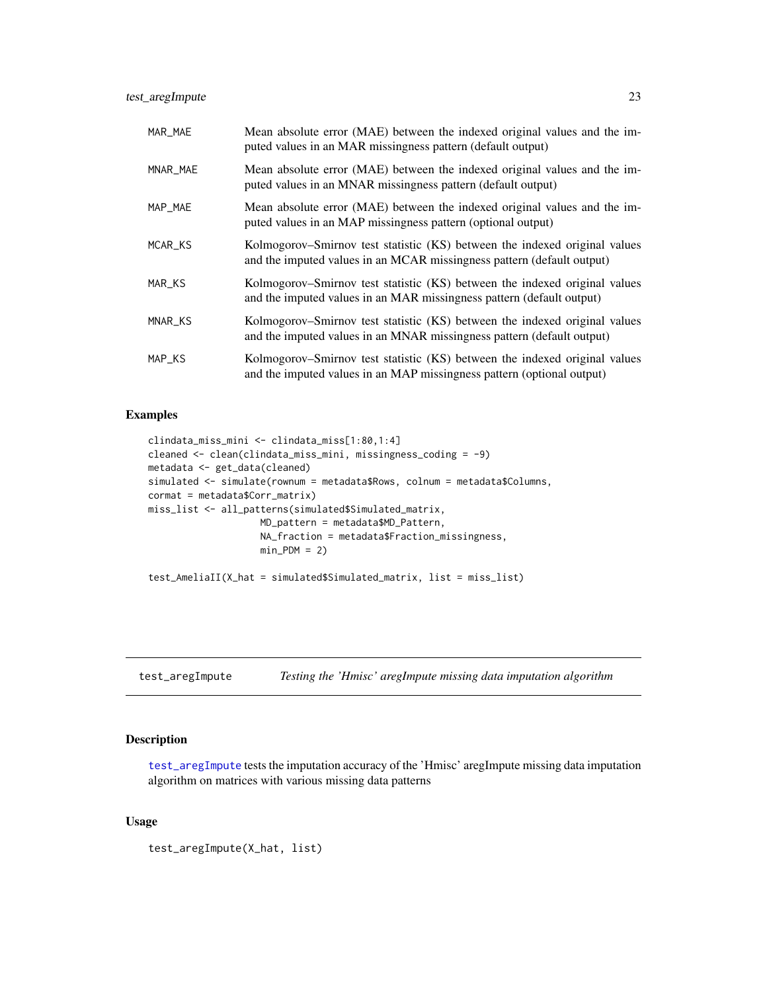<span id="page-22-0"></span>test\_aregImpute 23

| MAR_MAE  | Mean absolute error (MAE) between the indexed original values and the im-<br>puted values in an MAR missingness pattern (default output)             |
|----------|------------------------------------------------------------------------------------------------------------------------------------------------------|
| MNAR_MAE | Mean absolute error (MAE) between the indexed original values and the im-<br>puted values in an MNAR missingness pattern (default output)            |
| MAP_MAE  | Mean absolute error (MAE) between the indexed original values and the im-<br>puted values in an MAP missingness pattern (optional output)            |
| MCAR_KS  | Kolmogorov–Smirnov test statistic (KS) between the indexed original values<br>and the imputed values in an MCAR missingness pattern (default output) |
| MAR_KS   | Kolmogorov–Smirnov test statistic (KS) between the indexed original values<br>and the imputed values in an MAR missingness pattern (default output)  |
| MNAR_KS  | Kolmogorov–Smirnov test statistic (KS) between the indexed original values<br>and the imputed values in an MNAR missingness pattern (default output) |
| MAP_KS   | Kolmogorov–Smirnov test statistic (KS) between the indexed original values<br>and the imputed values in an MAP missingness pattern (optional output) |

## Examples

```
clindata_miss_mini <- clindata_miss[1:80,1:4]
cleaned <- clean(clindata_miss_mini, missingness_coding = -9)
metadata <- get_data(cleaned)
simulated <- simulate(rownum = metadata$Rows, colnum = metadata$Columns,
cormat = metadata$Corr_matrix)
miss_list <- all_patterns(simulated$Simulated_matrix,
                    MD_pattern = metadata$MD_Pattern,
                    NA_fraction = metadata$Fraction_missingness,
                    min_PDM = 2)test_AmeliaII(X_hat = simulated$Simulated_matrix, list = miss_list)
```
<span id="page-22-1"></span>test\_aregImpute *Testing the 'Hmisc' aregImpute missing data imputation algorithm*

#### Description

[test\\_aregImpute](#page-22-1) tests the imputation accuracy of the 'Hmisc' aregImpute missing data imputation algorithm on matrices with various missing data patterns

## Usage

test\_aregImpute(X\_hat, list)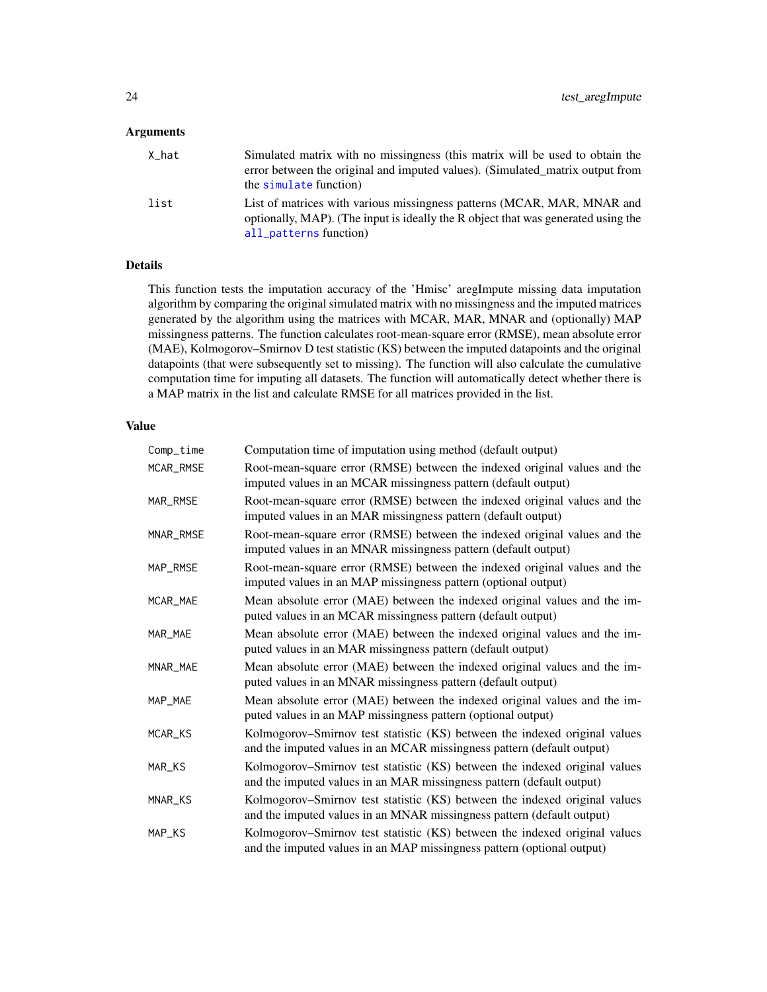## <span id="page-23-0"></span>Arguments

| X_hat | Simulated matrix with no missingness (this matrix will be used to obtain the<br>error between the original and imputed values). (Simulated matrix output from<br>the simulate function) |
|-------|-----------------------------------------------------------------------------------------------------------------------------------------------------------------------------------------|
| list  | List of matrices with various missingness patterns (MCAR, MAR, MNAR and<br>optionally, MAP). (The input is ideally the R object that was generated using the<br>all_patterns function)  |

## Details

This function tests the imputation accuracy of the 'Hmisc' aregImpute missing data imputation algorithm by comparing the original simulated matrix with no missingness and the imputed matrices generated by the algorithm using the matrices with MCAR, MAR, MNAR and (optionally) MAP missingness patterns. The function calculates root-mean-square error (RMSE), mean absolute error (MAE), Kolmogorov–Smirnov D test statistic (KS) between the imputed datapoints and the original datapoints (that were subsequently set to missing). The function will also calculate the cumulative computation time for imputing all datasets. The function will automatically detect whether there is a MAP matrix in the list and calculate RMSE for all matrices provided in the list.

| Comp_time | Computation time of imputation using method (default output)                                                                                         |
|-----------|------------------------------------------------------------------------------------------------------------------------------------------------------|
| MCAR_RMSE | Root-mean-square error (RMSE) between the indexed original values and the<br>imputed values in an MCAR missingness pattern (default output)          |
| MAR_RMSE  | Root-mean-square error (RMSE) between the indexed original values and the<br>imputed values in an MAR missingness pattern (default output)           |
| MNAR_RMSE | Root-mean-square error (RMSE) between the indexed original values and the<br>imputed values in an MNAR missingness pattern (default output)          |
| MAP_RMSE  | Root-mean-square error (RMSE) between the indexed original values and the<br>imputed values in an MAP missingness pattern (optional output)          |
| MCAR_MAE  | Mean absolute error (MAE) between the indexed original values and the im-<br>puted values in an MCAR missingness pattern (default output)            |
| MAR MAE   | Mean absolute error (MAE) between the indexed original values and the im-<br>puted values in an MAR missingness pattern (default output)             |
| MNAR_MAE  | Mean absolute error (MAE) between the indexed original values and the im-<br>puted values in an MNAR missingness pattern (default output)            |
| MAP_MAE   | Mean absolute error (MAE) between the indexed original values and the im-<br>puted values in an MAP missingness pattern (optional output)            |
| MCAR_KS   | Kolmogorov–Smirnov test statistic (KS) between the indexed original values<br>and the imputed values in an MCAR missingness pattern (default output) |
| MAR_KS    | Kolmogorov–Smirnov test statistic (KS) between the indexed original values<br>and the imputed values in an MAR missingness pattern (default output)  |
| MNAR_KS   | Kolmogorov–Smirnov test statistic (KS) between the indexed original values<br>and the imputed values in an MNAR missingness pattern (default output) |
| MAP_KS    | Kolmogorov-Smirnov test statistic (KS) between the indexed original values<br>and the imputed values in an MAP missingness pattern (optional output) |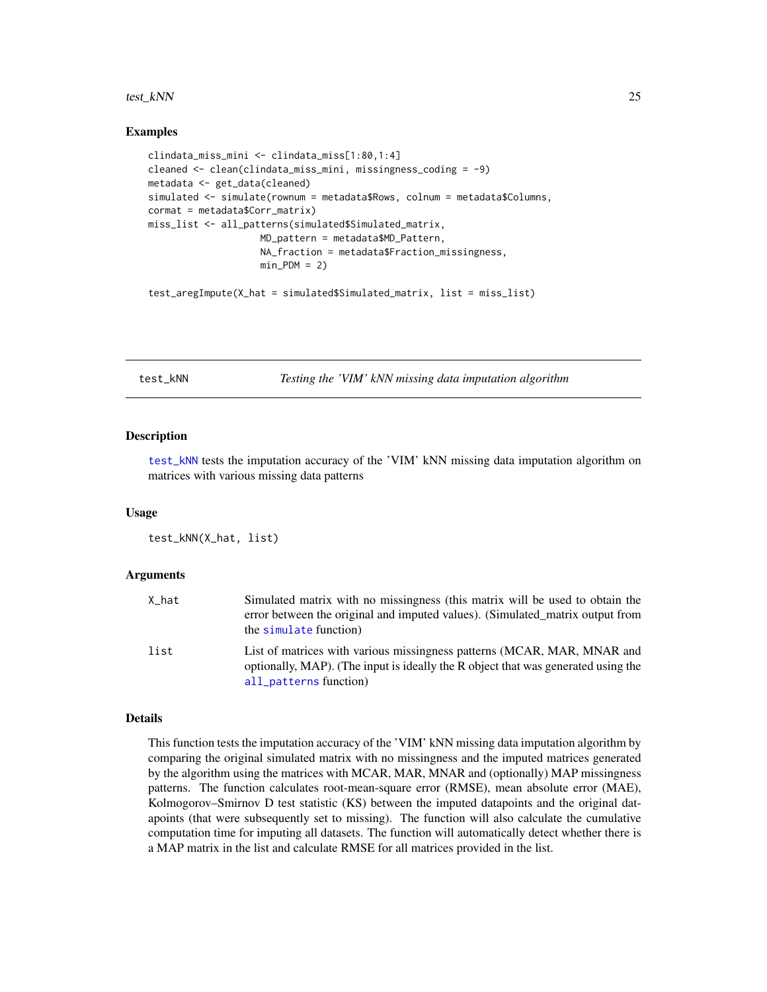#### <span id="page-24-0"></span>test\_kNN 25

#### Examples

```
clindata_miss_mini <- clindata_miss[1:80,1:4]
cleaned <- clean(clindata_miss_mini, missingness_coding = -9)
metadata <- get_data(cleaned)
simulated <- simulate(rownum = metadata$Rows, colnum = metadata$Columns,
cormat = metadata$Corr_matrix)
miss_list <- all_patterns(simulated$Simulated_matrix,
                    MD_pattern = metadata$MD_Pattern,
                    NA_fraction = metadata$Fraction_missingness,
                    min_PDM = 2
```
test\_aregImpute(X\_hat = simulated\$Simulated\_matrix, list = miss\_list)

<span id="page-24-1"></span>test\_kNN *Testing the 'VIM' kNN missing data imputation algorithm*

#### **Description**

[test\\_kNN](#page-24-1) tests the imputation accuracy of the 'VIM' kNN missing data imputation algorithm on matrices with various missing data patterns

#### Usage

test\_kNN(X\_hat, list)

#### Arguments

| X hat | Simulated matrix with no missingness (this matrix will be used to obtain the<br>error between the original and imputed values). (Simulated matrix output from<br>the simulate function) |
|-------|-----------------------------------------------------------------------------------------------------------------------------------------------------------------------------------------|
| list  | List of matrices with various missingness patterns (MCAR, MAR, MNAR and<br>optionally, MAP). (The input is ideally the R object that was generated using the<br>all_patterns function)  |

#### Details

This function tests the imputation accuracy of the 'VIM' kNN missing data imputation algorithm by comparing the original simulated matrix with no missingness and the imputed matrices generated by the algorithm using the matrices with MCAR, MAR, MNAR and (optionally) MAP missingness patterns. The function calculates root-mean-square error (RMSE), mean absolute error (MAE), Kolmogorov–Smirnov D test statistic (KS) between the imputed datapoints and the original datapoints (that were subsequently set to missing). The function will also calculate the cumulative computation time for imputing all datasets. The function will automatically detect whether there is a MAP matrix in the list and calculate RMSE for all matrices provided in the list.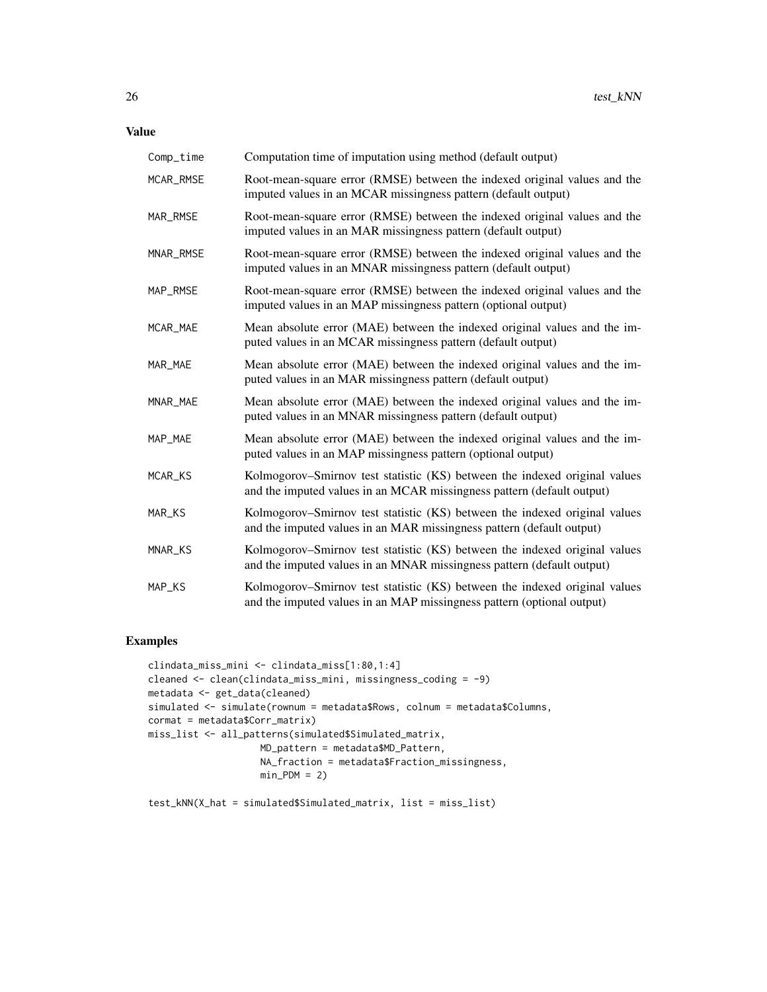Value

| Comp_time | Computation time of imputation using method (default output)                                                                                         |
|-----------|------------------------------------------------------------------------------------------------------------------------------------------------------|
| MCAR_RMSE | Root-mean-square error (RMSE) between the indexed original values and the<br>imputed values in an MCAR missingness pattern (default output)          |
| MAR_RMSE  | Root-mean-square error (RMSE) between the indexed original values and the<br>imputed values in an MAR missingness pattern (default output)           |
| MNAR_RMSE | Root-mean-square error (RMSE) between the indexed original values and the<br>imputed values in an MNAR missingness pattern (default output)          |
| MAP_RMSE  | Root-mean-square error (RMSE) between the indexed original values and the<br>imputed values in an MAP missingness pattern (optional output)          |
| MCAR_MAE  | Mean absolute error (MAE) between the indexed original values and the im-<br>puted values in an MCAR missingness pattern (default output)            |
| MAR_MAE   | Mean absolute error (MAE) between the indexed original values and the im-<br>puted values in an MAR missingness pattern (default output)             |
| MNAR_MAE  | Mean absolute error (MAE) between the indexed original values and the im-<br>puted values in an MNAR missingness pattern (default output)            |
| MAP_MAE   | Mean absolute error (MAE) between the indexed original values and the im-<br>puted values in an MAP missingness pattern (optional output)            |
| MCAR_KS   | Kolmogorov–Smirnov test statistic (KS) between the indexed original values<br>and the imputed values in an MCAR missingness pattern (default output) |
| MAR_KS    | Kolmogorov–Smirnov test statistic (KS) between the indexed original values<br>and the imputed values in an MAR missingness pattern (default output)  |
| MNAR_KS   | Kolmogorov-Smirnov test statistic (KS) between the indexed original values<br>and the imputed values in an MNAR missingness pattern (default output) |
| MAP_KS    | Kolmogorov-Smirnov test statistic (KS) between the indexed original values<br>and the imputed values in an MAP missingness pattern (optional output) |

## Examples

```
clindata_miss_mini <- clindata_miss[1:80,1:4]
cleaned <- clean(clindata_miss_mini, missingness_coding = -9)
metadata <- get_data(cleaned)
simulated <- simulate(rownum = metadata$Rows, colnum = metadata$Columns,
cormat = metadata$Corr_matrix)
miss_list <- all_patterns(simulated$Simulated_matrix,
                    MD_pattern = metadata$MD_Pattern,
                    NA_fraction = metadata$Fraction_missingness,
                   min_PDM = 2)
```
test\_kNN(X\_hat = simulated\$Simulated\_matrix, list = miss\_list)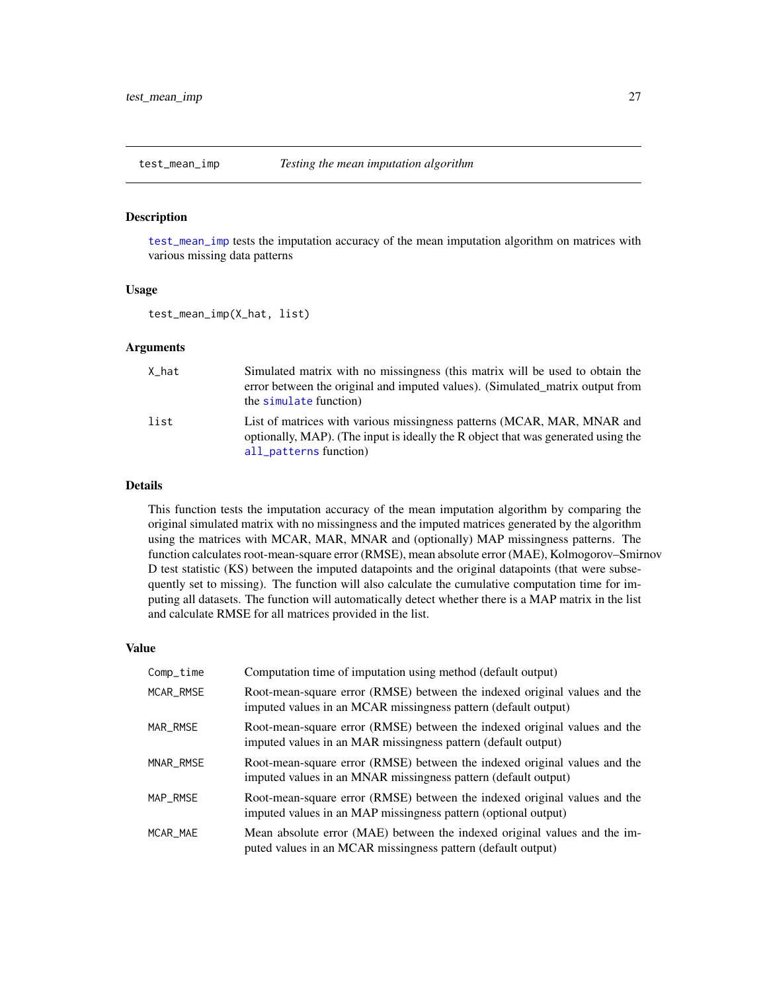<span id="page-26-1"></span><span id="page-26-0"></span>

#### Description

[test\\_mean\\_imp](#page-26-1) tests the imputation accuracy of the mean imputation algorithm on matrices with various missing data patterns

#### Usage

test\_mean\_imp(X\_hat, list)

#### Arguments

| X_hat | Simulated matrix with no missingness (this matrix will be used to obtain the<br>error between the original and imputed values). (Simulated matrix output from<br>the simulate function) |
|-------|-----------------------------------------------------------------------------------------------------------------------------------------------------------------------------------------|
| list  | List of matrices with various missingness patterns (MCAR, MAR, MNAR and<br>optionally, MAP). (The input is ideally the R object that was generated using the<br>all_patterns function)  |

## Details

This function tests the imputation accuracy of the mean imputation algorithm by comparing the original simulated matrix with no missingness and the imputed matrices generated by the algorithm using the matrices with MCAR, MAR, MNAR and (optionally) MAP missingness patterns. The function calculates root-mean-square error (RMSE), mean absolute error (MAE), Kolmogorov–Smirnov D test statistic (KS) between the imputed datapoints and the original datapoints (that were subsequently set to missing). The function will also calculate the cumulative computation time for imputing all datasets. The function will automatically detect whether there is a MAP matrix in the list and calculate RMSE for all matrices provided in the list.

| Comp_time | Computation time of imputation using method (default output)                                                                                |
|-----------|---------------------------------------------------------------------------------------------------------------------------------------------|
| MCAR RMSE | Root-mean-square error (RMSE) between the indexed original values and the<br>imputed values in an MCAR missingness pattern (default output) |
| MAR_RMSE  | Root-mean-square error (RMSE) between the indexed original values and the<br>imputed values in an MAR missingness pattern (default output)  |
| MNAR RMSE | Root-mean-square error (RMSE) between the indexed original values and the<br>imputed values in an MNAR missingness pattern (default output) |
| MAP RMSE  | Root-mean-square error (RMSE) between the indexed original values and the<br>imputed values in an MAP missingness pattern (optional output) |
| MCAR MAE  | Mean absolute error (MAE) between the indexed original values and the im-<br>puted values in an MCAR missingness pattern (default output)   |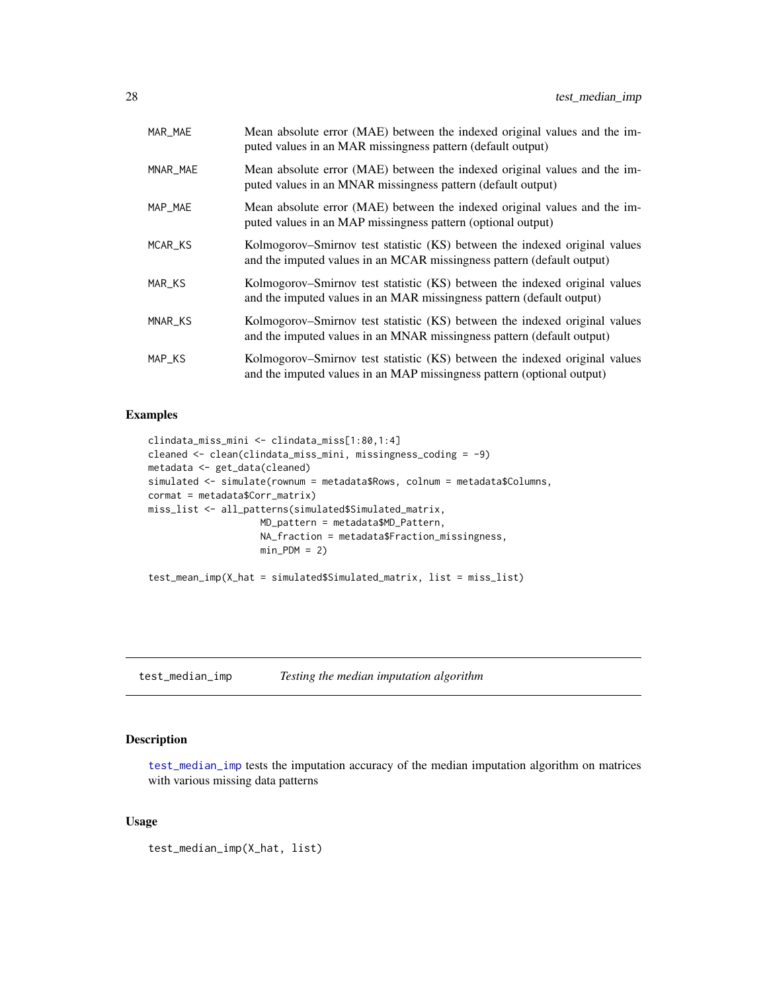<span id="page-27-0"></span>

| MAR_MAE  | Mean absolute error (MAE) between the indexed original values and the im-<br>puted values in an MAR missingness pattern (default output)             |
|----------|------------------------------------------------------------------------------------------------------------------------------------------------------|
| MNAR_MAE | Mean absolute error (MAE) between the indexed original values and the im-<br>puted values in an MNAR missingness pattern (default output)            |
| MAP_MAE  | Mean absolute error (MAE) between the indexed original values and the im-<br>puted values in an MAP missingness pattern (optional output)            |
| MCAR KS  | Kolmogorov–Smirnov test statistic (KS) between the indexed original values<br>and the imputed values in an MCAR missingness pattern (default output) |
| MAR_KS   | Kolmogorov–Smirnov test statistic (KS) between the indexed original values<br>and the imputed values in an MAR missingness pattern (default output)  |
| MNAR_KS  | Kolmogorov–Smirnov test statistic (KS) between the indexed original values<br>and the imputed values in an MNAR missingness pattern (default output) |
| MAP_KS   | Kolmogorov–Smirnov test statistic (KS) between the indexed original values<br>and the imputed values in an MAP missingness pattern (optional output) |

```
clindata_miss_mini <- clindata_miss[1:80,1:4]
cleaned <- clean(clindata_miss_mini, missingness_coding = -9)
metadata <- get_data(cleaned)
simulated <- simulate(rownum = metadata$Rows, colnum = metadata$Columns,
cormat = metadata$Corr_matrix)
miss_list <- all_patterns(simulated$Simulated_matrix,
                    MD_pattern = metadata$MD_Pattern,
                    NA_fraction = metadata$Fraction_missingness,
                    min_PDM = 2)test_mean_imp(X_hat = simulated$Simulated_matrix, list = miss_list)
```
<span id="page-27-1"></span>test\_median\_imp *Testing the median imputation algorithm*

#### Description

[test\\_median\\_imp](#page-27-1) tests the imputation accuracy of the median imputation algorithm on matrices with various missing data patterns

## Usage

```
test_median_imp(X_hat, list)
```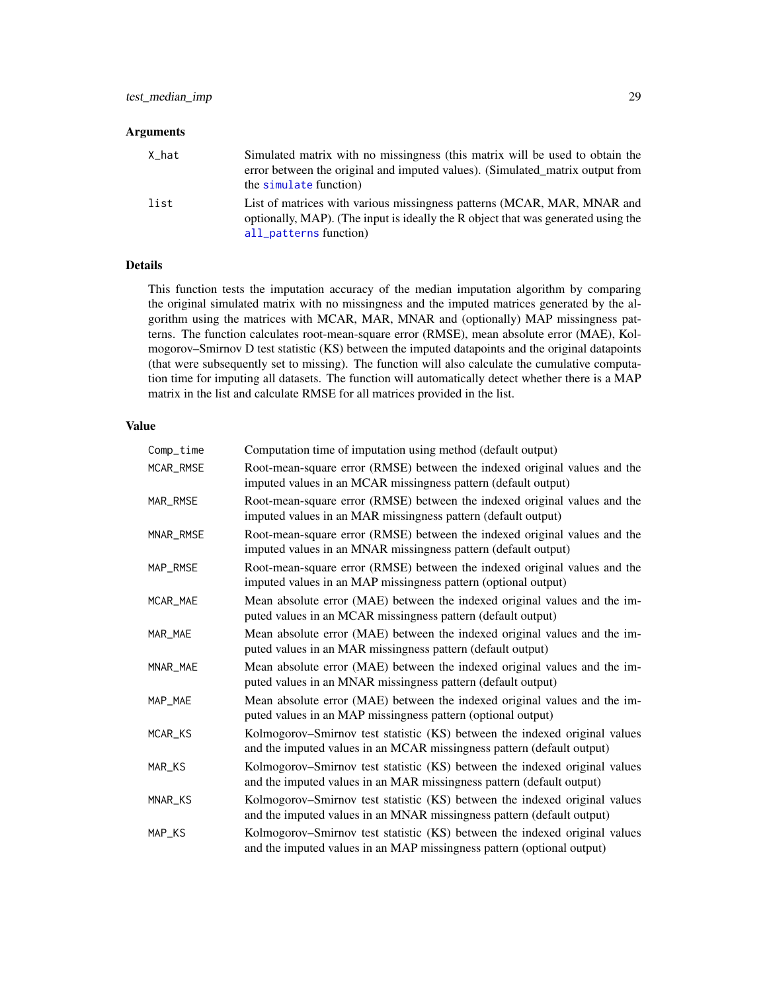## <span id="page-28-0"></span>Arguments

| X_hat | Simulated matrix with no missingness (this matrix will be used to obtain the<br>error between the original and imputed values). (Simulated matrix output from<br>the simulate function) |
|-------|-----------------------------------------------------------------------------------------------------------------------------------------------------------------------------------------|
| list  | List of matrices with various missingness patterns (MCAR, MAR, MNAR and<br>optionally, MAP). (The input is ideally the R object that was generated using the<br>all_patterns function)  |

## Details

This function tests the imputation accuracy of the median imputation algorithm by comparing the original simulated matrix with no missingness and the imputed matrices generated by the algorithm using the matrices with MCAR, MAR, MNAR and (optionally) MAP missingness patterns. The function calculates root-mean-square error (RMSE), mean absolute error (MAE), Kolmogorov–Smirnov D test statistic (KS) between the imputed datapoints and the original datapoints (that were subsequently set to missing). The function will also calculate the cumulative computation time for imputing all datasets. The function will automatically detect whether there is a MAP matrix in the list and calculate RMSE for all matrices provided in the list.

| Comp_time | Computation time of imputation using method (default output)                                                                                         |
|-----------|------------------------------------------------------------------------------------------------------------------------------------------------------|
| MCAR_RMSE | Root-mean-square error (RMSE) between the indexed original values and the<br>imputed values in an MCAR missingness pattern (default output)          |
| MAR_RMSE  | Root-mean-square error (RMSE) between the indexed original values and the<br>imputed values in an MAR missingness pattern (default output)           |
| MNAR_RMSE | Root-mean-square error (RMSE) between the indexed original values and the<br>imputed values in an MNAR missingness pattern (default output)          |
| MAP_RMSE  | Root-mean-square error (RMSE) between the indexed original values and the<br>imputed values in an MAP missingness pattern (optional output)          |
| MCAR_MAE  | Mean absolute error (MAE) between the indexed original values and the im-<br>puted values in an MCAR missingness pattern (default output)            |
| MAR MAE   | Mean absolute error (MAE) between the indexed original values and the im-<br>puted values in an MAR missingness pattern (default output)             |
| MNAR_MAE  | Mean absolute error (MAE) between the indexed original values and the im-<br>puted values in an MNAR missingness pattern (default output)            |
| MAP_MAE   | Mean absolute error (MAE) between the indexed original values and the im-<br>puted values in an MAP missingness pattern (optional output)            |
| MCAR_KS   | Kolmogorov–Smirnov test statistic (KS) between the indexed original values<br>and the imputed values in an MCAR missingness pattern (default output) |
| MAR_KS    | Kolmogorov-Smirnov test statistic (KS) between the indexed original values<br>and the imputed values in an MAR missingness pattern (default output)  |
| MNAR_KS   | Kolmogorov-Smirnov test statistic (KS) between the indexed original values<br>and the imputed values in an MNAR missingness pattern (default output) |
| MAP_KS    | Kolmogorov-Smirnov test statistic (KS) between the indexed original values<br>and the imputed values in an MAP missingness pattern (optional output) |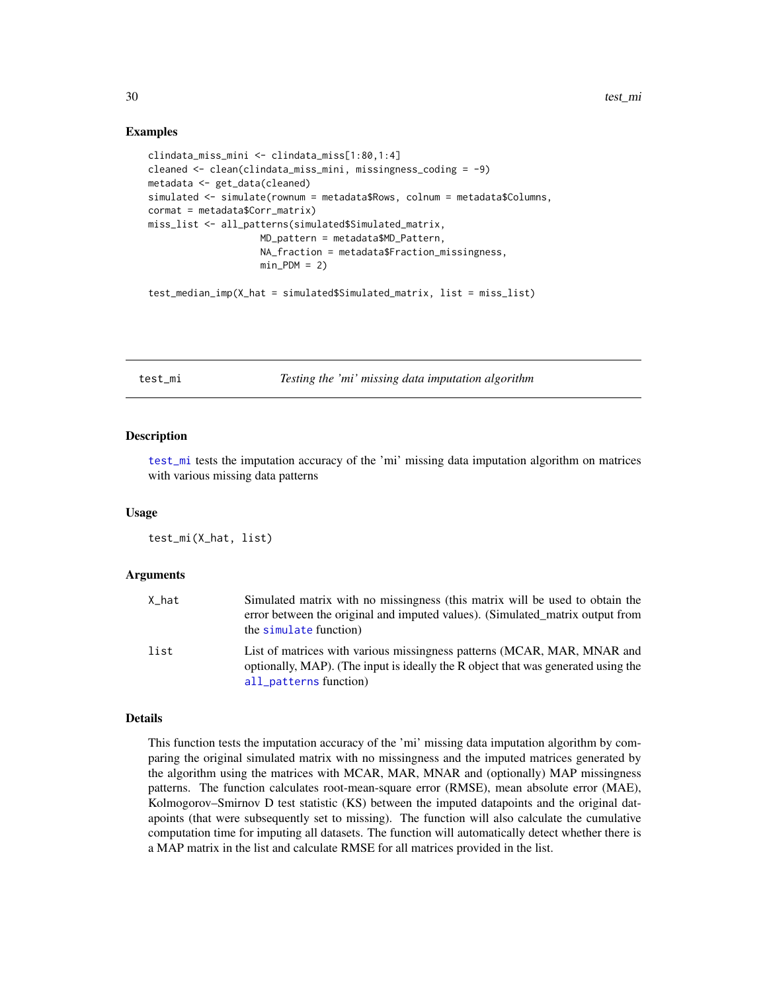```
clindata_miss_mini <- clindata_miss[1:80,1:4]
cleaned <- clean(clindata_miss_mini, missingness_coding = -9)
metadata <- get_data(cleaned)
simulated <- simulate(rownum = metadata$Rows, colnum = metadata$Columns,
cormat = metadata$Corr_matrix)
miss_list <- all_patterns(simulated$Simulated_matrix,
                    MD_pattern = metadata$MD_Pattern,
                    NA_fraction = metadata$Fraction_missingness,
                    min_PDM = 2test_median_imp(X_hat = simulated$Simulated_matrix, list = miss_list)
```
<span id="page-29-1"></span>test\_mi *Testing the 'mi' missing data imputation algorithm*

#### **Description**

[test\\_mi](#page-29-1) tests the imputation accuracy of the 'mi' missing data imputation algorithm on matrices with various missing data patterns

#### Usage

test\_mi(X\_hat, list)

#### Arguments

| X_hat | Simulated matrix with no missingness (this matrix will be used to obtain the<br>error between the original and imputed values). (Simulated matrix output from<br>the simulate function) |
|-------|-----------------------------------------------------------------------------------------------------------------------------------------------------------------------------------------|
| list  | List of matrices with various missingness patterns (MCAR, MAR, MNAR and<br>optionally, MAP). (The input is ideally the R object that was generated using the<br>all_patterns function)  |

#### Details

This function tests the imputation accuracy of the 'mi' missing data imputation algorithm by comparing the original simulated matrix with no missingness and the imputed matrices generated by the algorithm using the matrices with MCAR, MAR, MNAR and (optionally) MAP missingness patterns. The function calculates root-mean-square error (RMSE), mean absolute error (MAE), Kolmogorov–Smirnov D test statistic (KS) between the imputed datapoints and the original datapoints (that were subsequently set to missing). The function will also calculate the cumulative computation time for imputing all datasets. The function will automatically detect whether there is a MAP matrix in the list and calculate RMSE for all matrices provided in the list.

<span id="page-29-0"></span>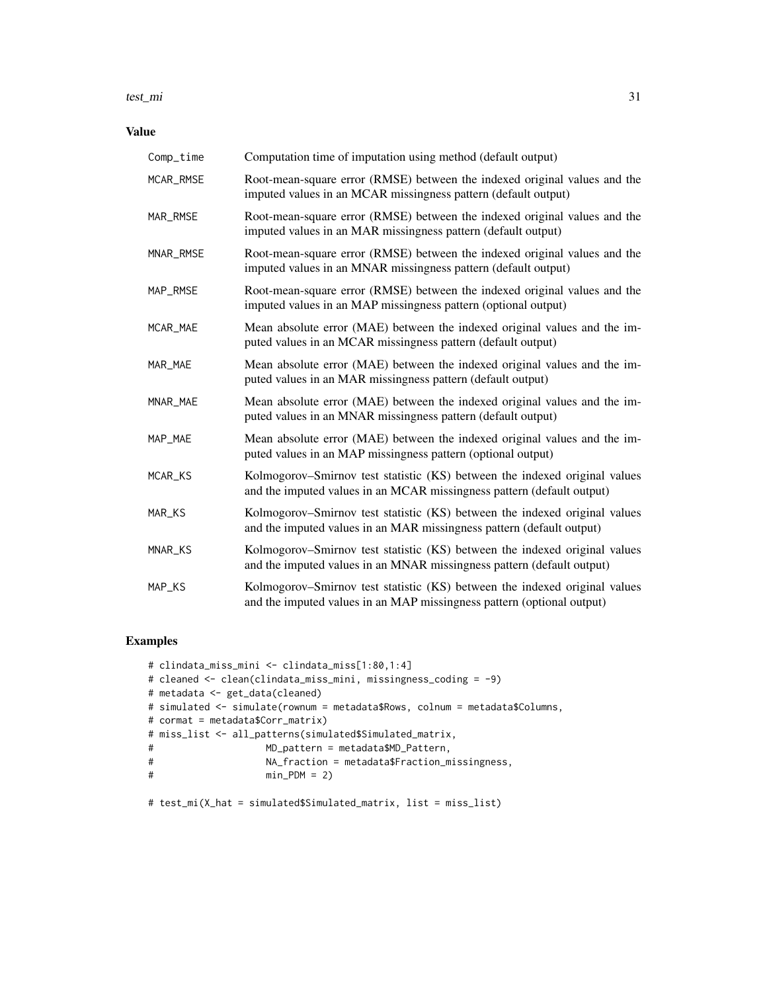#### test\_mi 31

## Value

| Comp_time | Computation time of imputation using method (default output)                                                                                         |
|-----------|------------------------------------------------------------------------------------------------------------------------------------------------------|
| MCAR_RMSE | Root-mean-square error (RMSE) between the indexed original values and the<br>imputed values in an MCAR missingness pattern (default output)          |
| MAR_RMSE  | Root-mean-square error (RMSE) between the indexed original values and the<br>imputed values in an MAR missingness pattern (default output)           |
| MNAR_RMSE | Root-mean-square error (RMSE) between the indexed original values and the<br>imputed values in an MNAR missingness pattern (default output)          |
| MAP_RMSE  | Root-mean-square error (RMSE) between the indexed original values and the<br>imputed values in an MAP missingness pattern (optional output)          |
| MCAR_MAE  | Mean absolute error (MAE) between the indexed original values and the im-<br>puted values in an MCAR missingness pattern (default output)            |
| MAR_MAE   | Mean absolute error (MAE) between the indexed original values and the im-<br>puted values in an MAR missingness pattern (default output)             |
| MNAR_MAE  | Mean absolute error (MAE) between the indexed original values and the im-<br>puted values in an MNAR missingness pattern (default output)            |
| MAP_MAE   | Mean absolute error (MAE) between the indexed original values and the im-<br>puted values in an MAP missingness pattern (optional output)            |
| MCAR_KS   | Kolmogorov–Smirnov test statistic (KS) between the indexed original values<br>and the imputed values in an MCAR missingness pattern (default output) |
| MAR_KS    | Kolmogorov–Smirnov test statistic (KS) between the indexed original values<br>and the imputed values in an MAR missingness pattern (default output)  |
| MNAR_KS   | Kolmogorov-Smirnov test statistic (KS) between the indexed original values<br>and the imputed values in an MNAR missingness pattern (default output) |
| MAP_KS    | Kolmogorov–Smirnov test statistic (KS) between the indexed original values<br>and the imputed values in an MAP missingness pattern (optional output) |

## Examples

```
# clindata_miss_mini <- clindata_miss[1:80,1:4]
# cleaned <- clean(clindata_miss_mini, missingness_coding = -9)
# metadata <- get_data(cleaned)
# simulated <- simulate(rownum = metadata$Rows, colnum = metadata$Columns,
# cormat = metadata$Corr_matrix)
# miss_list <- all_patterns(simulated$Simulated_matrix,
# MD_pattern = metadata$MD_Pattern,
# NA_fraction = metadata$Fraction_missingness,
                  min_PDM = 2)
```
# test\_mi(X\_hat = simulated\$Simulated\_matrix, list = miss\_list)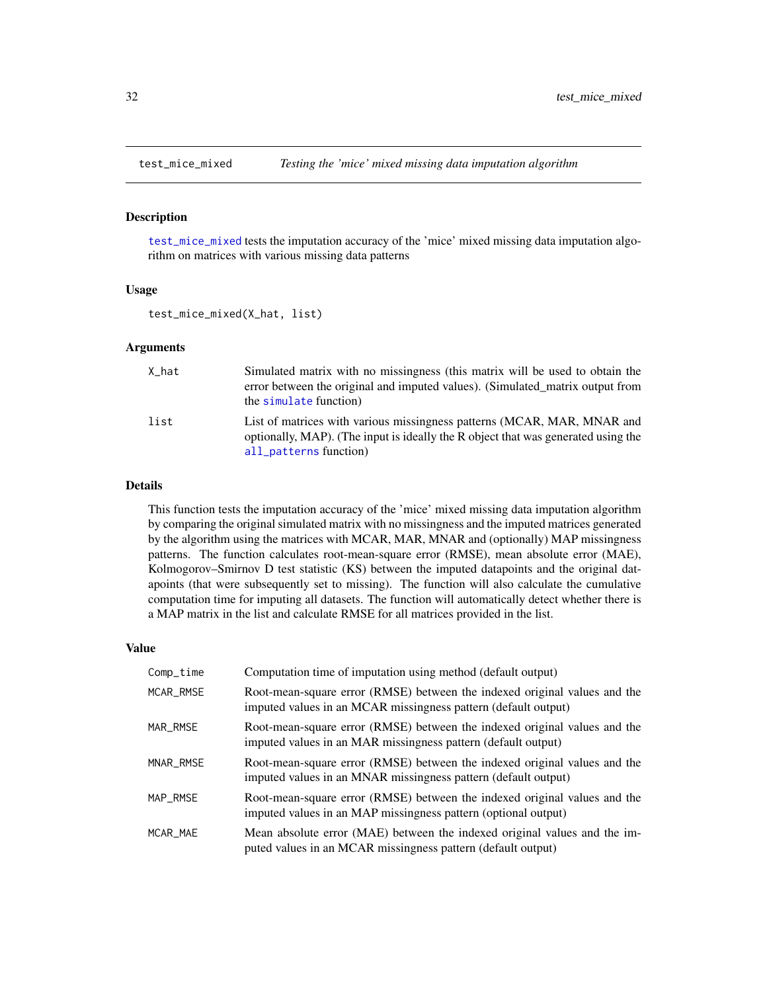<span id="page-31-1"></span><span id="page-31-0"></span>

#### Description

[test\\_mice\\_mixed](#page-31-1) tests the imputation accuracy of the 'mice' mixed missing data imputation algorithm on matrices with various missing data patterns

#### Usage

test\_mice\_mixed(X\_hat, list)

#### Arguments

| X_hat | Simulated matrix with no missingness (this matrix will be used to obtain the<br>error between the original and imputed values). (Simulated_matrix output from<br>the simulate function) |
|-------|-----------------------------------------------------------------------------------------------------------------------------------------------------------------------------------------|
| list  | List of matrices with various missingness patterns (MCAR, MAR, MNAR and<br>optionally, MAP). (The input is ideally the R object that was generated using the<br>all_patterns function)  |

## Details

This function tests the imputation accuracy of the 'mice' mixed missing data imputation algorithm by comparing the original simulated matrix with no missingness and the imputed matrices generated by the algorithm using the matrices with MCAR, MAR, MNAR and (optionally) MAP missingness patterns. The function calculates root-mean-square error (RMSE), mean absolute error (MAE), Kolmogorov–Smirnov D test statistic (KS) between the imputed datapoints and the original datapoints (that were subsequently set to missing). The function will also calculate the cumulative computation time for imputing all datasets. The function will automatically detect whether there is a MAP matrix in the list and calculate RMSE for all matrices provided in the list.

| Comp_time | Computation time of imputation using method (default output)                                                                                |
|-----------|---------------------------------------------------------------------------------------------------------------------------------------------|
| MCAR_RMSE | Root-mean-square error (RMSE) between the indexed original values and the<br>imputed values in an MCAR missingness pattern (default output) |
| MAR_RMSE  | Root-mean-square error (RMSE) between the indexed original values and the<br>imputed values in an MAR missingness pattern (default output)  |
| MNAR_RMSE | Root-mean-square error (RMSE) between the indexed original values and the<br>imputed values in an MNAR missingness pattern (default output) |
| MAP RMSE  | Root-mean-square error (RMSE) between the indexed original values and the<br>imputed values in an MAP missingness pattern (optional output) |
| MCAR MAE  | Mean absolute error (MAE) between the indexed original values and the im-<br>puted values in an MCAR missingness pattern (default output)   |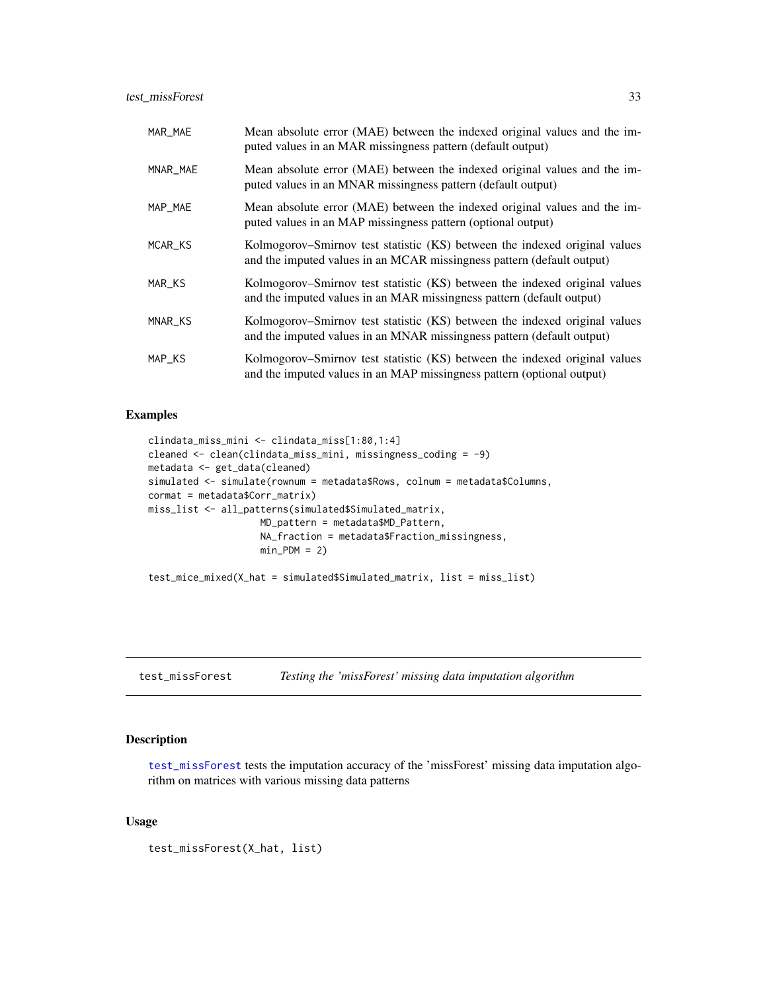<span id="page-32-0"></span>

| MAR_MAE  | Mean absolute error (MAE) between the indexed original values and the im-<br>puted values in an MAR missingness pattern (default output)             |
|----------|------------------------------------------------------------------------------------------------------------------------------------------------------|
| MNAR_MAE | Mean absolute error (MAE) between the indexed original values and the im-<br>puted values in an MNAR missingness pattern (default output)            |
| MAP_MAE  | Mean absolute error (MAE) between the indexed original values and the im-<br>puted values in an MAP missingness pattern (optional output)            |
| MCAR_KS  | Kolmogorov–Smirnov test statistic (KS) between the indexed original values<br>and the imputed values in an MCAR missingness pattern (default output) |
| MAR_KS   | Kolmogorov–Smirnov test statistic (KS) between the indexed original values<br>and the imputed values in an MAR missingness pattern (default output)  |
| MNAR_KS  | Kolmogorov–Smirnov test statistic (KS) between the indexed original values<br>and the imputed values in an MNAR missingness pattern (default output) |
| MAP_KS   | Kolmogorov–Smirnov test statistic (KS) between the indexed original values<br>and the imputed values in an MAP missingness pattern (optional output) |

```
clindata_miss_mini <- clindata_miss[1:80,1:4]
cleaned <- clean(clindata_miss_mini, missingness_coding = -9)
metadata <- get_data(cleaned)
simulated <- simulate(rownum = metadata$Rows, colnum = metadata$Columns,
cormat = metadata$Corr_matrix)
miss_list <- all_patterns(simulated$Simulated_matrix,
                    MD_pattern = metadata$MD_Pattern,
                    NA_fraction = metadata$Fraction_missingness,
                    min_PDM = 2)
```
test\_mice\_mixed(X\_hat = simulated\$Simulated\_matrix, list = miss\_list)

<span id="page-32-1"></span>test\_missForest *Testing the 'missForest' missing data imputation algorithm*

#### Description

[test\\_missForest](#page-32-1) tests the imputation accuracy of the 'missForest' missing data imputation algorithm on matrices with various missing data patterns

## Usage

test\_missForest(X\_hat, list)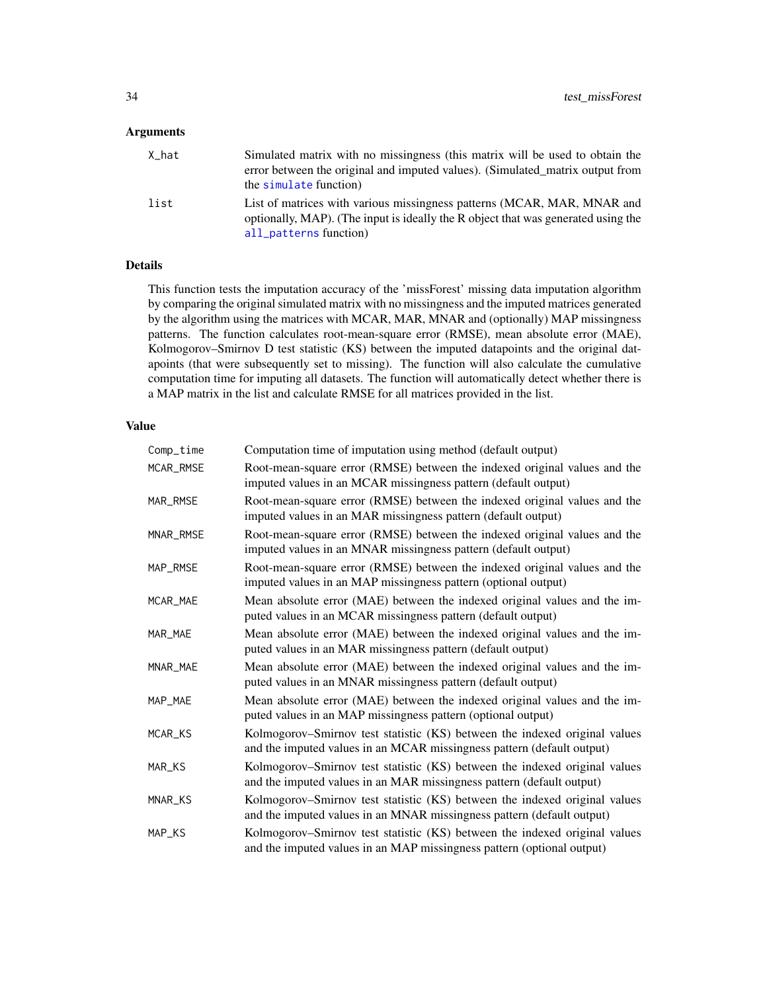## <span id="page-33-0"></span>Arguments

| X_hat | Simulated matrix with no missingness (this matrix will be used to obtain the<br>error between the original and imputed values). (Simulated matrix output from<br>the simulate function) |
|-------|-----------------------------------------------------------------------------------------------------------------------------------------------------------------------------------------|
| list  | List of matrices with various missingness patterns (MCAR, MAR, MNAR and<br>optionally, MAP). (The input is ideally the R object that was generated using the<br>all_patterns function)  |

## Details

This function tests the imputation accuracy of the 'missForest' missing data imputation algorithm by comparing the original simulated matrix with no missingness and the imputed matrices generated by the algorithm using the matrices with MCAR, MAR, MNAR and (optionally) MAP missingness patterns. The function calculates root-mean-square error (RMSE), mean absolute error (MAE), Kolmogorov–Smirnov D test statistic (KS) between the imputed datapoints and the original datapoints (that were subsequently set to missing). The function will also calculate the cumulative computation time for imputing all datasets. The function will automatically detect whether there is a MAP matrix in the list and calculate RMSE for all matrices provided in the list.

| Comp_time | Computation time of imputation using method (default output)                                                                                         |
|-----------|------------------------------------------------------------------------------------------------------------------------------------------------------|
| MCAR_RMSE | Root-mean-square error (RMSE) between the indexed original values and the<br>imputed values in an MCAR missingness pattern (default output)          |
| MAR_RMSE  | Root-mean-square error (RMSE) between the indexed original values and the<br>imputed values in an MAR missingness pattern (default output)           |
| MNAR_RMSE | Root-mean-square error (RMSE) between the indexed original values and the<br>imputed values in an MNAR missingness pattern (default output)          |
| MAP_RMSE  | Root-mean-square error (RMSE) between the indexed original values and the<br>imputed values in an MAP missingness pattern (optional output)          |
| MCAR_MAE  | Mean absolute error (MAE) between the indexed original values and the im-<br>puted values in an MCAR missingness pattern (default output)            |
| MAR MAE   | Mean absolute error (MAE) between the indexed original values and the im-<br>puted values in an MAR missingness pattern (default output)             |
| MNAR_MAE  | Mean absolute error (MAE) between the indexed original values and the im-<br>puted values in an MNAR missingness pattern (default output)            |
| MAP_MAE   | Mean absolute error (MAE) between the indexed original values and the im-<br>puted values in an MAP missingness pattern (optional output)            |
| MCAR_KS   | Kolmogorov–Smirnov test statistic (KS) between the indexed original values<br>and the imputed values in an MCAR missingness pattern (default output) |
| MAR_KS    | Kolmogorov–Smirnov test statistic (KS) between the indexed original values<br>and the imputed values in an MAR missingness pattern (default output)  |
| MNAR_KS   | Kolmogorov–Smirnov test statistic (KS) between the indexed original values<br>and the imputed values in an MNAR missingness pattern (default output) |
| MAP_KS    | Kolmogorov-Smirnov test statistic (KS) between the indexed original values<br>and the imputed values in an MAP missingness pattern (optional output) |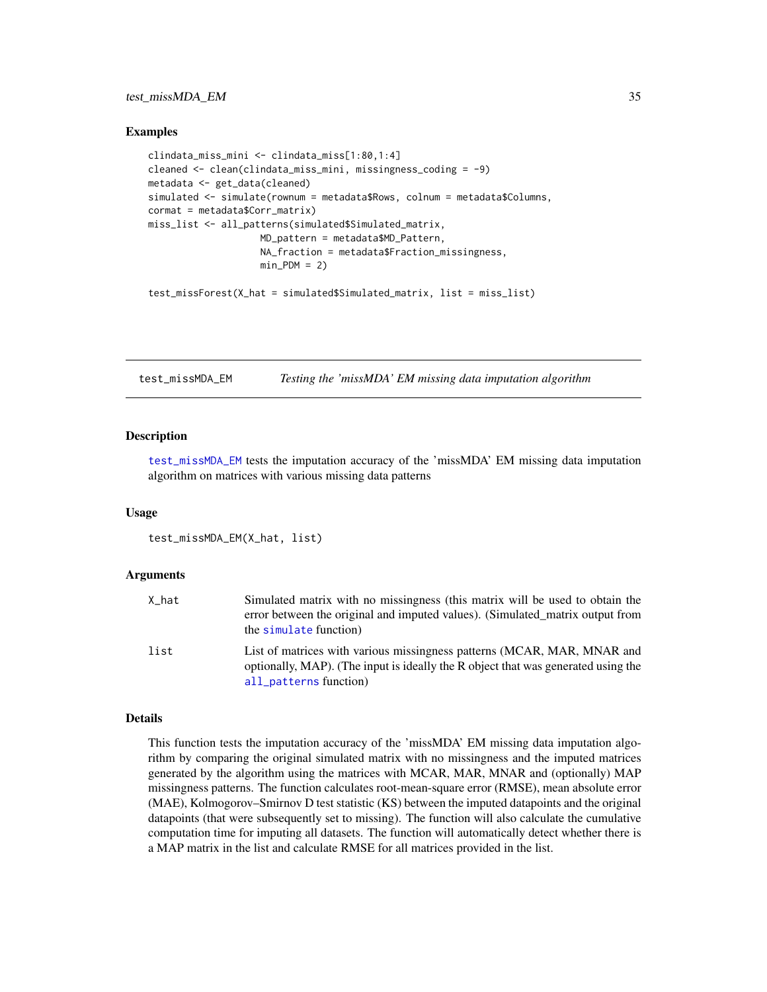#### <span id="page-34-0"></span>test\_missMDA\_EM 35

#### Examples

```
clindata_miss_mini <- clindata_miss[1:80,1:4]
cleaned <- clean(clindata_miss_mini, missingness_coding = -9)
metadata <- get_data(cleaned)
simulated <- simulate(rownum = metadata$Rows, colnum = metadata$Columns,
cormat = metadata$Corr_matrix)
miss_list <- all_patterns(simulated$Simulated_matrix,
                    MD_pattern = metadata$MD_Pattern,
                    NA_fraction = metadata$Fraction_missingness,
                    min_PDM = 2test_missForest(X_hat = simulated$Simulated_matrix, list = miss_list)
```
<span id="page-34-1"></span>test\_missMDA\_EM *Testing the 'missMDA' EM missing data imputation algorithm*

#### **Description**

[test\\_missMDA\\_EM](#page-34-1) tests the imputation accuracy of the 'missMDA' EM missing data imputation algorithm on matrices with various missing data patterns

#### Usage

```
test_missMDA_EM(X_hat, list)
```
#### Arguments

| X_hat | Simulated matrix with no missingness (this matrix will be used to obtain the<br>error between the original and imputed values). (Simulated matrix output from<br>the simulate function) |
|-------|-----------------------------------------------------------------------------------------------------------------------------------------------------------------------------------------|
| list  | List of matrices with various missingness patterns (MCAR, MAR, MNAR and<br>optionally, MAP). (The input is ideally the R object that was generated using the<br>all_patterns function)  |

#### Details

This function tests the imputation accuracy of the 'missMDA' EM missing data imputation algorithm by comparing the original simulated matrix with no missingness and the imputed matrices generated by the algorithm using the matrices with MCAR, MAR, MNAR and (optionally) MAP missingness patterns. The function calculates root-mean-square error (RMSE), mean absolute error (MAE), Kolmogorov–Smirnov D test statistic (KS) between the imputed datapoints and the original datapoints (that were subsequently set to missing). The function will also calculate the cumulative computation time for imputing all datasets. The function will automatically detect whether there is a MAP matrix in the list and calculate RMSE for all matrices provided in the list.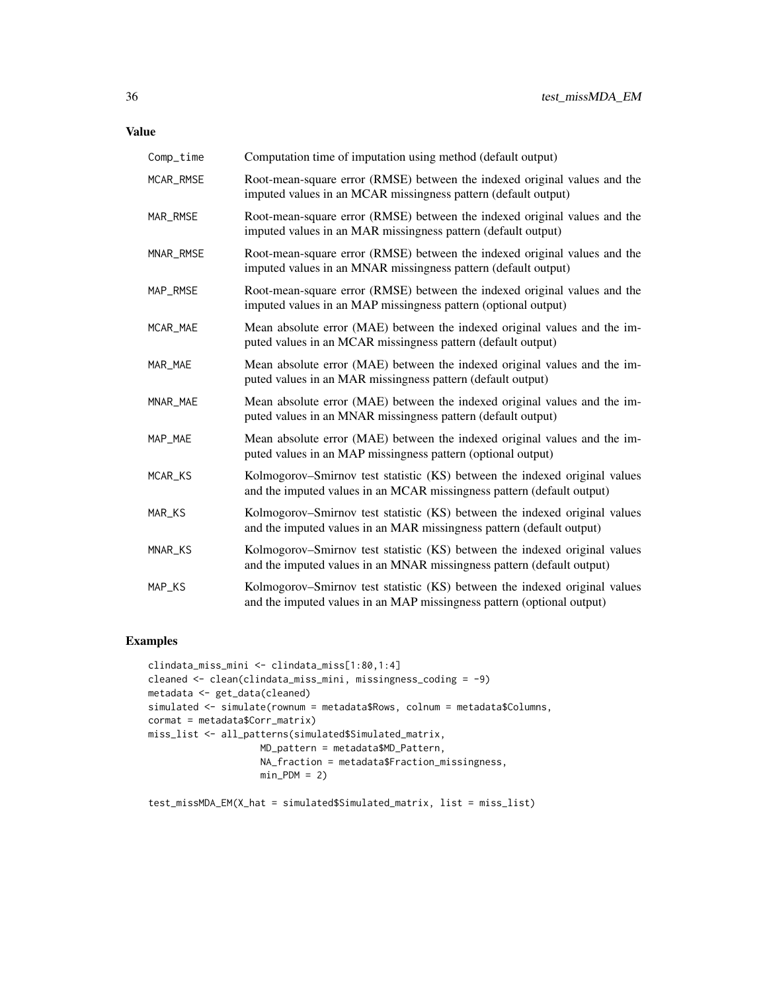| Comp_time | Computation time of imputation using method (default output)                                                                                         |
|-----------|------------------------------------------------------------------------------------------------------------------------------------------------------|
| MCAR_RMSE | Root-mean-square error (RMSE) between the indexed original values and the<br>imputed values in an MCAR missingness pattern (default output)          |
| MAR_RMSE  | Root-mean-square error (RMSE) between the indexed original values and the<br>imputed values in an MAR missingness pattern (default output)           |
| MNAR_RMSE | Root-mean-square error (RMSE) between the indexed original values and the<br>imputed values in an MNAR missingness pattern (default output)          |
| MAP_RMSE  | Root-mean-square error (RMSE) between the indexed original values and the<br>imputed values in an MAP missingness pattern (optional output)          |
| MCAR_MAE  | Mean absolute error (MAE) between the indexed original values and the im-<br>puted values in an MCAR missingness pattern (default output)            |
| MAR_MAE   | Mean absolute error (MAE) between the indexed original values and the im-<br>puted values in an MAR missingness pattern (default output)             |
| MNAR_MAE  | Mean absolute error (MAE) between the indexed original values and the im-<br>puted values in an MNAR missingness pattern (default output)            |
| MAP_MAE   | Mean absolute error (MAE) between the indexed original values and the im-<br>puted values in an MAP missingness pattern (optional output)            |
| MCAR_KS   | Kolmogorov–Smirnov test statistic (KS) between the indexed original values<br>and the imputed values in an MCAR missingness pattern (default output) |
| MAR_KS    | Kolmogorov–Smirnov test statistic (KS) between the indexed original values<br>and the imputed values in an MAR missingness pattern (default output)  |
| MNAR_KS   | Kolmogorov-Smirnov test statistic (KS) between the indexed original values<br>and the imputed values in an MNAR missingness pattern (default output) |
| MAP_KS    | Kolmogorov–Smirnov test statistic (KS) between the indexed original values<br>and the imputed values in an MAP missingness pattern (optional output) |

```
clindata_miss_mini <- clindata_miss[1:80,1:4]
cleaned <- clean(clindata_miss_mini, missingness_coding = -9)
metadata <- get_data(cleaned)
simulated <- simulate(rownum = metadata$Rows, colnum = metadata$Columns,
cormat = metadata$Corr_matrix)
miss_list <- all_patterns(simulated$Simulated_matrix,
                    MD_pattern = metadata$MD_Pattern,
                   NA_fraction = metadata$Fraction_missingness,
                   min_PDM = 2
```

```
test_missMDA_EM(X_hat = simulated$Simulated_matrix, list = miss_list)
```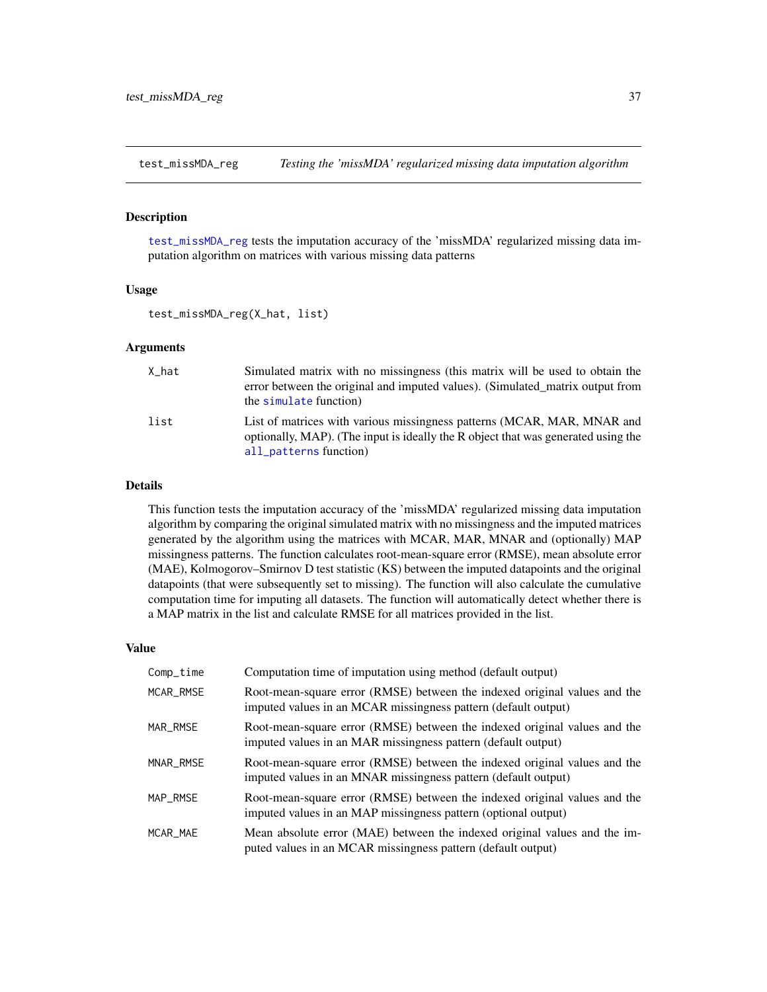<span id="page-36-1"></span><span id="page-36-0"></span>test\_missMDA\_reg *Testing the 'missMDA' regularized missing data imputation algorithm*

#### Description

[test\\_missMDA\\_reg](#page-36-1) tests the imputation accuracy of the 'missMDA' regularized missing data imputation algorithm on matrices with various missing data patterns

#### Usage

test\_missMDA\_reg(X\_hat, list)

#### Arguments

| X hat | Simulated matrix with no missingness (this matrix will be used to obtain the<br>error between the original and imputed values). (Simulated_matrix output from<br>the simulate function) |
|-------|-----------------------------------------------------------------------------------------------------------------------------------------------------------------------------------------|
| list  | List of matrices with various missingness patterns (MCAR, MAR, MNAR and<br>optionally, MAP). (The input is ideally the R object that was generated using the<br>all_patterns function)  |

## Details

This function tests the imputation accuracy of the 'missMDA' regularized missing data imputation algorithm by comparing the original simulated matrix with no missingness and the imputed matrices generated by the algorithm using the matrices with MCAR, MAR, MNAR and (optionally) MAP missingness patterns. The function calculates root-mean-square error (RMSE), mean absolute error (MAE), Kolmogorov–Smirnov D test statistic (KS) between the imputed datapoints and the original datapoints (that were subsequently set to missing). The function will also calculate the cumulative computation time for imputing all datasets. The function will automatically detect whether there is a MAP matrix in the list and calculate RMSE for all matrices provided in the list.

| Comp_time | Computation time of imputation using method (default output)                                                                                |
|-----------|---------------------------------------------------------------------------------------------------------------------------------------------|
| MCAR_RMSE | Root-mean-square error (RMSE) between the indexed original values and the<br>imputed values in an MCAR missingness pattern (default output) |
| MAR_RMSE  | Root-mean-square error (RMSE) between the indexed original values and the<br>imputed values in an MAR missingness pattern (default output)  |
| MNAR_RMSE | Root-mean-square error (RMSE) between the indexed original values and the<br>imputed values in an MNAR missingness pattern (default output) |
| MAP RMSE  | Root-mean-square error (RMSE) between the indexed original values and the<br>imputed values in an MAP missingness pattern (optional output) |
| MCAR MAE  | Mean absolute error (MAE) between the indexed original values and the im-<br>puted values in an MCAR missingness pattern (default output)   |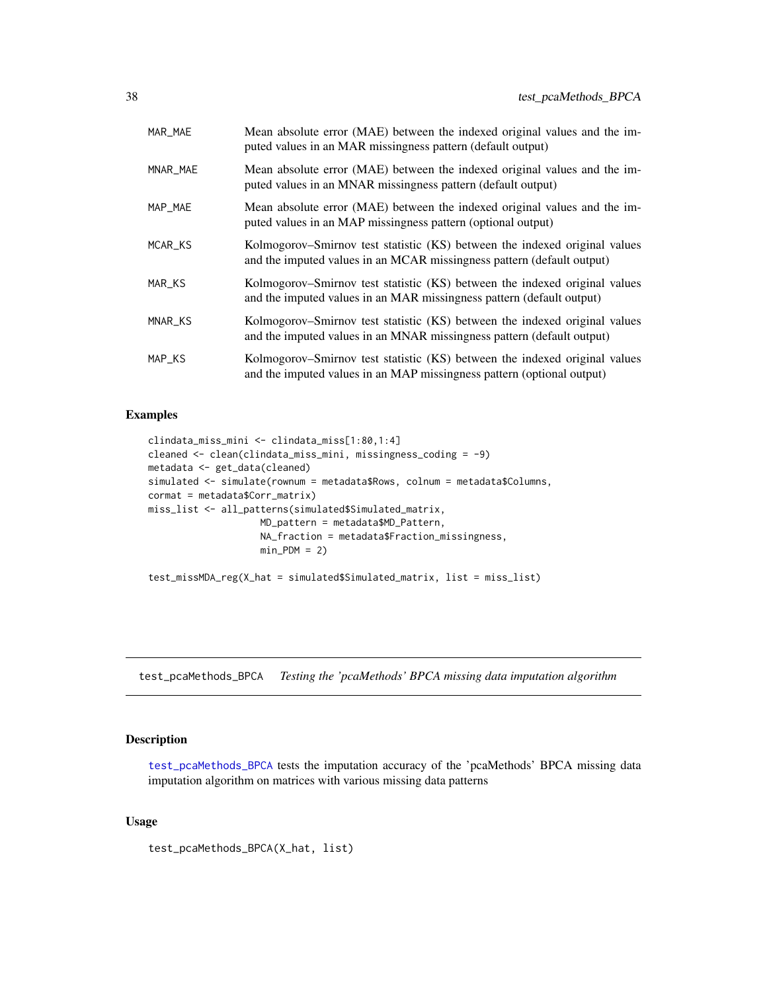<span id="page-37-0"></span>

| MAR_MAE  | Mean absolute error (MAE) between the indexed original values and the im-<br>puted values in an MAR missingness pattern (default output)             |
|----------|------------------------------------------------------------------------------------------------------------------------------------------------------|
| MNAR_MAE | Mean absolute error (MAE) between the indexed original values and the im-<br>puted values in an MNAR missingness pattern (default output)            |
| MAP_MAE  | Mean absolute error (MAE) between the indexed original values and the im-<br>puted values in an MAP missingness pattern (optional output)            |
| MCAR_KS  | Kolmogorov–Smirnov test statistic (KS) between the indexed original values<br>and the imputed values in an MCAR missingness pattern (default output) |
| MAR_KS   | Kolmogorov–Smirnov test statistic (KS) between the indexed original values<br>and the imputed values in an MAR missingness pattern (default output)  |
| MNAR_KS  | Kolmogorov–Smirnov test statistic (KS) between the indexed original values<br>and the imputed values in an MNAR missingness pattern (default output) |
| MAP_KS   | Kolmogorov–Smirnov test statistic (KS) between the indexed original values<br>and the imputed values in an MAP missingness pattern (optional output) |

```
clindata_miss_mini <- clindata_miss[1:80,1:4]
cleaned <- clean(clindata_miss_mini, missingness_coding = -9)
metadata <- get_data(cleaned)
simulated <- simulate(rownum = metadata$Rows, colnum = metadata$Columns,
cormat = metadata$Corr_matrix)
miss_list <- all_patterns(simulated$Simulated_matrix,
                    MD_pattern = metadata$MD_Pattern,
                    NA_fraction = metadata$Fraction_missingness,
                    min_PDM = 2)test_missMDA_reg(X_hat = simulated$Simulated_matrix, list = miss_list)
```
<span id="page-37-1"></span>test\_pcaMethods\_BPCA *Testing the 'pcaMethods' BPCA missing data imputation algorithm*

#### Description

[test\\_pcaMethods\\_BPCA](#page-37-1) tests the imputation accuracy of the 'pcaMethods' BPCA missing data imputation algorithm on matrices with various missing data patterns

#### Usage

test\_pcaMethods\_BPCA(X\_hat, list)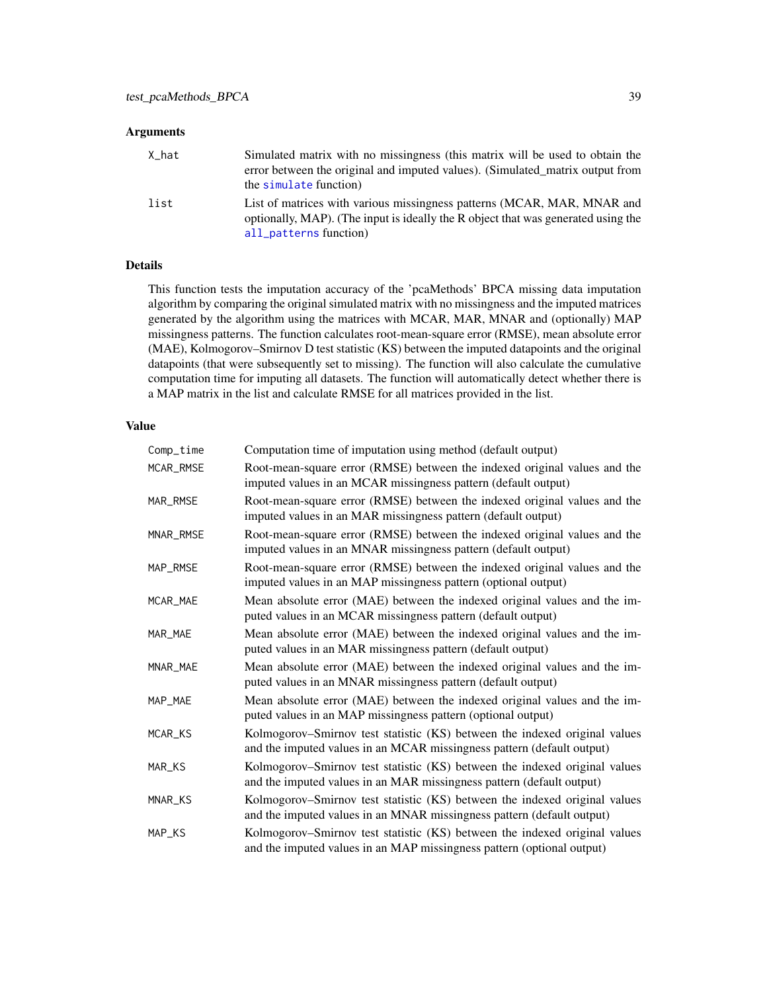## <span id="page-38-0"></span>Arguments

| X_hat | Simulated matrix with no missingness (this matrix will be used to obtain the<br>error between the original and imputed values). (Simulated matrix output from<br>the simulate function) |
|-------|-----------------------------------------------------------------------------------------------------------------------------------------------------------------------------------------|
| list  | List of matrices with various missingness patterns (MCAR, MAR, MNAR and<br>optionally, MAP). (The input is ideally the R object that was generated using the<br>all_patterns function)  |

## Details

This function tests the imputation accuracy of the 'pcaMethods' BPCA missing data imputation algorithm by comparing the original simulated matrix with no missingness and the imputed matrices generated by the algorithm using the matrices with MCAR, MAR, MNAR and (optionally) MAP missingness patterns. The function calculates root-mean-square error (RMSE), mean absolute error (MAE), Kolmogorov–Smirnov D test statistic (KS) between the imputed datapoints and the original datapoints (that were subsequently set to missing). The function will also calculate the cumulative computation time for imputing all datasets. The function will automatically detect whether there is a MAP matrix in the list and calculate RMSE for all matrices provided in the list.

| Comp_time | Computation time of imputation using method (default output)                                                                                         |
|-----------|------------------------------------------------------------------------------------------------------------------------------------------------------|
| MCAR_RMSE | Root-mean-square error (RMSE) between the indexed original values and the<br>imputed values in an MCAR missingness pattern (default output)          |
| MAR_RMSE  | Root-mean-square error (RMSE) between the indexed original values and the<br>imputed values in an MAR missingness pattern (default output)           |
| MNAR_RMSE | Root-mean-square error (RMSE) between the indexed original values and the<br>imputed values in an MNAR missingness pattern (default output)          |
| MAP_RMSE  | Root-mean-square error (RMSE) between the indexed original values and the<br>imputed values in an MAP missingness pattern (optional output)          |
| MCAR_MAE  | Mean absolute error (MAE) between the indexed original values and the im-<br>puted values in an MCAR missingness pattern (default output)            |
| MAR MAE   | Mean absolute error (MAE) between the indexed original values and the im-<br>puted values in an MAR missingness pattern (default output)             |
| MNAR_MAE  | Mean absolute error (MAE) between the indexed original values and the im-<br>puted values in an MNAR missingness pattern (default output)            |
| MAP_MAE   | Mean absolute error (MAE) between the indexed original values and the im-<br>puted values in an MAP missingness pattern (optional output)            |
| MCAR_KS   | Kolmogorov–Smirnov test statistic (KS) between the indexed original values<br>and the imputed values in an MCAR missingness pattern (default output) |
| MAR_KS    | Kolmogorov-Smirnov test statistic (KS) between the indexed original values<br>and the imputed values in an MAR missingness pattern (default output)  |
| MNAR_KS   | Kolmogorov-Smirnov test statistic (KS) between the indexed original values<br>and the imputed values in an MNAR missingness pattern (default output) |
| MAP_KS    | Kolmogorov-Smirnov test statistic (KS) between the indexed original values<br>and the imputed values in an MAP missingness pattern (optional output) |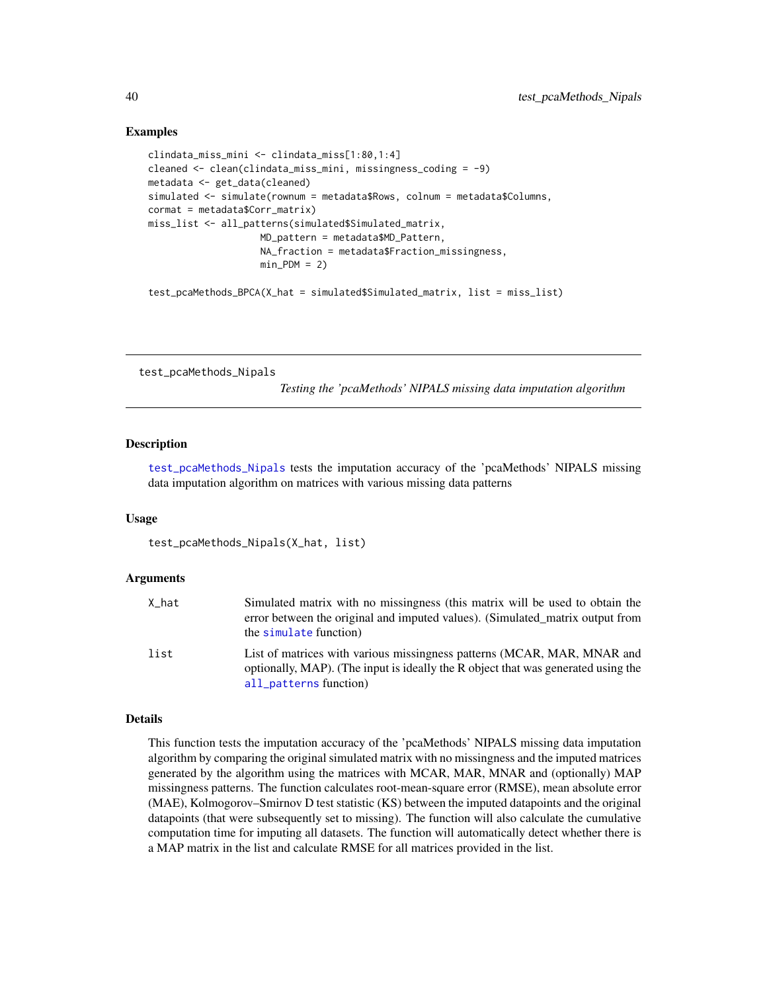```
clindata_miss_mini <- clindata_miss[1:80,1:4]
cleaned <- clean(clindata_miss_mini, missingness_coding = -9)
metadata <- get_data(cleaned)
simulated <- simulate(rownum = metadata$Rows, colnum = metadata$Columns,
cormat = metadata$Corr_matrix)
miss_list <- all_patterns(simulated$Simulated_matrix,
                    MD_pattern = metadata$MD_Pattern,
                    NA_fraction = metadata$Fraction_missingness,
                    min PDM = 2)
```
test\_pcaMethods\_BPCA(X\_hat = simulated\$Simulated\_matrix, list = miss\_list)

<span id="page-39-1"></span>test\_pcaMethods\_Nipals

*Testing the 'pcaMethods' NIPALS missing data imputation algorithm*

#### Description

[test\\_pcaMethods\\_Nipals](#page-39-1) tests the imputation accuracy of the 'pcaMethods' NIPALS missing data imputation algorithm on matrices with various missing data patterns

#### Usage

test\_pcaMethods\_Nipals(X\_hat, list)

#### Arguments

| X_hat | Simulated matrix with no missingness (this matrix will be used to obtain the<br>error between the original and imputed values). (Simulated matrix output from<br>the simulate function) |
|-------|-----------------------------------------------------------------------------------------------------------------------------------------------------------------------------------------|
| list  | List of matrices with various missingness patterns (MCAR, MAR, MNAR and<br>optionally, MAP). (The input is ideally the R object that was generated using the<br>all_patterns function)  |

#### Details

This function tests the imputation accuracy of the 'pcaMethods' NIPALS missing data imputation algorithm by comparing the original simulated matrix with no missingness and the imputed matrices generated by the algorithm using the matrices with MCAR, MAR, MNAR and (optionally) MAP missingness patterns. The function calculates root-mean-square error (RMSE), mean absolute error (MAE), Kolmogorov–Smirnov D test statistic (KS) between the imputed datapoints and the original datapoints (that were subsequently set to missing). The function will also calculate the cumulative computation time for imputing all datasets. The function will automatically detect whether there is a MAP matrix in the list and calculate RMSE for all matrices provided in the list.

<span id="page-39-0"></span>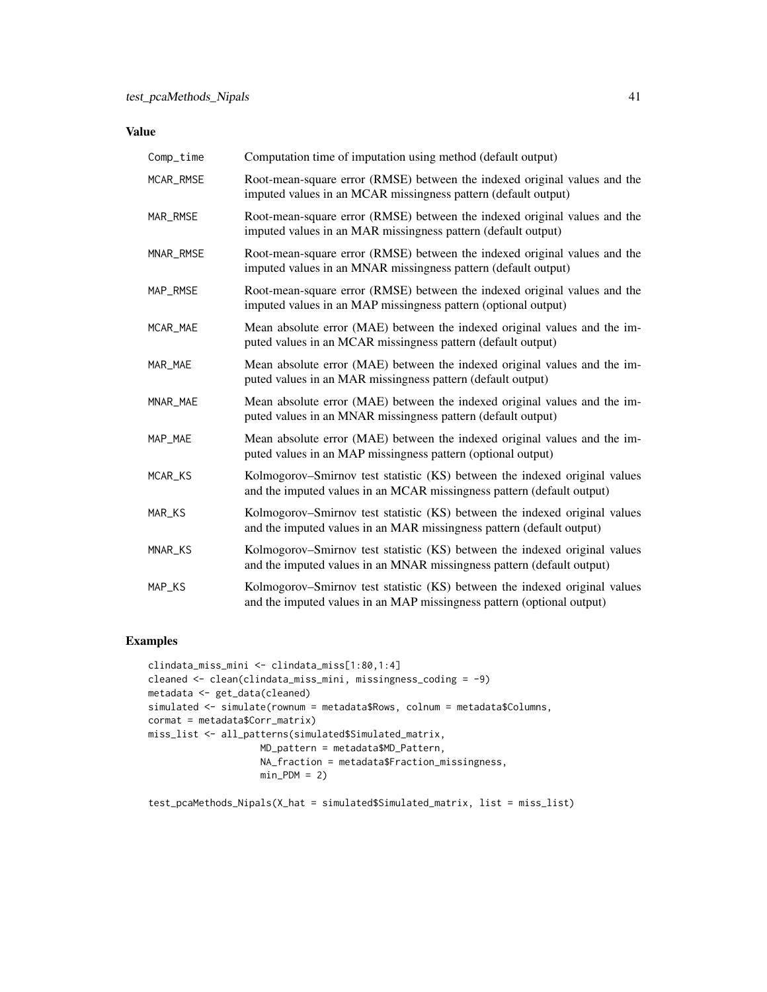## Value

| Comp_time | Computation time of imputation using method (default output)                                                                                         |
|-----------|------------------------------------------------------------------------------------------------------------------------------------------------------|
| MCAR_RMSE | Root-mean-square error (RMSE) between the indexed original values and the<br>imputed values in an MCAR missingness pattern (default output)          |
| MAR_RMSE  | Root-mean-square error (RMSE) between the indexed original values and the<br>imputed values in an MAR missingness pattern (default output)           |
| MNAR_RMSE | Root-mean-square error (RMSE) between the indexed original values and the<br>imputed values in an MNAR missingness pattern (default output)          |
| MAP_RMSE  | Root-mean-square error (RMSE) between the indexed original values and the<br>imputed values in an MAP missingness pattern (optional output)          |
| MCAR_MAE  | Mean absolute error (MAE) between the indexed original values and the im-<br>puted values in an MCAR missingness pattern (default output)            |
| MAR_MAE   | Mean absolute error (MAE) between the indexed original values and the im-<br>puted values in an MAR missingness pattern (default output)             |
| MNAR_MAE  | Mean absolute error (MAE) between the indexed original values and the im-<br>puted values in an MNAR missingness pattern (default output)            |
| MAP_MAE   | Mean absolute error (MAE) between the indexed original values and the im-<br>puted values in an MAP missingness pattern (optional output)            |
| MCAR_KS   | Kolmogorov–Smirnov test statistic (KS) between the indexed original values<br>and the imputed values in an MCAR missingness pattern (default output) |
| MAR_KS    | Kolmogorov–Smirnov test statistic (KS) between the indexed original values<br>and the imputed values in an MAR missingness pattern (default output)  |
| MNAR_KS   | Kolmogorov–Smirnov test statistic (KS) between the indexed original values<br>and the imputed values in an MNAR missingness pattern (default output) |
| MAP_KS    | Kolmogorov–Smirnov test statistic (KS) between the indexed original values<br>and the imputed values in an MAP missingness pattern (optional output) |

## Examples

```
clindata_miss_mini <- clindata_miss[1:80,1:4]
cleaned <- clean(clindata_miss_mini, missingness_coding = -9)
metadata <- get_data(cleaned)
simulated <- simulate(rownum = metadata$Rows, colnum = metadata$Columns,
cormat = metadata$Corr_matrix)
miss_list <- all_patterns(simulated$Simulated_matrix,
                    MD_pattern = metadata$MD_Pattern,
                   NA_fraction = metadata$Fraction_missingness,
                   min_PDM = 2
```
 $test\_pcaMethods_Nipals(X_hat = simulated$Simulated_matrix, list = miss_list)$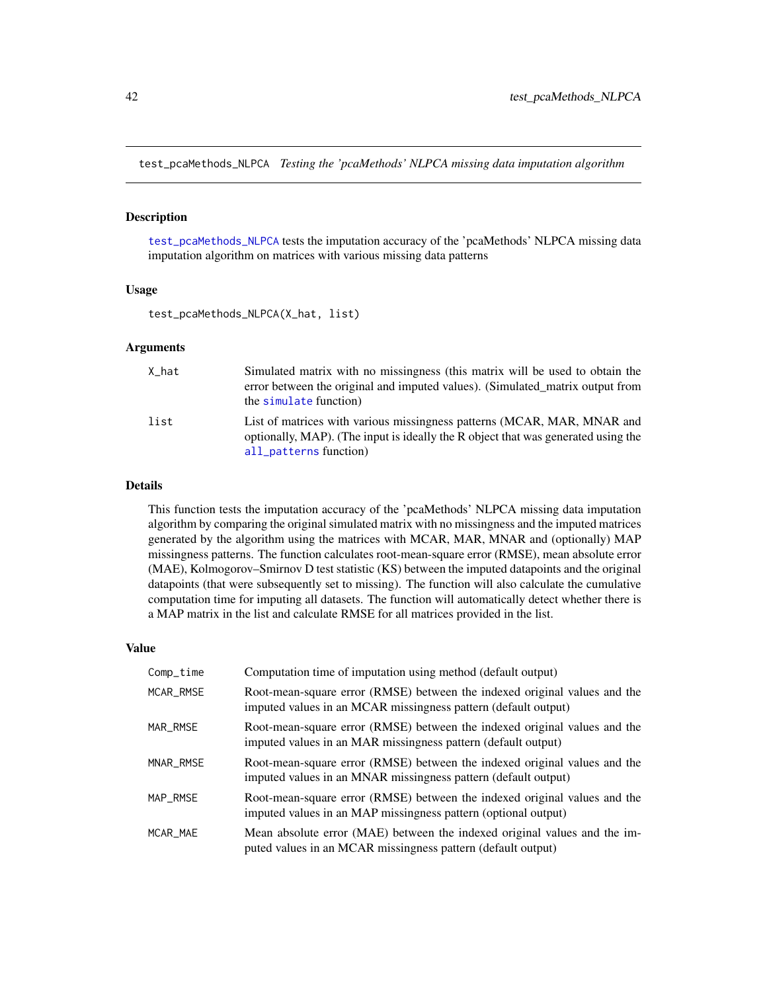<span id="page-41-1"></span><span id="page-41-0"></span>test\_pcaMethods\_NLPCA *Testing the 'pcaMethods' NLPCA missing data imputation algorithm*

#### Description

[test\\_pcaMethods\\_NLPCA](#page-41-1) tests the imputation accuracy of the 'pcaMethods' NLPCA missing data imputation algorithm on matrices with various missing data patterns

#### Usage

test\_pcaMethods\_NLPCA(X\_hat, list)

#### Arguments

| X hat | Simulated matrix with no missingness (this matrix will be used to obtain the<br>error between the original and imputed values). (Simulated matrix output from<br>the simulate function) |
|-------|-----------------------------------------------------------------------------------------------------------------------------------------------------------------------------------------|
| list  | List of matrices with various missingness patterns (MCAR, MAR, MNAR and<br>optionally, MAP). (The input is ideally the R object that was generated using the<br>all_patterns function)  |

## Details

This function tests the imputation accuracy of the 'pcaMethods' NLPCA missing data imputation algorithm by comparing the original simulated matrix with no missingness and the imputed matrices generated by the algorithm using the matrices with MCAR, MAR, MNAR and (optionally) MAP missingness patterns. The function calculates root-mean-square error (RMSE), mean absolute error (MAE), Kolmogorov–Smirnov D test statistic (KS) between the imputed datapoints and the original datapoints (that were subsequently set to missing). The function will also calculate the cumulative computation time for imputing all datasets. The function will automatically detect whether there is a MAP matrix in the list and calculate RMSE for all matrices provided in the list.

| Comp_time | Computation time of imputation using method (default output)                                                                                |
|-----------|---------------------------------------------------------------------------------------------------------------------------------------------|
| MCAR RMSE | Root-mean-square error (RMSE) between the indexed original values and the<br>imputed values in an MCAR missingness pattern (default output) |
| MAR_RMSE  | Root-mean-square error (RMSE) between the indexed original values and the<br>imputed values in an MAR missingness pattern (default output)  |
| MNAR RMSE | Root-mean-square error (RMSE) between the indexed original values and the<br>imputed values in an MNAR missingness pattern (default output) |
| MAP RMSE  | Root-mean-square error (RMSE) between the indexed original values and the<br>imputed values in an MAP missingness pattern (optional output) |
| MCAR MAE  | Mean absolute error (MAE) between the indexed original values and the im-<br>puted values in an MCAR missingness pattern (default output)   |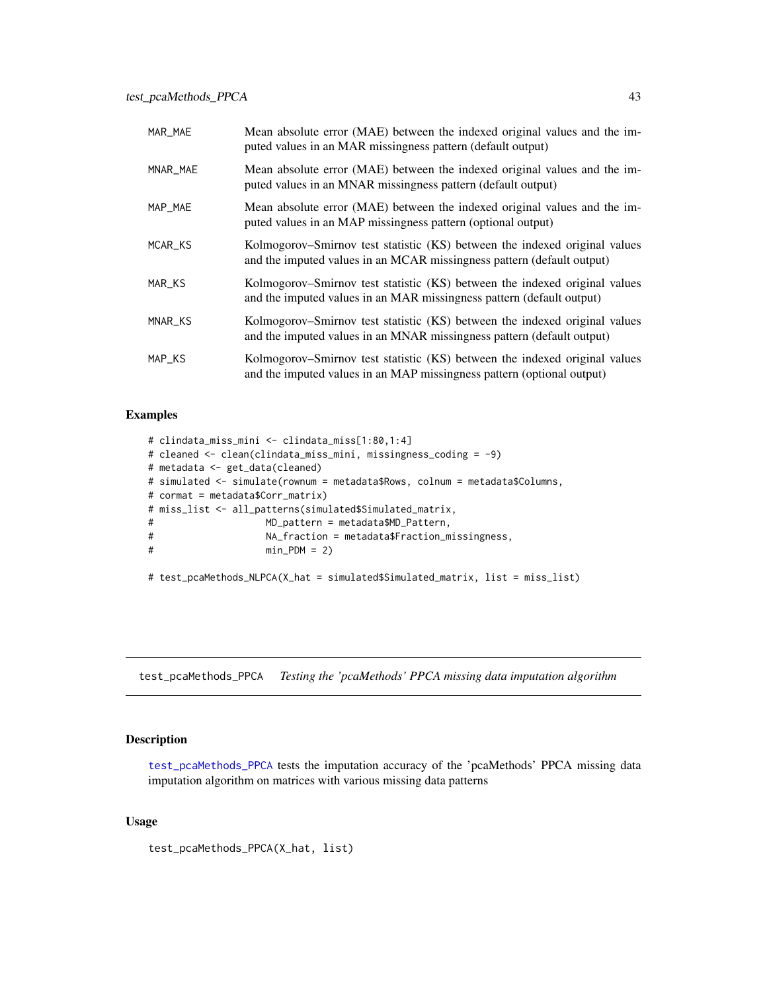<span id="page-42-0"></span>

| MAR_MAE  | Mean absolute error (MAE) between the indexed original values and the im-<br>puted values in an MAR missingness pattern (default output)             |
|----------|------------------------------------------------------------------------------------------------------------------------------------------------------|
| MNAR_MAE | Mean absolute error (MAE) between the indexed original values and the im-<br>puted values in an MNAR missingness pattern (default output)            |
| MAP_MAE  | Mean absolute error (MAE) between the indexed original values and the im-<br>puted values in an MAP missingness pattern (optional output)            |
| MCAR_KS  | Kolmogorov–Smirnov test statistic (KS) between the indexed original values<br>and the imputed values in an MCAR missingness pattern (default output) |
| MAR_KS   | Kolmogorov–Smirnov test statistic (KS) between the indexed original values<br>and the imputed values in an MAR missingness pattern (default output)  |
| MNAR_KS  | Kolmogorov–Smirnov test statistic (KS) between the indexed original values<br>and the imputed values in an MNAR missingness pattern (default output) |
| MAP_KS   | Kolmogorov–Smirnov test statistic (KS) between the indexed original values<br>and the imputed values in an MAP missingness pattern (optional output) |

```
# clindata_miss_mini <- clindata_miss[1:80,1:4]
# cleaned <- clean(clindata_miss_mini, missingness_coding = -9)
# metadata <- get_data(cleaned)
# simulated <- simulate(rownum = metadata$Rows, colnum = metadata$Columns,
# cormat = metadata$Corr_matrix)
# miss_list <- all_patterns(simulated$Simulated_matrix,
# MD_pattern = metadata$MD_Pattern,
# NA_fraction = metadata$Fraction_missingness,
# min_PDM = 2)
# test_pcaMethods_NLPCA(X_hat = simulated$Simulated_matrix, list = miss_list)
```
<span id="page-42-1"></span>test\_pcaMethods\_PPCA *Testing the 'pcaMethods' PPCA missing data imputation algorithm*

#### Description

[test\\_pcaMethods\\_PPCA](#page-42-1) tests the imputation accuracy of the 'pcaMethods' PPCA missing data imputation algorithm on matrices with various missing data patterns

#### Usage

test\_pcaMethods\_PPCA(X\_hat, list)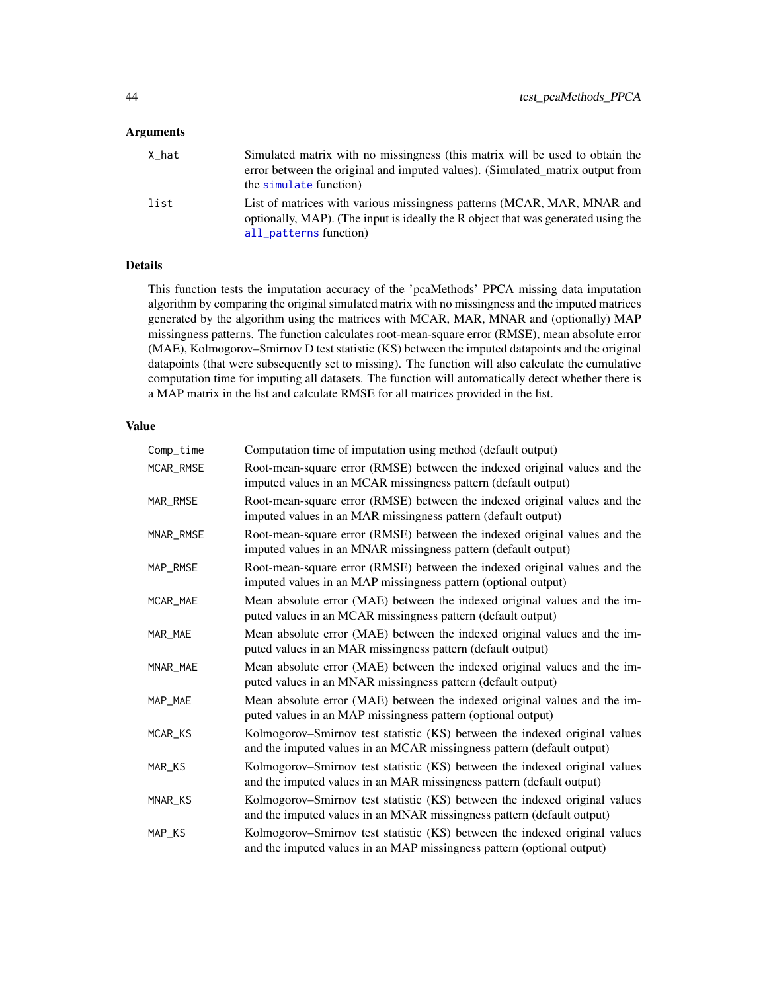#### <span id="page-43-0"></span>Arguments

| X hat | Simulated matrix with no missingness (this matrix will be used to obtain the<br>error between the original and imputed values). (Simulated matrix output from<br>the simulate function) |
|-------|-----------------------------------------------------------------------------------------------------------------------------------------------------------------------------------------|
| list  | List of matrices with various missingness patterns (MCAR, MAR, MNAR and<br>optionally, MAP). (The input is ideally the R object that was generated using the<br>all_patterns function)  |

## Details

This function tests the imputation accuracy of the 'pcaMethods' PPCA missing data imputation algorithm by comparing the original simulated matrix with no missingness and the imputed matrices generated by the algorithm using the matrices with MCAR, MAR, MNAR and (optionally) MAP missingness patterns. The function calculates root-mean-square error (RMSE), mean absolute error (MAE), Kolmogorov–Smirnov D test statistic (KS) between the imputed datapoints and the original datapoints (that were subsequently set to missing). The function will also calculate the cumulative computation time for imputing all datasets. The function will automatically detect whether there is a MAP matrix in the list and calculate RMSE for all matrices provided in the list.

| Comp_time | Computation time of imputation using method (default output)                                                                                         |
|-----------|------------------------------------------------------------------------------------------------------------------------------------------------------|
| MCAR_RMSE | Root-mean-square error (RMSE) between the indexed original values and the<br>imputed values in an MCAR missingness pattern (default output)          |
| MAR_RMSE  | Root-mean-square error (RMSE) between the indexed original values and the<br>imputed values in an MAR missingness pattern (default output)           |
| MNAR_RMSE | Root-mean-square error (RMSE) between the indexed original values and the<br>imputed values in an MNAR missingness pattern (default output)          |
| MAP_RMSE  | Root-mean-square error (RMSE) between the indexed original values and the<br>imputed values in an MAP missingness pattern (optional output)          |
| MCAR_MAE  | Mean absolute error (MAE) between the indexed original values and the im-<br>puted values in an MCAR missingness pattern (default output)            |
| MAR MAE   | Mean absolute error (MAE) between the indexed original values and the im-<br>puted values in an MAR missingness pattern (default output)             |
| MNAR_MAE  | Mean absolute error (MAE) between the indexed original values and the im-<br>puted values in an MNAR missingness pattern (default output)            |
| MAP_MAE   | Mean absolute error (MAE) between the indexed original values and the im-<br>puted values in an MAP missingness pattern (optional output)            |
| MCAR_KS   | Kolmogorov–Smirnov test statistic (KS) between the indexed original values<br>and the imputed values in an MCAR missingness pattern (default output) |
| MAR_KS    | Kolmogorov-Smirnov test statistic (KS) between the indexed original values<br>and the imputed values in an MAR missingness pattern (default output)  |
| MNAR_KS   | Kolmogorov-Smirnov test statistic (KS) between the indexed original values<br>and the imputed values in an MNAR missingness pattern (default output) |
| MAP_KS    | Kolmogorov-Smirnov test statistic (KS) between the indexed original values<br>and the imputed values in an MAP missingness pattern (optional output) |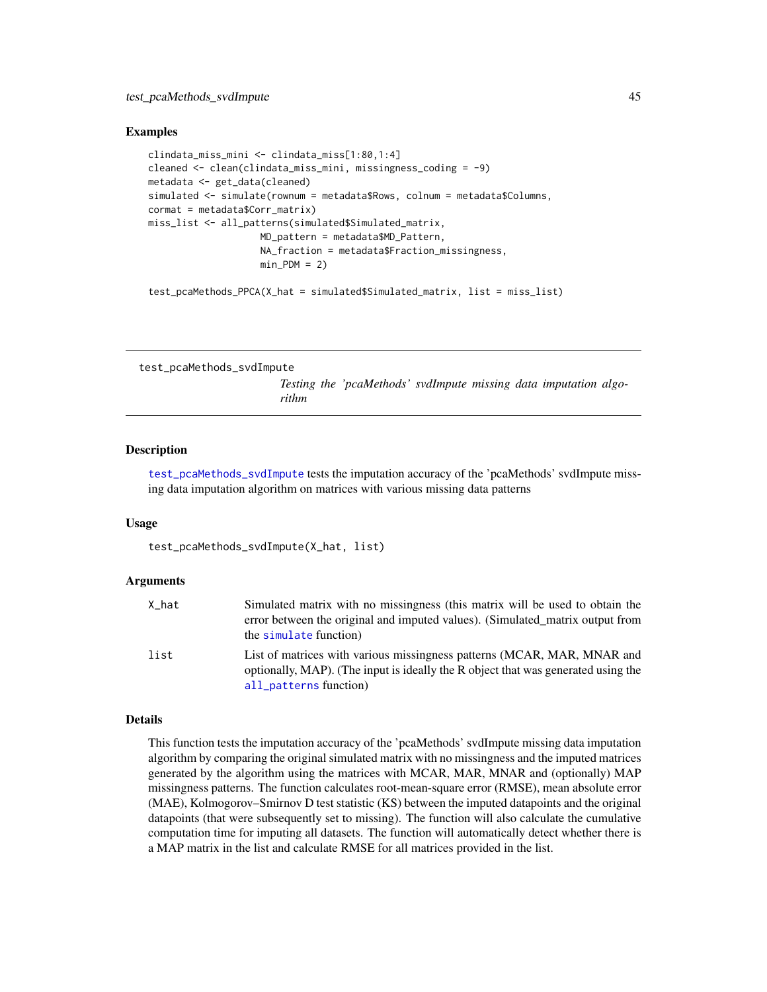```
clindata_miss_mini <- clindata_miss[1:80,1:4]
cleaned <- clean(clindata_miss_mini, missingness_coding = -9)
metadata <- get_data(cleaned)
simulated <- simulate(rownum = metadata$Rows, colnum = metadata$Columns,
cormat = metadata$Corr_matrix)
miss_list <- all_patterns(simulated$Simulated_matrix,
                    MD_pattern = metadata$MD_Pattern,
                    NA_fraction = metadata$Fraction_missingness,
                    min_PDM = 2
```
test\_pcaMethods\_PPCA(X\_hat = simulated\$Simulated\_matrix, list = miss\_list)

```
test_pcaMethods_svdImpute
```
*Testing the 'pcaMethods' svdImpute missing data imputation algorithm*

#### **Description**

[test\\_pcaMethods\\_svdImpute](#page-44-1) tests the imputation accuracy of the 'pcaMethods' svdImpute missing data imputation algorithm on matrices with various missing data patterns

#### Usage

```
test_pcaMethods_svdImpute(X_hat, list)
```
#### Arguments

| X hat | Simulated matrix with no missingness (this matrix will be used to obtain the<br>error between the original and imputed values). (Simulated_matrix output from<br>the simulate function) |
|-------|-----------------------------------------------------------------------------------------------------------------------------------------------------------------------------------------|
| list  | List of matrices with various missingness patterns (MCAR, MAR, MNAR and<br>optionally, MAP). (The input is ideally the R object that was generated using the<br>all_patterns function)  |

## Details

This function tests the imputation accuracy of the 'pcaMethods' svdImpute missing data imputation algorithm by comparing the original simulated matrix with no missingness and the imputed matrices generated by the algorithm using the matrices with MCAR, MAR, MNAR and (optionally) MAP missingness patterns. The function calculates root-mean-square error (RMSE), mean absolute error (MAE), Kolmogorov–Smirnov D test statistic (KS) between the imputed datapoints and the original datapoints (that were subsequently set to missing). The function will also calculate the cumulative computation time for imputing all datasets. The function will automatically detect whether there is a MAP matrix in the list and calculate RMSE for all matrices provided in the list.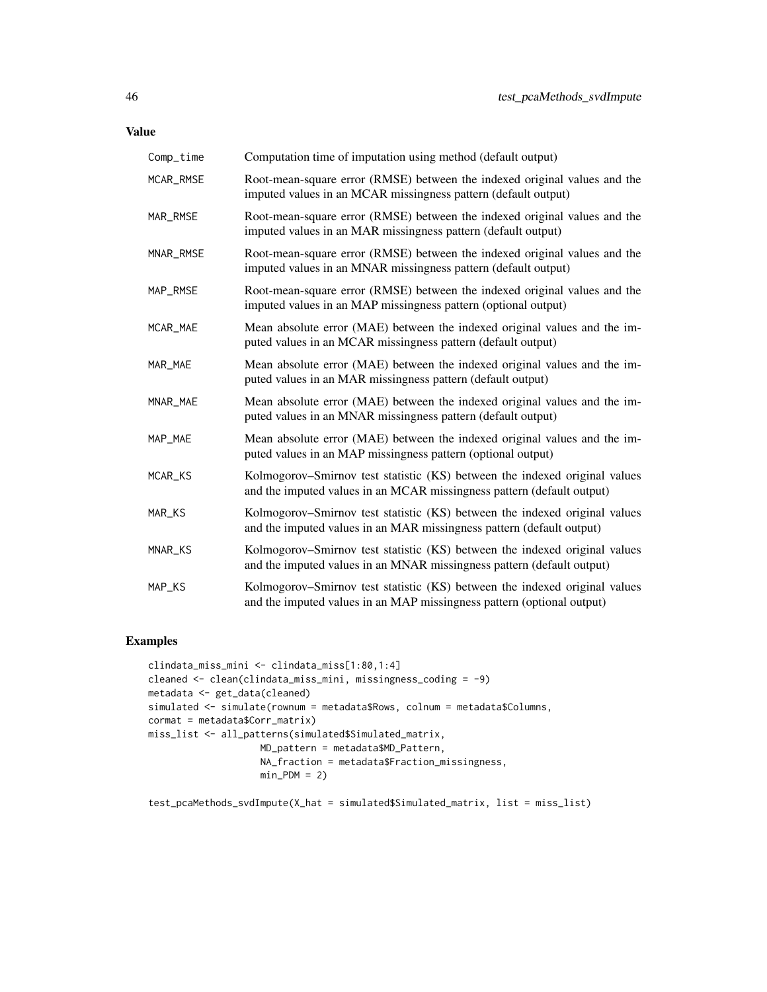Value

| Comp_time | Computation time of imputation using method (default output)                                                                                         |
|-----------|------------------------------------------------------------------------------------------------------------------------------------------------------|
| MCAR_RMSE | Root-mean-square error (RMSE) between the indexed original values and the<br>imputed values in an MCAR missingness pattern (default output)          |
| MAR_RMSE  | Root-mean-square error (RMSE) between the indexed original values and the<br>imputed values in an MAR missingness pattern (default output)           |
| MNAR_RMSE | Root-mean-square error (RMSE) between the indexed original values and the<br>imputed values in an MNAR missingness pattern (default output)          |
| MAP_RMSE  | Root-mean-square error (RMSE) between the indexed original values and the<br>imputed values in an MAP missingness pattern (optional output)          |
| MCAR_MAE  | Mean absolute error (MAE) between the indexed original values and the im-<br>puted values in an MCAR missingness pattern (default output)            |
| MAR_MAE   | Mean absolute error (MAE) between the indexed original values and the im-<br>puted values in an MAR missingness pattern (default output)             |
| MNAR_MAE  | Mean absolute error (MAE) between the indexed original values and the im-<br>puted values in an MNAR missingness pattern (default output)            |
| MAP_MAE   | Mean absolute error (MAE) between the indexed original values and the im-<br>puted values in an MAP missingness pattern (optional output)            |
| MCAR_KS   | Kolmogorov–Smirnov test statistic (KS) between the indexed original values<br>and the imputed values in an MCAR missingness pattern (default output) |
| MAR_KS    | Kolmogorov–Smirnov test statistic (KS) between the indexed original values<br>and the imputed values in an MAR missingness pattern (default output)  |
| MNAR_KS   | Kolmogorov–Smirnov test statistic (KS) between the indexed original values<br>and the imputed values in an MNAR missingness pattern (default output) |
| MAP_KS    | Kolmogorov–Smirnov test statistic (KS) between the indexed original values<br>and the imputed values in an MAP missingness pattern (optional output) |

## Examples

```
clindata_miss_mini <- clindata_miss[1:80,1:4]
cleaned <- clean(clindata_miss_mini, missingness_coding = -9)
metadata <- get_data(cleaned)
simulated <- simulate(rownum = metadata$Rows, colnum = metadata$Columns,
cormat = metadata$Corr_matrix)
miss_list <- all_patterns(simulated$Simulated_matrix,
                    MD_pattern = metadata$MD_Pattern,
                    NA_fraction = metadata$Fraction_missingness,
                   min_PDM = 2
```
test\_pcaMethods\_svdImpute(X\_hat = simulated\$Simulated\_matrix, list = miss\_list)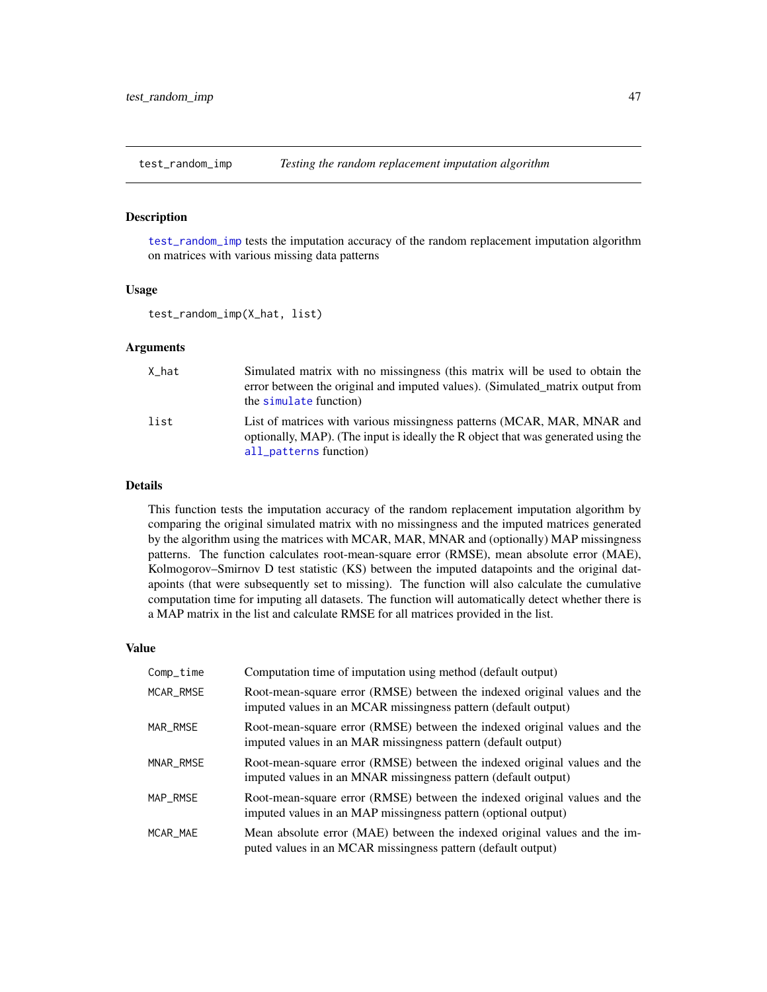<span id="page-46-1"></span><span id="page-46-0"></span>

#### Description

[test\\_random\\_imp](#page-46-1) tests the imputation accuracy of the random replacement imputation algorithm on matrices with various missing data patterns

#### Usage

test\_random\_imp(X\_hat, list)

#### Arguments

| X hat | Simulated matrix with no missingness (this matrix will be used to obtain the<br>error between the original and imputed values). (Simulated matrix output from<br>the simulate function) |
|-------|-----------------------------------------------------------------------------------------------------------------------------------------------------------------------------------------|
| list  | List of matrices with various missingness patterns (MCAR, MAR, MNAR and<br>optionally, MAP). (The input is ideally the R object that was generated using the<br>all_patterns function)  |

## Details

This function tests the imputation accuracy of the random replacement imputation algorithm by comparing the original simulated matrix with no missingness and the imputed matrices generated by the algorithm using the matrices with MCAR, MAR, MNAR and (optionally) MAP missingness patterns. The function calculates root-mean-square error (RMSE), mean absolute error (MAE), Kolmogorov–Smirnov D test statistic (KS) between the imputed datapoints and the original datapoints (that were subsequently set to missing). The function will also calculate the cumulative computation time for imputing all datasets. The function will automatically detect whether there is a MAP matrix in the list and calculate RMSE for all matrices provided in the list.

| Comp_time | Computation time of imputation using method (default output)                                                                                |
|-----------|---------------------------------------------------------------------------------------------------------------------------------------------|
| MCAR_RMSE | Root-mean-square error (RMSE) between the indexed original values and the<br>imputed values in an MCAR missingness pattern (default output) |
| MAR RMSE  | Root-mean-square error (RMSE) between the indexed original values and the<br>imputed values in an MAR missingness pattern (default output)  |
| MNAR_RMSE | Root-mean-square error (RMSE) between the indexed original values and the<br>imputed values in an MNAR missingness pattern (default output) |
| MAP RMSE  | Root-mean-square error (RMSE) between the indexed original values and the<br>imputed values in an MAP missingness pattern (optional output) |
| MCAR MAE  | Mean absolute error (MAE) between the indexed original values and the im-<br>puted values in an MCAR missingness pattern (default output)   |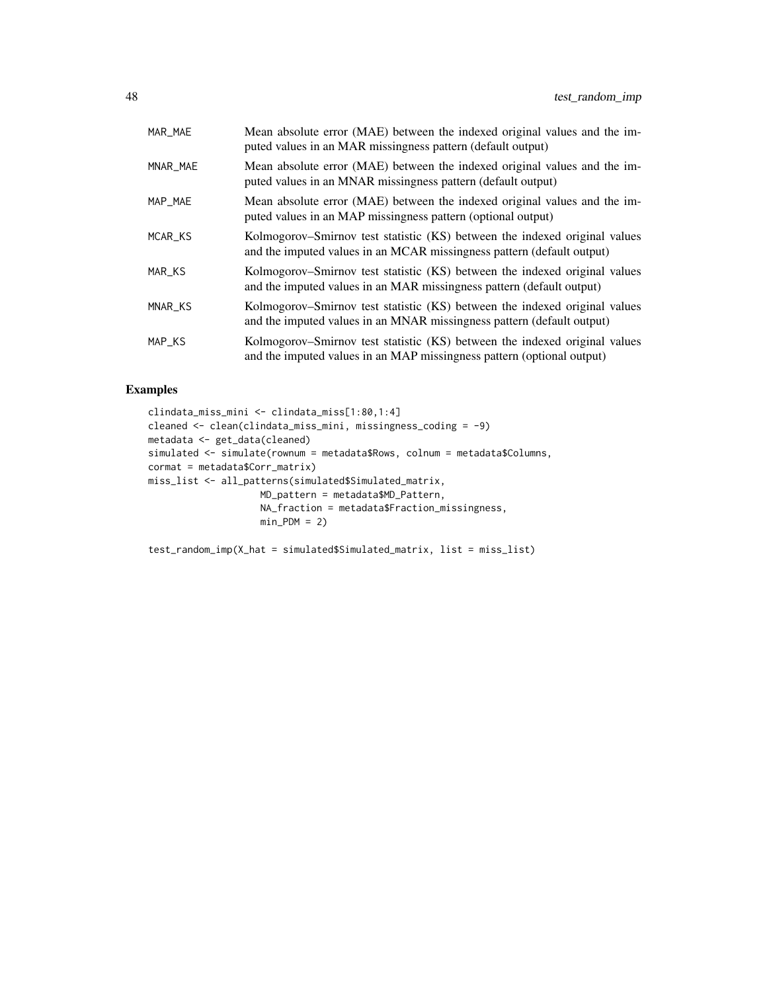| MAR_MAE  | Mean absolute error (MAE) between the indexed original values and the im-<br>puted values in an MAR missingness pattern (default output)             |
|----------|------------------------------------------------------------------------------------------------------------------------------------------------------|
| MNAR_MAE | Mean absolute error (MAE) between the indexed original values and the im-<br>puted values in an MNAR missingness pattern (default output)            |
| MAP_MAE  | Mean absolute error (MAE) between the indexed original values and the im-<br>puted values in an MAP missingness pattern (optional output)            |
| MCAR_KS  | Kolmogorov–Smirnov test statistic (KS) between the indexed original values<br>and the imputed values in an MCAR missingness pattern (default output) |
| MAR_KS   | Kolmogorov–Smirnov test statistic (KS) between the indexed original values<br>and the imputed values in an MAR missingness pattern (default output)  |
| MNAR_KS  | Kolmogorov–Smirnov test statistic (KS) between the indexed original values<br>and the imputed values in an MNAR missingness pattern (default output) |
| MAP_KS   | Kolmogorov–Smirnov test statistic (KS) between the indexed original values<br>and the imputed values in an MAP missingness pattern (optional output) |

```
clindata_miss_mini <- clindata_miss[1:80,1:4]
cleaned <- clean(clindata_miss_mini, missingness_coding = -9)
metadata <- get_data(cleaned)
simulated <- simulate(rownum = metadata$Rows, colnum = metadata$Columns,
cormat = metadata$Corr_matrix)
miss_list <- all_patterns(simulated$Simulated_matrix,
                    MD_pattern = metadata$MD_Pattern,
                    NA_fraction = metadata$Fraction_missingness,
                    min_PDM = 2)
```
test\_random\_imp(X\_hat = simulated\$Simulated\_matrix, list = miss\_list)